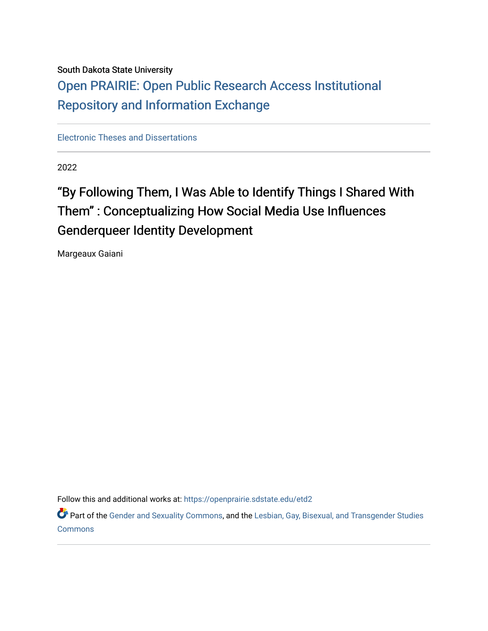### South Dakota State University

## [Open PRAIRIE: Open Public Research Access Institutional](https://openprairie.sdstate.edu/)  [Repository and Information Exchange](https://openprairie.sdstate.edu/)

[Electronic Theses and Dissertations](https://openprairie.sdstate.edu/etd2)

2022

# "By Following Them, I Was Able to Identify Things I Shared With Them" : Conceptualizing How Social Media Use Influences Genderqueer Identity Development

Margeaux Gaiani

Follow this and additional works at: [https://openprairie.sdstate.edu/etd2](https://openprairie.sdstate.edu/etd2?utm_source=openprairie.sdstate.edu%2Fetd2%2F414&utm_medium=PDF&utm_campaign=PDFCoverPages) 

Part of the [Gender and Sexuality Commons](https://network.bepress.com/hgg/discipline/420?utm_source=openprairie.sdstate.edu%2Fetd2%2F414&utm_medium=PDF&utm_campaign=PDFCoverPages), and the Lesbian, Gay, Bisexual, and Transgender Studies [Commons](https://network.bepress.com/hgg/discipline/560?utm_source=openprairie.sdstate.edu%2Fetd2%2F414&utm_medium=PDF&utm_campaign=PDFCoverPages)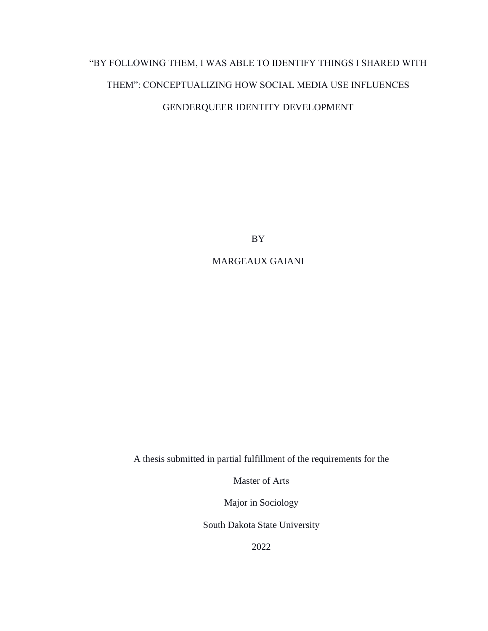# "BY FOLLOWING THEM, I WAS ABLE TO IDENTIFY THINGS I SHARED WITH THEM": CONCEPTUALIZING HOW SOCIAL MEDIA USE INFLUENCES GENDERQUEER IDENTITY DEVELOPMENT

BY

### MARGEAUX GAIANI

A thesis submitted in partial fulfillment of the requirements for the

Master of Arts

Major in Sociology

South Dakota State University

2022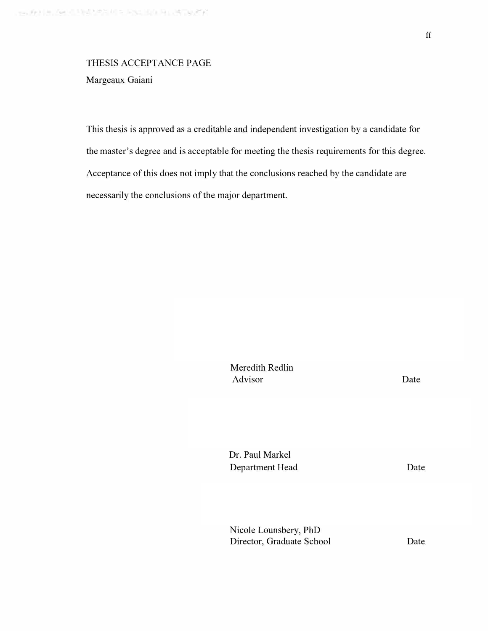# THESIS ACCEPTANCE PAGE

Margeaux Gaiani

This thesis is approved as a creditable and independent investigation by a candidate for the master's degree and is acceptable for meeting the thesis requirements for this degree. Acceptance of this does not imply that the conclusions reached by the candidate are necessarily the conclusions of the major department.

> Meredith Redlin Advisor

Date

Dr. Paul Markel Department Head

Date

Nicole Lounsbery, PhD Director, Graduate School

Date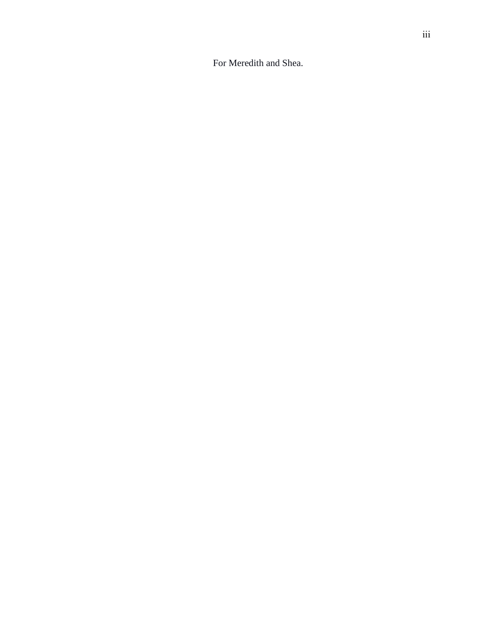For Meredith and Shea.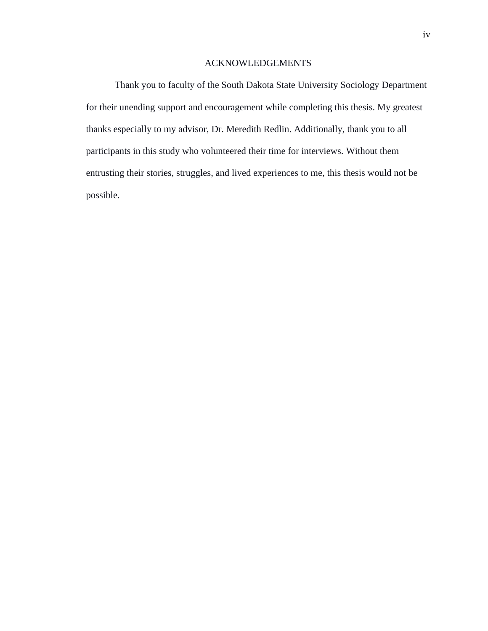### ACKNOWLEDGEMENTS

Thank you to faculty of the South Dakota State University Sociology Department for their unending support and encouragement while completing this thesis. My greatest thanks especially to my advisor, Dr. Meredith Redlin. Additionally, thank you to all participants in this study who volunteered their time for interviews. Without them entrusting their stories, struggles, and lived experiences to me, this thesis would not be possible.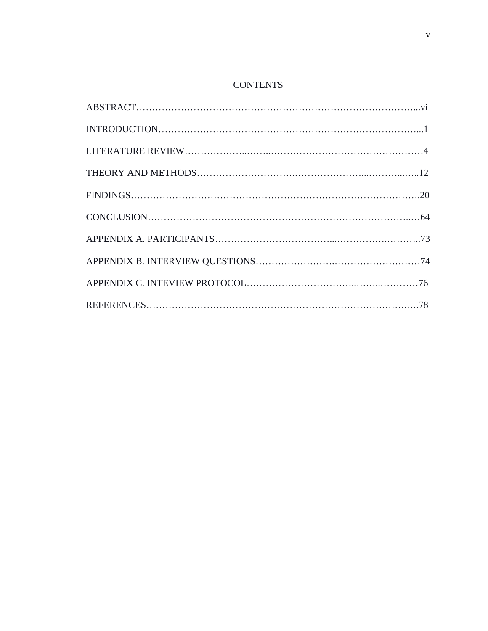## **CONTENTS**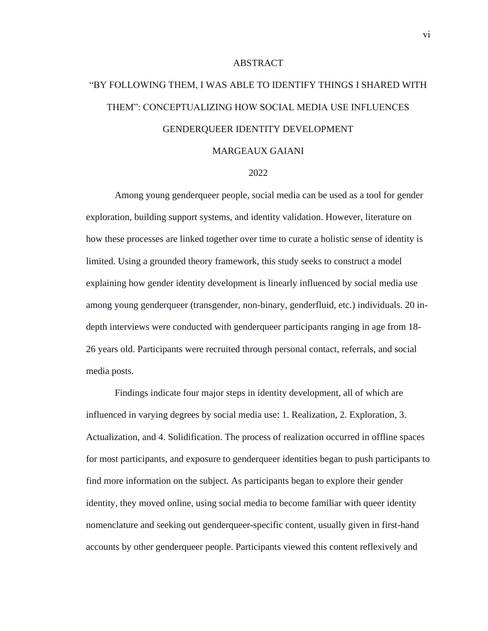### ABSTRACT

# "BY FOLLOWING THEM, I WAS ABLE TO IDENTIFY THINGS I SHARED WITH THEM": CONCEPTUALIZING HOW SOCIAL MEDIA USE INFLUENCES GENDERQUEER IDENTITY DEVELOPMENT

### MARGEAUX GAIANI

#### 2022

Among young genderqueer people, social media can be used as a tool for gender exploration, building support systems, and identity validation. However, literature on how these processes are linked together over time to curate a holistic sense of identity is limited. Using a grounded theory framework, this study seeks to construct a model explaining how gender identity development is linearly influenced by social media use among young genderqueer (transgender, non-binary, genderfluid, etc.) individuals. 20 indepth interviews were conducted with genderqueer participants ranging in age from 18- 26 years old. Participants were recruited through personal contact, referrals, and social media posts.

Findings indicate four major steps in identity development, all of which are influenced in varying degrees by social media use: 1. Realization, 2. Exploration, 3. Actualization, and 4. Solidification. The process of realization occurred in offline spaces for most participants, and exposure to genderqueer identities began to push participants to find more information on the subject. As participants began to explore their gender identity, they moved online, using social media to become familiar with queer identity nomenclature and seeking out genderqueer-specific content, usually given in first-hand accounts by other genderqueer people. Participants viewed this content reflexively and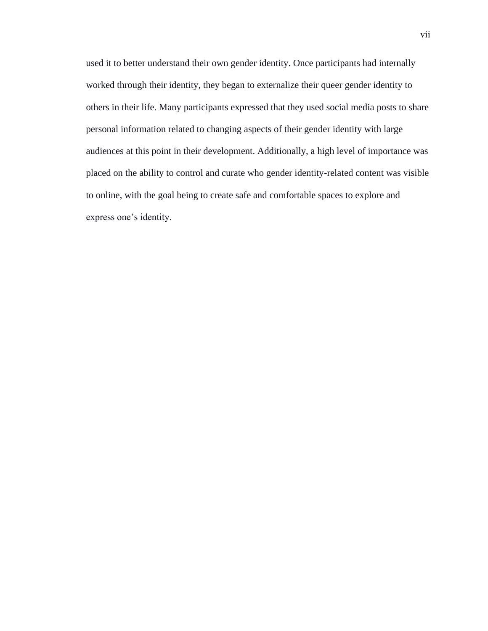used it to better understand their own gender identity. Once participants had internally worked through their identity, they began to externalize their queer gender identity to others in their life. Many participants expressed that they used social media posts to share personal information related to changing aspects of their gender identity with large audiences at this point in their development. Additionally, a high level of importance was placed on the ability to control and curate who gender identity-related content was visible to online, with the goal being to create safe and comfortable spaces to explore and express one's identity.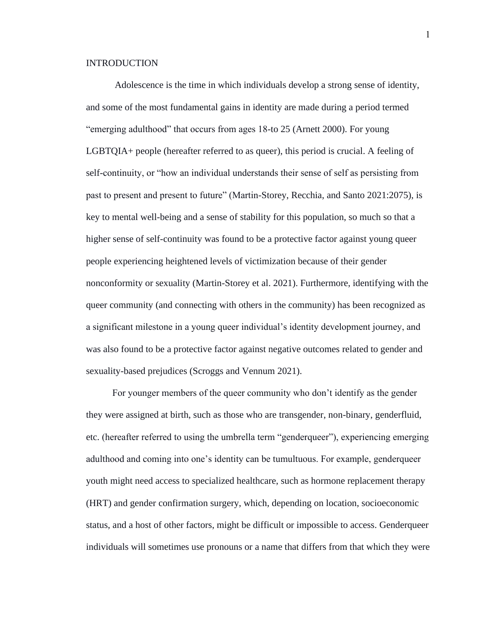### INTRODUCTION

Adolescence is the time in which individuals develop a strong sense of identity, and some of the most fundamental gains in identity are made during a period termed "emerging adulthood" that occurs from ages 18-to 25 (Arnett 2000). For young LGBTQIA+ people (hereafter referred to as queer), this period is crucial. A feeling of self-continuity, or "how an individual understands their sense of self as persisting from past to present and present to future" (Martin-Storey, Recchia, and Santo 2021:2075), is key to mental well-being and a sense of stability for this population, so much so that a higher sense of self-continuity was found to be a protective factor against young queer people experiencing heightened levels of victimization because of their gender nonconformity or sexuality (Martin-Storey et al. 2021). Furthermore, identifying with the queer community (and connecting with others in the community) has been recognized as a significant milestone in a young queer individual's identity development journey, and was also found to be a protective factor against negative outcomes related to gender and sexuality-based prejudices (Scroggs and Vennum 2021).

 For younger members of the queer community who don't identify as the gender they were assigned at birth, such as those who are transgender, non-binary, genderfluid, etc. (hereafter referred to using the umbrella term "genderqueer"), experiencing emerging adulthood and coming into one's identity can be tumultuous. For example, genderqueer youth might need access to specialized healthcare, such as hormone replacement therapy (HRT) and gender confirmation surgery, which, depending on location, socioeconomic status, and a host of other factors, might be difficult or impossible to access. Genderqueer individuals will sometimes use pronouns or a name that differs from that which they were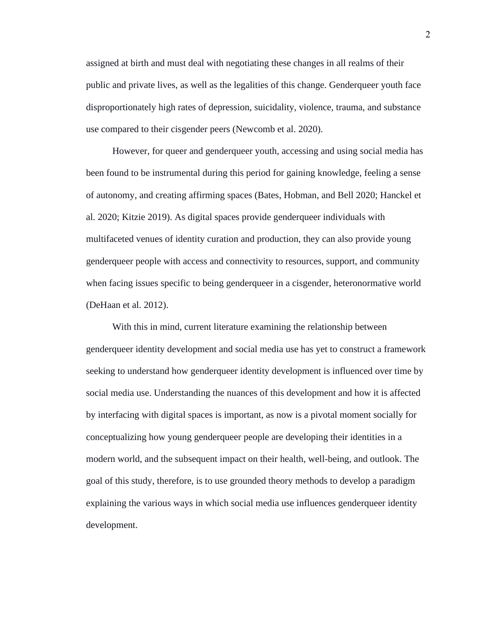assigned at birth and must deal with negotiating these changes in all realms of their public and private lives, as well as the legalities of this change. Genderqueer youth face disproportionately high rates of depression, suicidality, violence, trauma, and substance use compared to their cisgender peers (Newcomb et al. 2020).

 However, for queer and genderqueer youth, accessing and using social media has been found to be instrumental during this period for gaining knowledge, feeling a sense of autonomy, and creating affirming spaces (Bates, Hobman, and Bell 2020; Hanckel et al. 2020; Kitzie 2019). As digital spaces provide genderqueer individuals with multifaceted venues of identity curation and production, they can also provide young genderqueer people with access and connectivity to resources, support, and community when facing issues specific to being genderqueer in a cisgender, heteronormative world (DeHaan et al. 2012).

 With this in mind, current literature examining the relationship between genderqueer identity development and social media use has yet to construct a framework seeking to understand how genderqueer identity development is influenced over time by social media use. Understanding the nuances of this development and how it is affected by interfacing with digital spaces is important, as now is a pivotal moment socially for conceptualizing how young genderqueer people are developing their identities in a modern world, and the subsequent impact on their health, well-being, and outlook. The goal of this study, therefore, is to use grounded theory methods to develop a paradigm explaining the various ways in which social media use influences genderqueer identity development.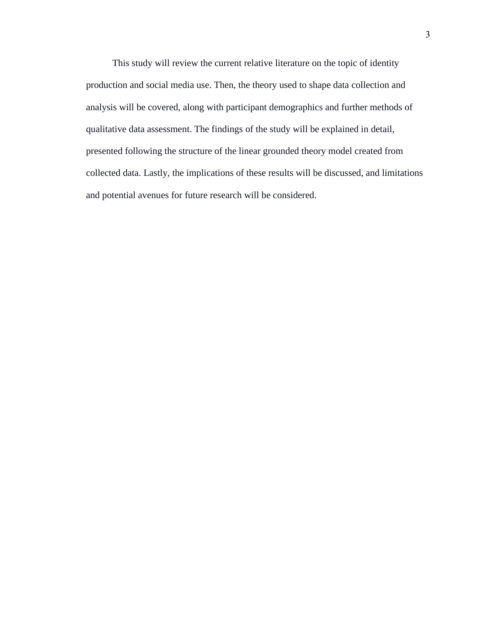This study will review the current relative literature on the topic of identity production and social media use. Then, the theory used to shape data collection and analysis will be covered, along with participant demographics and further methods of qualitative data assessment. The findings of the study will be explained in detail, presented following the structure of the linear grounded theory model created from collected data. Lastly, the implications of these results will be discussed, and limitations and potential avenues for future research will be considered.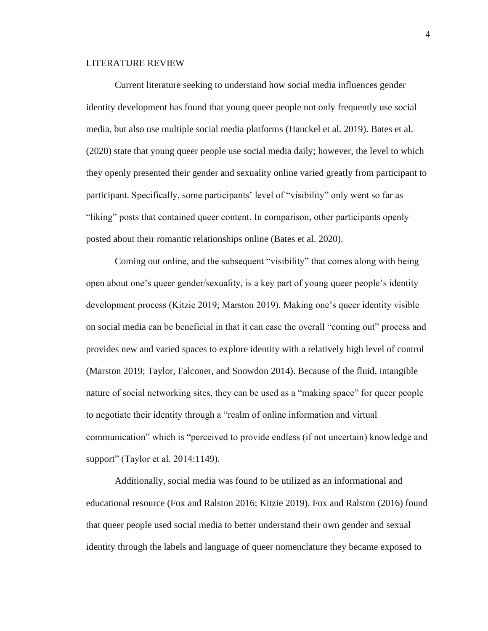### LITERATURE REVIEW

Current literature seeking to understand how social media influences gender identity development has found that young queer people not only frequently use social media, but also use multiple social media platforms (Hanckel et al. 2019). Bates et al. (2020) state that young queer people use social media daily; however, the level to which they openly presented their gender and sexuality online varied greatly from participant to participant. Specifically, some participants' level of "visibility" only went so far as "liking" posts that contained queer content. In comparison, other participants openly posted about their romantic relationships online (Bates et al. 2020).

Coming out online, and the subsequent "visibility" that comes along with being open about one's queer gender/sexuality, is a key part of young queer people's identity development process (Kitzie 2019; Marston 2019). Making one's queer identity visible on social media can be beneficial in that it can ease the overall "coming out" process and provides new and varied spaces to explore identity with a relatively high level of control (Marston 2019; Taylor, Falconer, and Snowdon 2014). Because of the fluid, intangible nature of social networking sites, they can be used as a "making space" for queer people to negotiate their identity through a "realm of online information and virtual communication" which is "perceived to provide endless (if not uncertain) knowledge and support" (Taylor et al. 2014:1149).

Additionally, social media was found to be utilized as an informational and educational resource (Fox and Ralston 2016; Kitzie 2019). Fox and Ralston (2016) found that queer people used social media to better understand their own gender and sexual identity through the labels and language of queer nomenclature they became exposed to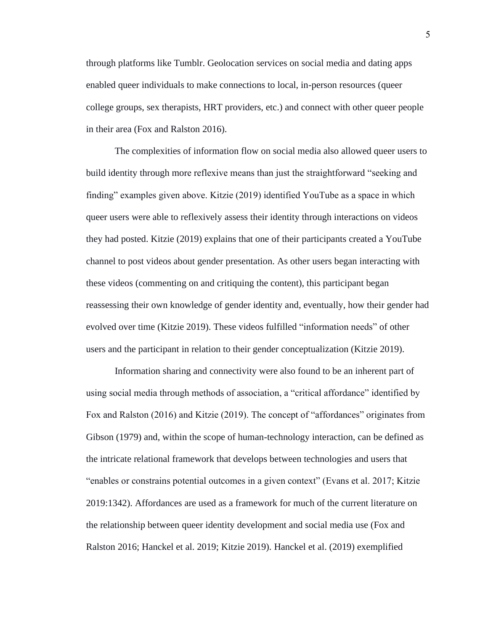through platforms like Tumblr. Geolocation services on social media and dating apps enabled queer individuals to make connections to local, in-person resources (queer college groups, sex therapists, HRT providers, etc.) and connect with other queer people in their area (Fox and Ralston 2016).

The complexities of information flow on social media also allowed queer users to build identity through more reflexive means than just the straightforward "seeking and finding" examples given above. Kitzie (2019) identified YouTube as a space in which queer users were able to reflexively assess their identity through interactions on videos they had posted. Kitzie (2019) explains that one of their participants created a YouTube channel to post videos about gender presentation. As other users began interacting with these videos (commenting on and critiquing the content), this participant began reassessing their own knowledge of gender identity and, eventually, how their gender had evolved over time (Kitzie 2019). These videos fulfilled "information needs" of other users and the participant in relation to their gender conceptualization (Kitzie 2019).

Information sharing and connectivity were also found to be an inherent part of using social media through methods of association, a "critical affordance" identified by Fox and Ralston (2016) and Kitzie (2019). The concept of "affordances" originates from Gibson (1979) and, within the scope of human-technology interaction, can be defined as the intricate relational framework that develops between technologies and users that "enables or constrains potential outcomes in a given context" (Evans et al. 2017; Kitzie 2019:1342). Affordances are used as a framework for much of the current literature on the relationship between queer identity development and social media use (Fox and Ralston 2016; Hanckel et al. 2019; Kitzie 2019). Hanckel et al. (2019) exemplified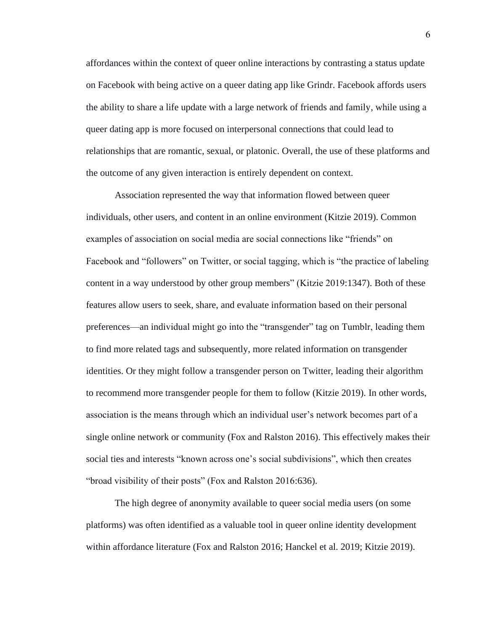affordances within the context of queer online interactions by contrasting a status update on Facebook with being active on a queer dating app like Grindr. Facebook affords users the ability to share a life update with a large network of friends and family, while using a queer dating app is more focused on interpersonal connections that could lead to relationships that are romantic, sexual, or platonic. Overall, the use of these platforms and the outcome of any given interaction is entirely dependent on context.

Association represented the way that information flowed between queer individuals, other users, and content in an online environment (Kitzie 2019). Common examples of association on social media are social connections like "friends" on Facebook and "followers" on Twitter, or social tagging, which is "the practice of labeling content in a way understood by other group members" (Kitzie 2019:1347). Both of these features allow users to seek, share, and evaluate information based on their personal preferences—an individual might go into the "transgender" tag on Tumblr, leading them to find more related tags and subsequently, more related information on transgender identities. Or they might follow a transgender person on Twitter, leading their algorithm to recommend more transgender people for them to follow (Kitzie 2019). In other words, association is the means through which an individual user's network becomes part of a single online network or community (Fox and Ralston 2016). This effectively makes their social ties and interests "known across one's social subdivisions", which then creates "broad visibility of their posts" (Fox and Ralston 2016:636).

The high degree of anonymity available to queer social media users (on some platforms) was often identified as a valuable tool in queer online identity development within affordance literature (Fox and Ralston 2016; Hanckel et al. 2019; Kitzie 2019).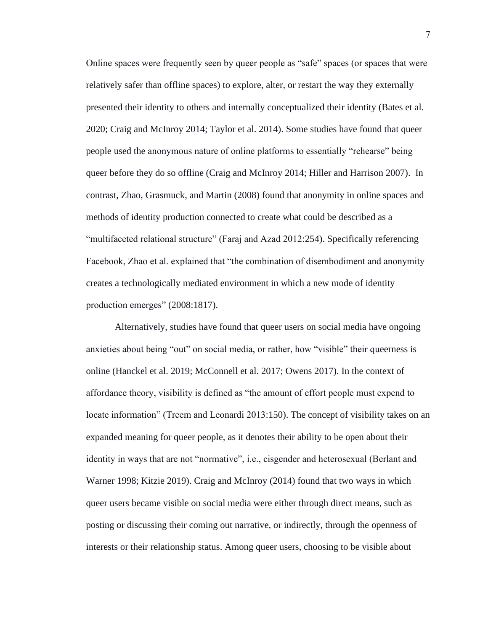Online spaces were frequently seen by queer people as "safe" spaces (or spaces that were relatively safer than offline spaces) to explore, alter, or restart the way they externally presented their identity to others and internally conceptualized their identity (Bates et al. 2020; Craig and McInroy 2014; Taylor et al. 2014). Some studies have found that queer people used the anonymous nature of online platforms to essentially "rehearse" being queer before they do so offline (Craig and McInroy 2014; Hiller and Harrison 2007). In contrast, Zhao, Grasmuck, and Martin (2008) found that anonymity in online spaces and methods of identity production connected to create what could be described as a "multifaceted relational structure" (Faraj and Azad 2012:254). Specifically referencing Facebook, Zhao et al. explained that "the combination of disembodiment and anonymity creates a technologically mediated environment in which a new mode of identity production emerges" (2008:1817).

Alternatively, studies have found that queer users on social media have ongoing anxieties about being "out" on social media, or rather, how "visible" their queerness is online (Hanckel et al. 2019; McConnell et al. 2017; Owens 2017). In the context of affordance theory, visibility is defined as "the amount of effort people must expend to locate information" (Treem and Leonardi 2013:150). The concept of visibility takes on an expanded meaning for queer people, as it denotes their ability to be open about their identity in ways that are not "normative", i.e., cisgender and heterosexual (Berlant and Warner 1998; Kitzie 2019). Craig and McInroy (2014) found that two ways in which queer users became visible on social media were either through direct means, such as posting or discussing their coming out narrative, or indirectly, through the openness of interests or their relationship status. Among queer users, choosing to be visible about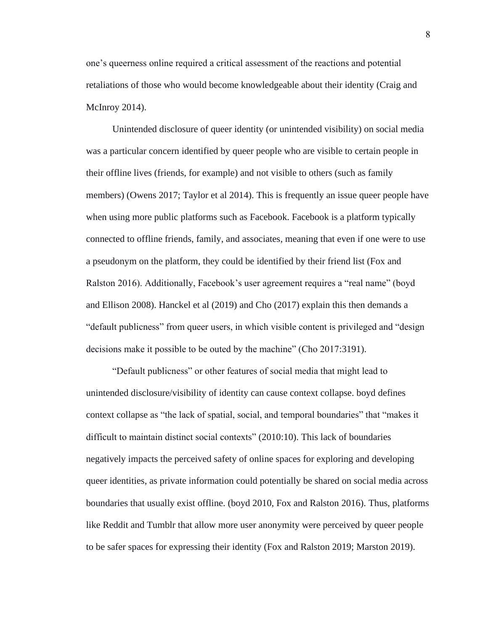one's queerness online required a critical assessment of the reactions and potential retaliations of those who would become knowledgeable about their identity (Craig and McInroy 2014).

Unintended disclosure of queer identity (or unintended visibility) on social media was a particular concern identified by queer people who are visible to certain people in their offline lives (friends, for example) and not visible to others (such as family members) (Owens 2017; Taylor et al 2014). This is frequently an issue queer people have when using more public platforms such as Facebook. Facebook is a platform typically connected to offline friends, family, and associates, meaning that even if one were to use a pseudonym on the platform, they could be identified by their friend list (Fox and Ralston 2016). Additionally, Facebook's user agreement requires a "real name" (boyd and Ellison 2008). Hanckel et al (2019) and Cho (2017) explain this then demands a "default publicness" from queer users, in which visible content is privileged and "design decisions make it possible to be outed by the machine" (Cho 2017:3191).

"Default publicness" or other features of social media that might lead to unintended disclosure/visibility of identity can cause context collapse. boyd defines context collapse as "the lack of spatial, social, and temporal boundaries" that "makes it difficult to maintain distinct social contexts" (2010:10). This lack of boundaries negatively impacts the perceived safety of online spaces for exploring and developing queer identities, as private information could potentially be shared on social media across boundaries that usually exist offline. (boyd 2010, Fox and Ralston 2016). Thus, platforms like Reddit and Tumblr that allow more user anonymity were perceived by queer people to be safer spaces for expressing their identity (Fox and Ralston 2019; Marston 2019).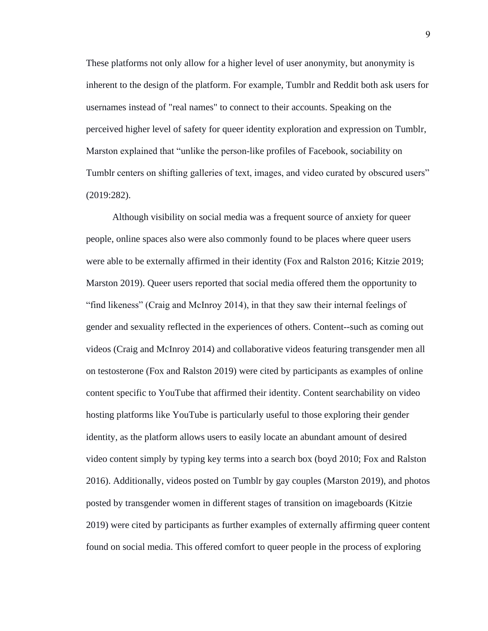These platforms not only allow for a higher level of user anonymity, but anonymity is inherent to the design of the platform. For example, Tumblr and Reddit both ask users for usernames instead of "real names" to connect to their accounts. Speaking on the perceived higher level of safety for queer identity exploration and expression on Tumblr, Marston explained that "unlike the person-like profiles of Facebook, sociability on Tumblr centers on shifting galleries of text, images, and video curated by obscured users" (2019:282).

Although visibility on social media was a frequent source of anxiety for queer people, online spaces also were also commonly found to be places where queer users were able to be externally affirmed in their identity (Fox and Ralston 2016; Kitzie 2019; Marston 2019). Queer users reported that social media offered them the opportunity to "find likeness" (Craig and McInroy 2014), in that they saw their internal feelings of gender and sexuality reflected in the experiences of others. Content--such as coming out videos (Craig and McInroy 2014) and collaborative videos featuring transgender men all on testosterone (Fox and Ralston 2019) were cited by participants as examples of online content specific to YouTube that affirmed their identity. Content searchability on video hosting platforms like YouTube is particularly useful to those exploring their gender identity, as the platform allows users to easily locate an abundant amount of desired video content simply by typing key terms into a search box (boyd 2010; Fox and Ralston 2016). Additionally, videos posted on Tumblr by gay couples (Marston 2019), and photos posted by transgender women in different stages of transition on imageboards (Kitzie 2019) were cited by participants as further examples of externally affirming queer content found on social media. This offered comfort to queer people in the process of exploring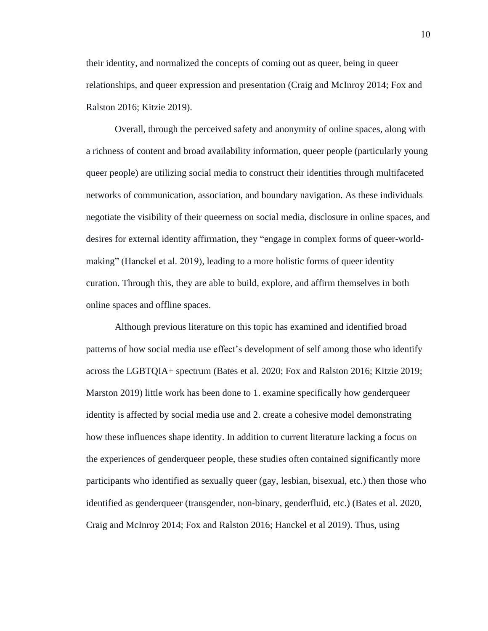their identity, and normalized the concepts of coming out as queer, being in queer relationships, and queer expression and presentation (Craig and McInroy 2014; Fox and Ralston 2016; Kitzie 2019).

Overall, through the perceived safety and anonymity of online spaces, along with a richness of content and broad availability information, queer people (particularly young queer people) are utilizing social media to construct their identities through multifaceted networks of communication, association, and boundary navigation. As these individuals negotiate the visibility of their queerness on social media, disclosure in online spaces, and desires for external identity affirmation, they "engage in complex forms of queer-worldmaking" (Hanckel et al. 2019), leading to a more holistic forms of queer identity curation. Through this, they are able to build, explore, and affirm themselves in both online spaces and offline spaces.

Although previous literature on this topic has examined and identified broad patterns of how social media use effect's development of self among those who identify across the LGBTQIA+ spectrum (Bates et al. 2020; Fox and Ralston 2016; Kitzie 2019; Marston 2019) little work has been done to 1. examine specifically how genderqueer identity is affected by social media use and 2. create a cohesive model demonstrating how these influences shape identity. In addition to current literature lacking a focus on the experiences of genderqueer people, these studies often contained significantly more participants who identified as sexually queer (gay, lesbian, bisexual, etc.) then those who identified as genderqueer (transgender, non-binary, genderfluid, etc.) (Bates et al. 2020, Craig and McInroy 2014; Fox and Ralston 2016; Hanckel et al 2019). Thus, using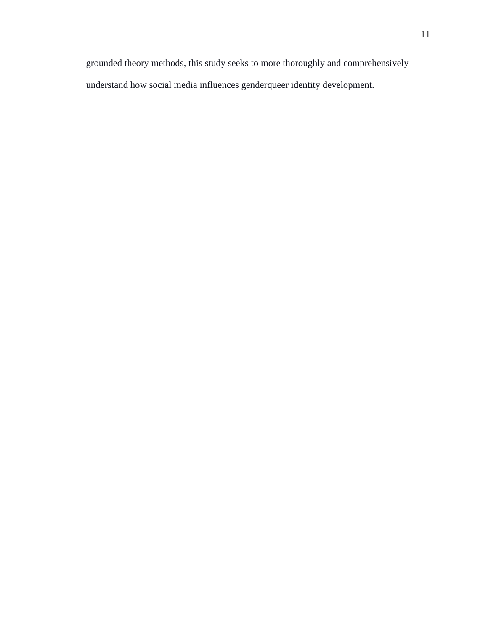grounded theory methods, this study seeks to more thoroughly and comprehensively understand how social media influences genderqueer identity development.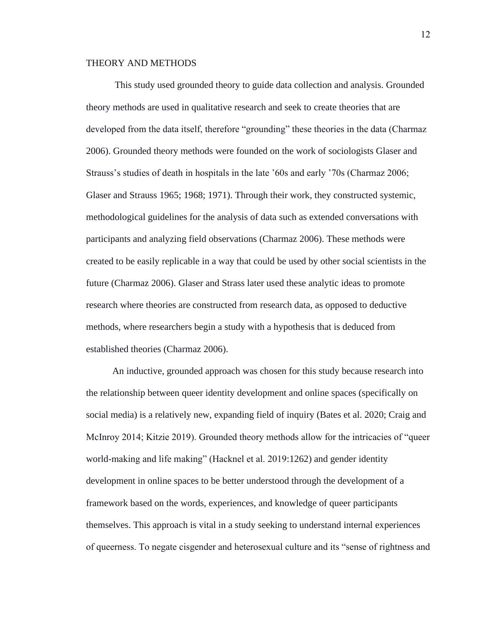### THEORY AND METHODS

This study used grounded theory to guide data collection and analysis. Grounded theory methods are used in qualitative research and seek to create theories that are developed from the data itself, therefore "grounding" these theories in the data (Charmaz 2006). Grounded theory methods were founded on the work of sociologists Glaser and Strauss's studies of death in hospitals in the late '60s and early '70s (Charmaz 2006; Glaser and Strauss 1965; 1968; 1971). Through their work, they constructed systemic, methodological guidelines for the analysis of data such as extended conversations with participants and analyzing field observations (Charmaz 2006). These methods were created to be easily replicable in a way that could be used by other social scientists in the future (Charmaz 2006). Glaser and Strass later used these analytic ideas to promote research where theories are constructed from research data, as opposed to deductive methods, where researchers begin a study with a hypothesis that is deduced from established theories (Charmaz 2006).

An inductive, grounded approach was chosen for this study because research into the relationship between queer identity development and online spaces (specifically on social media) is a relatively new, expanding field of inquiry (Bates et al. 2020; Craig and McInroy 2014; Kitzie 2019). Grounded theory methods allow for the intricacies of "queer world-making and life making" (Hacknel et al. 2019:1262) and gender identity development in online spaces to be better understood through the development of a framework based on the words, experiences, and knowledge of queer participants themselves. This approach is vital in a study seeking to understand internal experiences of queerness. To negate cisgender and heterosexual culture and its "sense of rightness and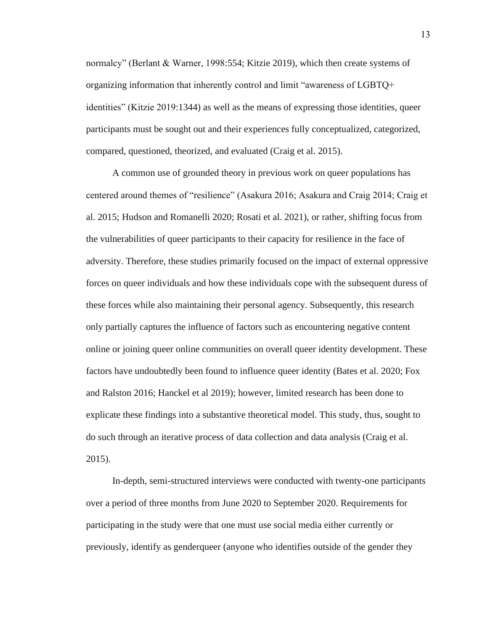normalcy" (Berlant & Warner, 1998:554; Kitzie 2019), which then create systems of organizing information that inherently control and limit "awareness of LGBTQ+ identities" (Kitzie 2019:1344) as well as the means of expressing those identities, queer participants must be sought out and their experiences fully conceptualized, categorized, compared, questioned, theorized, and evaluated (Craig et al. 2015).

A common use of grounded theory in previous work on queer populations has centered around themes of "resilience" (Asakura 2016; Asakura and Craig 2014; Craig et al. 2015; Hudson and Romanelli 2020; Rosati et al. 2021), or rather, shifting focus from the vulnerabilities of queer participants to their capacity for resilience in the face of adversity. Therefore, these studies primarily focused on the impact of external oppressive forces on queer individuals and how these individuals cope with the subsequent duress of these forces while also maintaining their personal agency. Subsequently, this research only partially captures the influence of factors such as encountering negative content online or joining queer online communities on overall queer identity development. These factors have undoubtedly been found to influence queer identity (Bates et al. 2020; Fox and Ralston 2016; Hanckel et al 2019); however, limited research has been done to explicate these findings into a substantive theoretical model. This study, thus, sought to do such through an iterative process of data collection and data analysis (Craig et al. 2015).

In-depth, semi-structured interviews were conducted with twenty-one participants over a period of three months from June 2020 to September 2020. Requirements for participating in the study were that one must use social media either currently or previously, identify as genderqueer (anyone who identifies outside of the gender they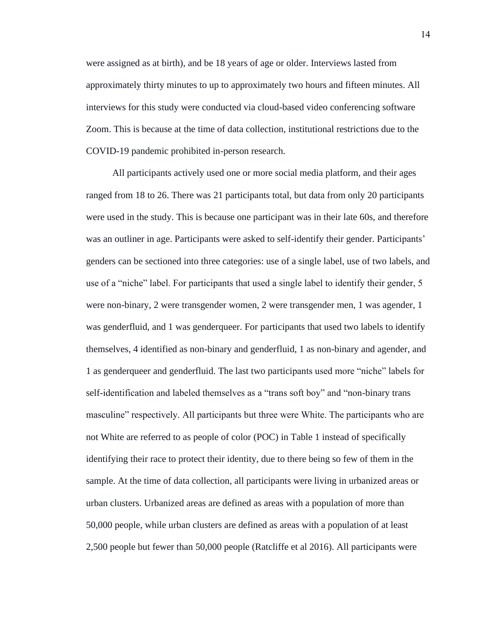were assigned as at birth), and be 18 years of age or older. Interviews lasted from approximately thirty minutes to up to approximately two hours and fifteen minutes. All interviews for this study were conducted via cloud-based video conferencing software Zoom. This is because at the time of data collection, institutional restrictions due to the COVID-19 pandemic prohibited in-person research.

All participants actively used one or more social media platform, and their ages ranged from 18 to 26. There was 21 participants total, but data from only 20 participants were used in the study. This is because one participant was in their late 60s, and therefore was an outliner in age. Participants were asked to self-identify their gender. Participants' genders can be sectioned into three categories: use of a single label, use of two labels, and use of a "niche" label. For participants that used a single label to identify their gender, 5 were non-binary, 2 were transgender women, 2 were transgender men, 1 was agender, 1 was genderfluid, and 1 was genderqueer. For participants that used two labels to identify themselves, 4 identified as non-binary and genderfluid, 1 as non-binary and agender, and 1 as genderqueer and genderfluid. The last two participants used more "niche" labels for self-identification and labeled themselves as a "trans soft boy" and "non-binary trans masculine" respectively. All participants but three were White. The participants who are not White are referred to as people of color (POC) in Table 1 instead of specifically identifying their race to protect their identity, due to there being so few of them in the sample. At the time of data collection, all participants were living in urbanized areas or urban clusters. Urbanized areas are defined as areas with a population of more than 50,000 people, while urban clusters are defined as areas with a population of at least 2,500 people but fewer than 50,000 people (Ratcliffe et al 2016). All participants were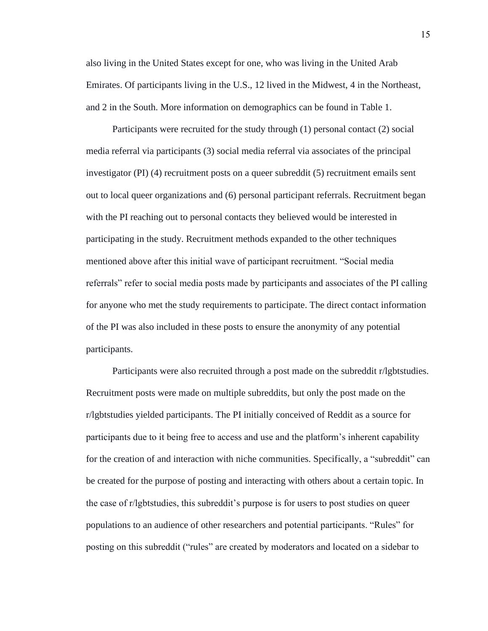also living in the United States except for one, who was living in the United Arab Emirates. Of participants living in the U.S., 12 lived in the Midwest, 4 in the Northeast, and 2 in the South. More information on demographics can be found in Table 1.

Participants were recruited for the study through (1) personal contact (2) social media referral via participants (3) social media referral via associates of the principal investigator (PI) (4) recruitment posts on a queer subreddit (5) recruitment emails sent out to local queer organizations and (6) personal participant referrals. Recruitment began with the PI reaching out to personal contacts they believed would be interested in participating in the study. Recruitment methods expanded to the other techniques mentioned above after this initial wave of participant recruitment. "Social media referrals" refer to social media posts made by participants and associates of the PI calling for anyone who met the study requirements to participate. The direct contact information of the PI was also included in these posts to ensure the anonymity of any potential participants.

Participants were also recruited through a post made on the subreddit r/lgbtstudies. Recruitment posts were made on multiple subreddits, but only the post made on the r/lgbtstudies yielded participants. The PI initially conceived of Reddit as a source for participants due to it being free to access and use and the platform's inherent capability for the creation of and interaction with niche communities. Specifically, a "subreddit" can be created for the purpose of posting and interacting with others about a certain topic. In the case of r/lgbtstudies, this subreddit's purpose is for users to post studies on queer populations to an audience of other researchers and potential participants. "Rules" for posting on this subreddit ("rules" are created by moderators and located on a sidebar to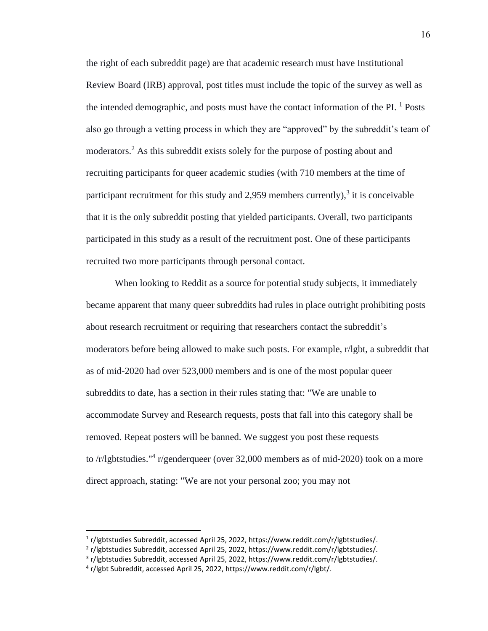the right of each subreddit page) are that academic research must have Institutional Review Board (IRB) approval, post titles must include the topic of the survey as well as the intended demographic, and posts must have the contact information of the PI.  $<sup>1</sup>$  Posts</sup> also go through a vetting process in which they are "approved" by the subreddit's team of moderators. <sup>2</sup> As this subreddit exists solely for the purpose of posting about and recruiting participants for queer academic studies (with 710 members at the time of participant recruitment for this study and 2,959 members currently), $3$  it is conceivable that it is the only subreddit posting that yielded participants. Overall, two participants participated in this study as a result of the recruitment post. One of these participants recruited two more participants through personal contact.

When looking to Reddit as a source for potential study subjects, it immediately became apparent that many queer subreddits had rules in place outright prohibiting posts about research recruitment or requiring that researchers contact the subreddit's moderators before being allowed to make such posts. For example, r/lgbt, a subreddit that as of mid-2020 had over 523,000 members and is one of the most popular queer subreddits to date, has a section in their rules stating that: "We are unable to accommodate Survey and Research requests, posts that fall into this category shall be removed. Repeat posters will be banned. We suggest you post these requests to /r/lgbtstudies."<sup>4</sup> r/genderqueer (over 32,000 members as of mid-2020) took on a more direct approach, stating: "We are not your personal zoo; you may not

<sup>&</sup>lt;sup>1</sup> r/lgbtstudies Subreddit, accessed April 25, 2022, https://www.reddit.com/r/lgbtstudies/.

<sup>&</sup>lt;sup>2</sup> r/lgbtstudies Subreddit, accessed April 25, 2022, https://www.reddit.com/r/lgbtstudies/.

<sup>&</sup>lt;sup>3</sup> r/lgbtstudies Subreddit, accessed April 25, 2022, https://www.reddit.com/r/lgbtstudies/.

<sup>4</sup> r/lgbt Subreddit, accessed April 25, 2022, https://www.reddit.com/r/lgbt/.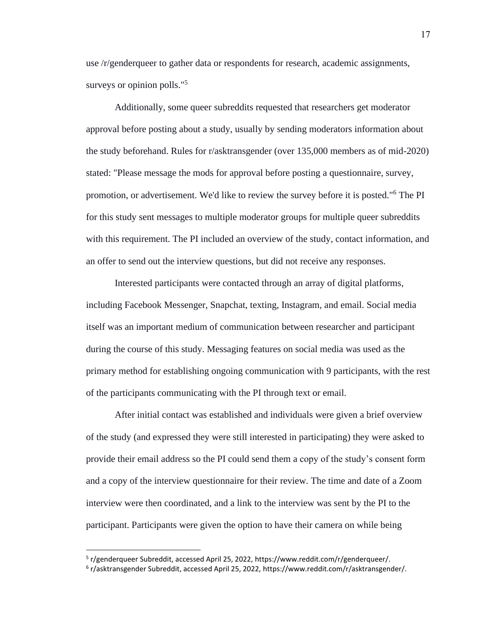use /r/genderqueer to gather data or respondents for research, academic assignments, surveys or opinion polls."<sup>5</sup>

Additionally, some queer subreddits requested that researchers get moderator approval before posting about a study, usually by sending moderators information about the study beforehand. Rules for r/asktransgender (over 135,000 members as of mid-2020) stated: "Please message the mods for approval before posting a questionnaire, survey, promotion, or advertisement. We'd like to review the survey before it is posted."<sup>6</sup> The PI for this study sent messages to multiple moderator groups for multiple queer subreddits with this requirement. The PI included an overview of the study, contact information, and an offer to send out the interview questions, but did not receive any responses.

Interested participants were contacted through an array of digital platforms, including Facebook Messenger, Snapchat, texting, Instagram, and email. Social media itself was an important medium of communication between researcher and participant during the course of this study. Messaging features on social media was used as the primary method for establishing ongoing communication with 9 participants, with the rest of the participants communicating with the PI through text or email.

After initial contact was established and individuals were given a brief overview of the study (and expressed they were still interested in participating) they were asked to provide their email address so the PI could send them a copy of the study's consent form and a copy of the interview questionnaire for their review. The time and date of a Zoom interview were then coordinated, and a link to the interview was sent by the PI to the participant. Participants were given the option to have their camera on while being

<sup>&</sup>lt;sup>5</sup> r/genderqueer Subreddit, accessed April 25, 2022, https://www.reddit.com/r/genderqueer/.

<sup>&</sup>lt;sup>6</sup> r/asktransgender Subreddit, accessed April 25, 2022, https://www.reddit.com/r/asktransgender/.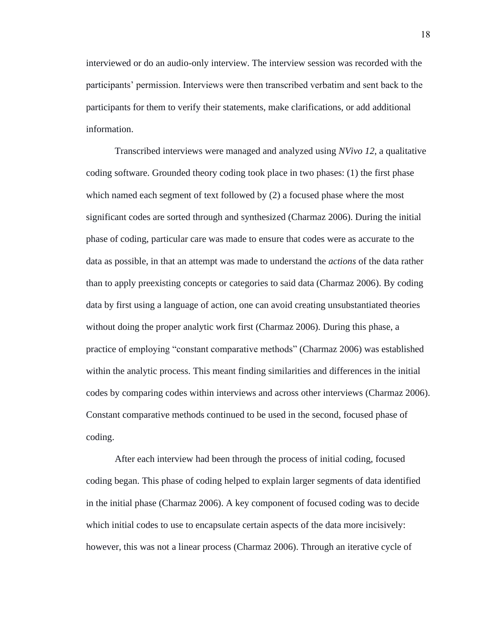interviewed or do an audio-only interview. The interview session was recorded with the participants' permission. Interviews were then transcribed verbatim and sent back to the participants for them to verify their statements, make clarifications, or add additional information.

Transcribed interviews were managed and analyzed using *NVivo 12*, a qualitative coding software. Grounded theory coding took place in two phases: (1) the first phase which named each segment of text followed by (2) a focused phase where the most significant codes are sorted through and synthesized (Charmaz 2006). During the initial phase of coding, particular care was made to ensure that codes were as accurate to the data as possible, in that an attempt was made to understand the *actions* of the data rather than to apply preexisting concepts or categories to said data (Charmaz 2006). By coding data by first using a language of action, one can avoid creating unsubstantiated theories without doing the proper analytic work first (Charmaz 2006). During this phase, a practice of employing "constant comparative methods" (Charmaz 2006) was established within the analytic process. This meant finding similarities and differences in the initial codes by comparing codes within interviews and across other interviews (Charmaz 2006). Constant comparative methods continued to be used in the second, focused phase of coding.

After each interview had been through the process of initial coding, focused coding began. This phase of coding helped to explain larger segments of data identified in the initial phase (Charmaz 2006). A key component of focused coding was to decide which initial codes to use to encapsulate certain aspects of the data more incisively: however, this was not a linear process (Charmaz 2006). Through an iterative cycle of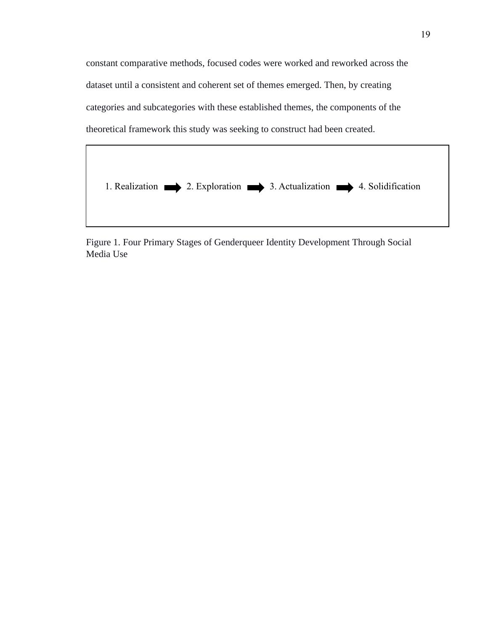constant comparative methods, focused codes were worked and reworked across the dataset until a consistent and coherent set of themes emerged. Then, by creating categories and subcategories with these established themes, the components of the theoretical framework this study was seeking to construct had been created.



Figure 1. Four Primary Stages of Genderqueer Identity Development Through Social Media Use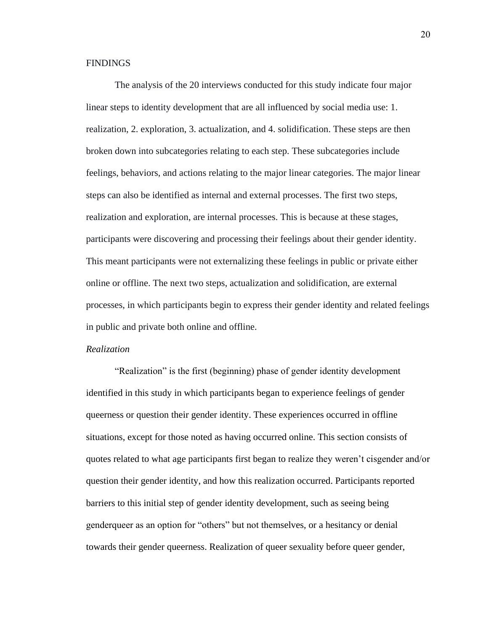### FINDINGS

The analysis of the 20 interviews conducted for this study indicate four major linear steps to identity development that are all influenced by social media use: 1. realization, 2. exploration, 3. actualization, and 4. solidification. These steps are then broken down into subcategories relating to each step. These subcategories include feelings, behaviors, and actions relating to the major linear categories. The major linear steps can also be identified as internal and external processes. The first two steps, realization and exploration, are internal processes. This is because at these stages, participants were discovering and processing their feelings about their gender identity. This meant participants were not externalizing these feelings in public or private either online or offline. The next two steps, actualization and solidification, are external processes, in which participants begin to express their gender identity and related feelings in public and private both online and offline.

#### *Realization*

"Realization" is the first (beginning) phase of gender identity development identified in this study in which participants began to experience feelings of gender queerness or question their gender identity. These experiences occurred in offline situations, except for those noted as having occurred online. This section consists of quotes related to what age participants first began to realize they weren't cisgender and/or question their gender identity, and how this realization occurred. Participants reported barriers to this initial step of gender identity development, such as seeing being genderqueer as an option for "others" but not themselves, or a hesitancy or denial towards their gender queerness. Realization of queer sexuality before queer gender,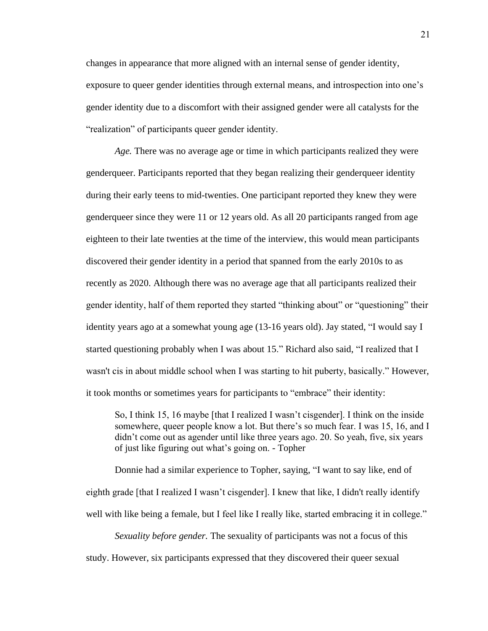changes in appearance that more aligned with an internal sense of gender identity, exposure to queer gender identities through external means, and introspection into one's gender identity due to a discomfort with their assigned gender were all catalysts for the "realization" of participants queer gender identity.

*Age.* There was no average age or time in which participants realized they were genderqueer. Participants reported that they began realizing their genderqueer identity during their early teens to mid-twenties. One participant reported they knew they were genderqueer since they were 11 or 12 years old. As all 20 participants ranged from age eighteen to their late twenties at the time of the interview, this would mean participants discovered their gender identity in a period that spanned from the early 2010s to as recently as 2020. Although there was no average age that all participants realized their gender identity, half of them reported they started "thinking about" or "questioning" their identity years ago at a somewhat young age (13-16 years old). Jay stated, "I would say I started questioning probably when I was about 15." Richard also said, "I realized that I wasn't cis in about middle school when I was starting to hit puberty, basically." However, it took months or sometimes years for participants to "embrace" their identity:

So, I think 15, 16 maybe [that I realized I wasn't cisgender]. I think on the inside somewhere, queer people know a lot. But there's so much fear. I was 15, 16, and I didn't come out as agender until like three years ago. 20. So yeah, five, six years of just like figuring out what's going on. - Topher

Donnie had a similar experience to Topher, saying, "I want to say like, end of eighth grade [that I realized I wasn't cisgender]. I knew that like, I didn't really identify well with like being a female, but I feel like I really like, started embracing it in college."

*Sexuality before gender.* The sexuality of participants was not a focus of this study. However, six participants expressed that they discovered their queer sexual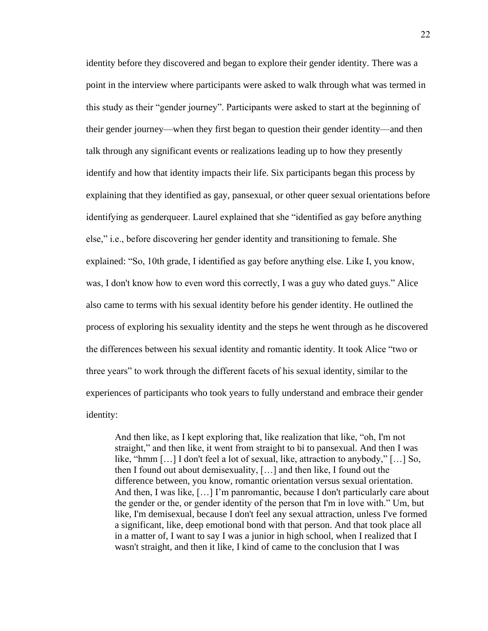identity before they discovered and began to explore their gender identity. There was a point in the interview where participants were asked to walk through what was termed in this study as their "gender journey". Participants were asked to start at the beginning of their gender journey—when they first began to question their gender identity—and then talk through any significant events or realizations leading up to how they presently identify and how that identity impacts their life. Six participants began this process by explaining that they identified as gay, pansexual, or other queer sexual orientations before identifying as genderqueer. Laurel explained that she "identified as gay before anything else," i.e., before discovering her gender identity and transitioning to female. She explained: "So, 10th grade, I identified as gay before anything else. Like I, you know, was, I don't know how to even word this correctly, I was a guy who dated guys." Alice also came to terms with his sexual identity before his gender identity. He outlined the process of exploring his sexuality identity and the steps he went through as he discovered the differences between his sexual identity and romantic identity. It took Alice "two or three years" to work through the different facets of his sexual identity, similar to the experiences of participants who took years to fully understand and embrace their gender identity:

And then like, as I kept exploring that, like realization that like, "oh, I'm not straight," and then like, it went from straight to bi to pansexual. And then I was like, "hmm […] I don't feel a lot of sexual, like, attraction to anybody," […] So, then I found out about demisexuality, […] and then like, I found out the difference between, you know, romantic orientation versus sexual orientation. And then, I was like, […] I'm panromantic, because I don't particularly care about the gender or the, or gender identity of the person that I'm in love with." Um, but like, I'm demisexual, because I don't feel any sexual attraction, unless I've formed a significant, like, deep emotional bond with that person. And that took place all in a matter of, I want to say I was a junior in high school, when I realized that I wasn't straight, and then it like, I kind of came to the conclusion that I was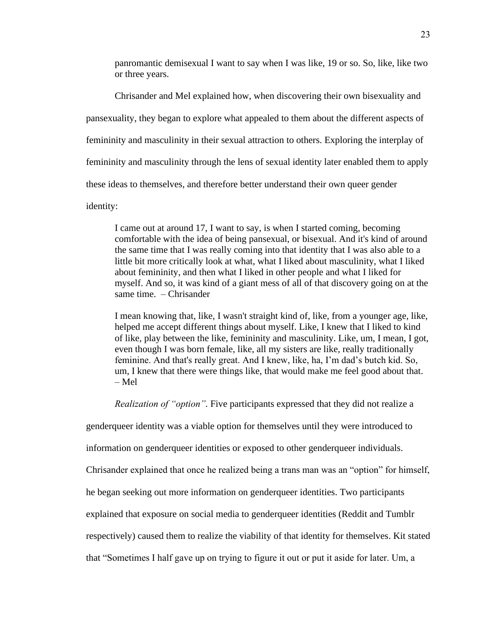panromantic demisexual I want to say when I was like, 19 or so. So, like, like two or three years.

Chrisander and Mel explained how, when discovering their own bisexuality and pansexuality, they began to explore what appealed to them about the different aspects of femininity and masculinity in their sexual attraction to others. Exploring the interplay of femininity and masculinity through the lens of sexual identity later enabled them to apply these ideas to themselves, and therefore better understand their own queer gender identity:

I came out at around 17, I want to say, is when I started coming, becoming comfortable with the idea of being pansexual, or bisexual. And it's kind of around the same time that I was really coming into that identity that I was also able to a little bit more critically look at what, what I liked about masculinity, what I liked about femininity, and then what I liked in other people and what I liked for myself. And so, it was kind of a giant mess of all of that discovery going on at the same time. – Chrisander

I mean knowing that, like, I wasn't straight kind of, like, from a younger age, like, helped me accept different things about myself. Like, I knew that I liked to kind of like, play between the like, femininity and masculinity. Like, um, I mean, I got, even though I was born female, like, all my sisters are like, really traditionally feminine. And that's really great. And I knew, like, ha, I'm dad's butch kid. So, um, I knew that there were things like, that would make me feel good about that. – Mel

*Realization of "option".* Five participants expressed that they did not realize a

genderqueer identity was a viable option for themselves until they were introduced to

information on genderqueer identities or exposed to other genderqueer individuals.

Chrisander explained that once he realized being a trans man was an "option" for himself,

he began seeking out more information on genderqueer identities. Two participants

explained that exposure on social media to genderqueer identities (Reddit and Tumblr

respectively) caused them to realize the viability of that identity for themselves. Kit stated

that "Sometimes I half gave up on trying to figure it out or put it aside for later. Um, a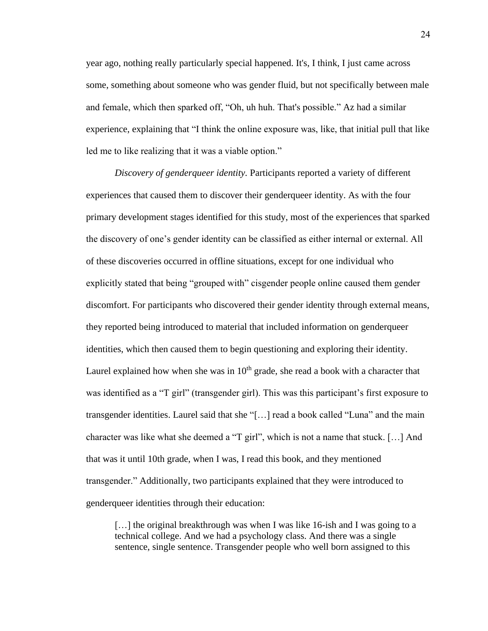year ago, nothing really particularly special happened. It's, I think, I just came across some, something about someone who was gender fluid, but not specifically between male and female, which then sparked off, "Oh, uh huh. That's possible." Az had a similar experience, explaining that "I think the online exposure was, like, that initial pull that like led me to like realizing that it was a viable option."

*Discovery of genderqueer identity.* Participants reported a variety of different experiences that caused them to discover their genderqueer identity. As with the four primary development stages identified for this study, most of the experiences that sparked the discovery of one's gender identity can be classified as either internal or external. All of these discoveries occurred in offline situations, except for one individual who explicitly stated that being "grouped with" cisgender people online caused them gender discomfort. For participants who discovered their gender identity through external means, they reported being introduced to material that included information on genderqueer identities, which then caused them to begin questioning and exploring their identity. Laurel explained how when she was in  $10<sup>th</sup>$  grade, she read a book with a character that was identified as a "T girl" (transgender girl). This was this participant's first exposure to transgender identities. Laurel said that she "[…] read a book called "Luna" and the main character was like what she deemed a "T girl", which is not a name that stuck. […] And that was it until 10th grade, when I was, I read this book, and they mentioned transgender." Additionally, two participants explained that they were introduced to genderqueer identities through their education:

[...] the original breakthrough was when I was like 16-ish and I was going to a technical college. And we had a psychology class. And there was a single sentence, single sentence. Transgender people who well born assigned to this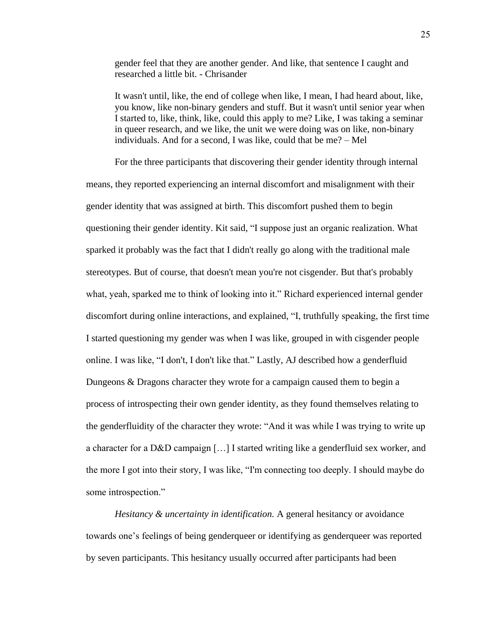gender feel that they are another gender. And like, that sentence I caught and researched a little bit. - Chrisander

It wasn't until, like, the end of college when like, I mean, I had heard about, like, you know, like non-binary genders and stuff. But it wasn't until senior year when I started to, like, think, like, could this apply to me? Like, I was taking a seminar in queer research, and we like, the unit we were doing was on like, non-binary individuals. And for a second, I was like, could that be me? – Mel

For the three participants that discovering their gender identity through internal means, they reported experiencing an internal discomfort and misalignment with their gender identity that was assigned at birth. This discomfort pushed them to begin questioning their gender identity. Kit said, "I suppose just an organic realization. What sparked it probably was the fact that I didn't really go along with the traditional male stereotypes. But of course, that doesn't mean you're not cisgender. But that's probably what, yeah, sparked me to think of looking into it." Richard experienced internal gender discomfort during online interactions, and explained, "I, truthfully speaking, the first time I started questioning my gender was when I was like, grouped in with cisgender people online. I was like, "I don't, I don't like that." Lastly, AJ described how a genderfluid Dungeons & Dragons character they wrote for a campaign caused them to begin a process of introspecting their own gender identity, as they found themselves relating to the genderfluidity of the character they wrote: "And it was while I was trying to write up a character for a D&D campaign […] I started writing like a genderfluid sex worker, and the more I got into their story, I was like, "I'm connecting too deeply. I should maybe do some introspection."

*Hesitancy & uncertainty in identification.* A general hesitancy or avoidance towards one's feelings of being genderqueer or identifying as genderqueer was reported by seven participants. This hesitancy usually occurred after participants had been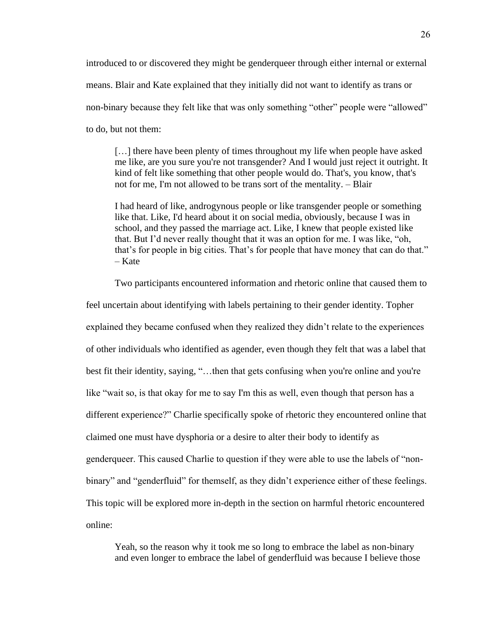introduced to or discovered they might be genderqueer through either internal or external means. Blair and Kate explained that they initially did not want to identify as trans or non-binary because they felt like that was only something "other" people were "allowed" to do, but not them:

[…] there have been plenty of times throughout my life when people have asked me like, are you sure you're not transgender? And I would just reject it outright. It kind of felt like something that other people would do. That's, you know, that's not for me, I'm not allowed to be trans sort of the mentality. – Blair

I had heard of like, androgynous people or like transgender people or something like that. Like, I'd heard about it on social media, obviously, because I was in school, and they passed the marriage act. Like, I knew that people existed like that. But I'd never really thought that it was an option for me. I was like, "oh, that's for people in big cities. That's for people that have money that can do that." – Kate

Two participants encountered information and rhetoric online that caused them to

feel uncertain about identifying with labels pertaining to their gender identity. Topher explained they became confused when they realized they didn't relate to the experiences of other individuals who identified as agender, even though they felt that was a label that best fit their identity, saying, "…then that gets confusing when you're online and you're like "wait so, is that okay for me to say I'm this as well, even though that person has a different experience?" Charlie specifically spoke of rhetoric they encountered online that claimed one must have dysphoria or a desire to alter their body to identify as genderqueer. This caused Charlie to question if they were able to use the labels of "nonbinary" and "genderfluid" for themself, as they didn't experience either of these feelings. This topic will be explored more in-depth in the section on harmful rhetoric encountered online:

Yeah, so the reason why it took me so long to embrace the label as non-binary and even longer to embrace the label of genderfluid was because I believe those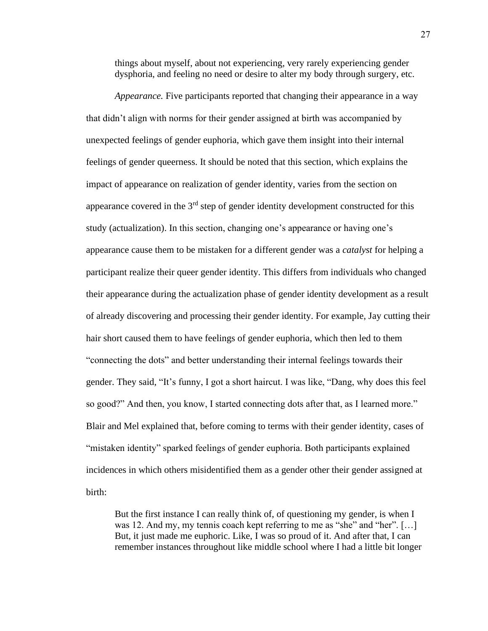things about myself, about not experiencing, very rarely experiencing gender dysphoria, and feeling no need or desire to alter my body through surgery, etc.

*Appearance*. Five participants reported that changing their appearance in a way that didn't align with norms for their gender assigned at birth was accompanied by unexpected feelings of gender euphoria, which gave them insight into their internal feelings of gender queerness. It should be noted that this section, which explains the impact of appearance on realization of gender identity, varies from the section on appearance covered in the  $3<sup>rd</sup>$  step of gender identity development constructed for this study (actualization). In this section, changing one's appearance or having one's appearance cause them to be mistaken for a different gender was a *catalyst* for helping a participant realize their queer gender identity. This differs from individuals who changed their appearance during the actualization phase of gender identity development as a result of already discovering and processing their gender identity. For example, Jay cutting their hair short caused them to have feelings of gender euphoria, which then led to them "connecting the dots" and better understanding their internal feelings towards their gender. They said, "It's funny, I got a short haircut. I was like, "Dang, why does this feel so good?" And then, you know, I started connecting dots after that, as I learned more." Blair and Mel explained that, before coming to terms with their gender identity, cases of "mistaken identity" sparked feelings of gender euphoria. Both participants explained incidences in which others misidentified them as a gender other their gender assigned at birth:

But the first instance I can really think of, of questioning my gender, is when I was 12. And my, my tennis coach kept referring to me as "she" and "her". […] But, it just made me euphoric. Like, I was so proud of it. And after that, I can remember instances throughout like middle school where I had a little bit longer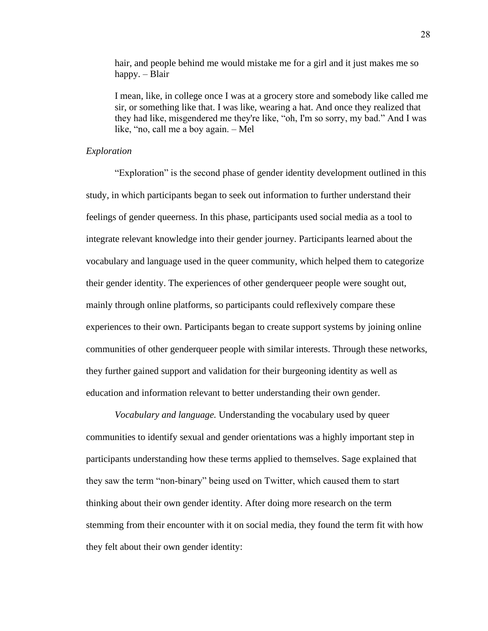hair, and people behind me would mistake me for a girl and it just makes me so happy. – Blair

I mean, like, in college once I was at a grocery store and somebody like called me sir, or something like that. I was like, wearing a hat. And once they realized that they had like, misgendered me they're like, "oh, I'm so sorry, my bad." And I was like, "no, call me a boy again. – Mel

### *Exploration*

"Exploration" is the second phase of gender identity development outlined in this study, in which participants began to seek out information to further understand their feelings of gender queerness. In this phase, participants used social media as a tool to integrate relevant knowledge into their gender journey. Participants learned about the vocabulary and language used in the queer community, which helped them to categorize their gender identity. The experiences of other genderqueer people were sought out, mainly through online platforms, so participants could reflexively compare these experiences to their own. Participants began to create support systems by joining online communities of other genderqueer people with similar interests. Through these networks, they further gained support and validation for their burgeoning identity as well as education and information relevant to better understanding their own gender.

*Vocabulary and language.* Understanding the vocabulary used by queer communities to identify sexual and gender orientations was a highly important step in participants understanding how these terms applied to themselves. Sage explained that they saw the term "non-binary" being used on Twitter, which caused them to start thinking about their own gender identity. After doing more research on the term stemming from their encounter with it on social media, they found the term fit with how they felt about their own gender identity: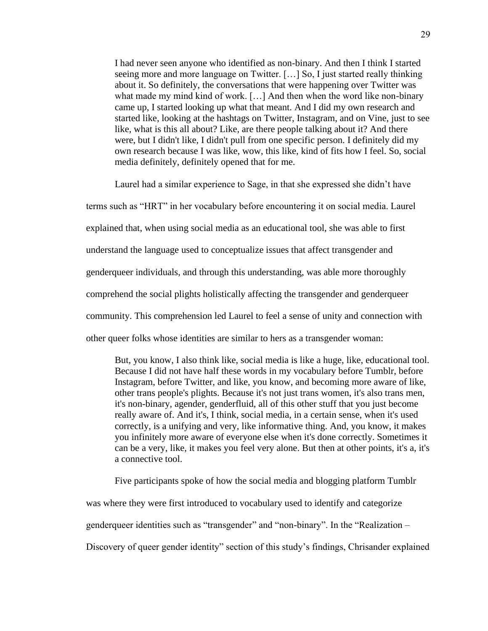I had never seen anyone who identified as non-binary. And then I think I started seeing more and more language on Twitter. […] So, I just started really thinking about it. So definitely, the conversations that were happening over Twitter was what made my mind kind of work. […] And then when the word like non-binary came up, I started looking up what that meant. And I did my own research and started like, looking at the hashtags on Twitter, Instagram, and on Vine, just to see like, what is this all about? Like, are there people talking about it? And there were, but I didn't like, I didn't pull from one specific person. I definitely did my own research because I was like, wow, this like, kind of fits how I feel. So, social media definitely, definitely opened that for me.

Laurel had a similar experience to Sage, in that she expressed she didn't have terms such as "HRT" in her vocabulary before encountering it on social media. Laurel explained that, when using social media as an educational tool, she was able to first understand the language used to conceptualize issues that affect transgender and genderqueer individuals, and through this understanding, was able more thoroughly comprehend the social plights holistically affecting the transgender and genderqueer community. This comprehension led Laurel to feel a sense of unity and connection with other queer folks whose identities are similar to hers as a transgender woman:

But, you know, I also think like, social media is like a huge, like, educational tool. Because I did not have half these words in my vocabulary before Tumblr, before Instagram, before Twitter, and like, you know, and becoming more aware of like, other trans people's plights. Because it's not just trans women, it's also trans men, it's non-binary, agender, genderfluid, all of this other stuff that you just become really aware of. And it's, I think, social media, in a certain sense, when it's used correctly, is a unifying and very, like informative thing. And, you know, it makes you infinitely more aware of everyone else when it's done correctly. Sometimes it can be a very, like, it makes you feel very alone. But then at other points, it's a, it's a connective tool.

Five participants spoke of how the social media and blogging platform Tumblr

was where they were first introduced to vocabulary used to identify and categorize

genderqueer identities such as "transgender" and "non-binary". In the "Realization –

Discovery of queer gender identity" section of this study's findings, Chrisander explained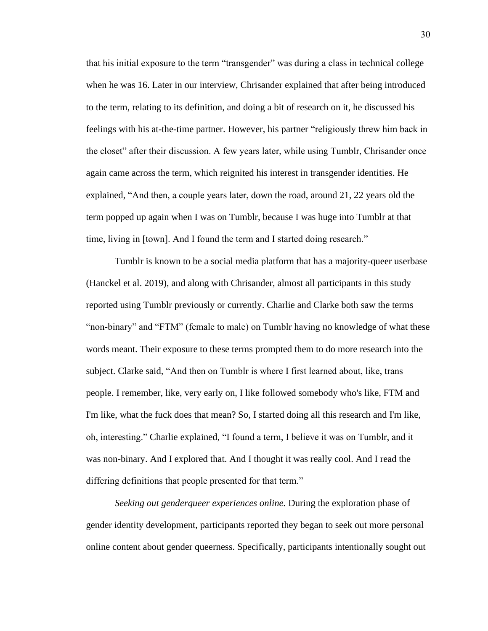that his initial exposure to the term "transgender" was during a class in technical college when he was 16. Later in our interview, Chrisander explained that after being introduced to the term, relating to its definition, and doing a bit of research on it, he discussed his feelings with his at-the-time partner. However, his partner "religiously threw him back in the closet" after their discussion. A few years later, while using Tumblr, Chrisander once again came across the term, which reignited his interest in transgender identities. He explained, "And then, a couple years later, down the road, around 21, 22 years old the term popped up again when I was on Tumblr, because I was huge into Tumblr at that time, living in [town]. And I found the term and I started doing research."

Tumblr is known to be a social media platform that has a majority-queer userbase (Hanckel et al. 2019), and along with Chrisander, almost all participants in this study reported using Tumblr previously or currently. Charlie and Clarke both saw the terms "non-binary" and "FTM" (female to male) on Tumblr having no knowledge of what these words meant. Their exposure to these terms prompted them to do more research into the subject. Clarke said, "And then on Tumblr is where I first learned about, like, trans people. I remember, like, very early on, I like followed somebody who's like, FTM and I'm like, what the fuck does that mean? So, I started doing all this research and I'm like, oh, interesting." Charlie explained, "I found a term, I believe it was on Tumblr, and it was non-binary. And I explored that. And I thought it was really cool. And I read the differing definitions that people presented for that term."

*Seeking out genderqueer experiences online.* During the exploration phase of gender identity development, participants reported they began to seek out more personal online content about gender queerness. Specifically, participants intentionally sought out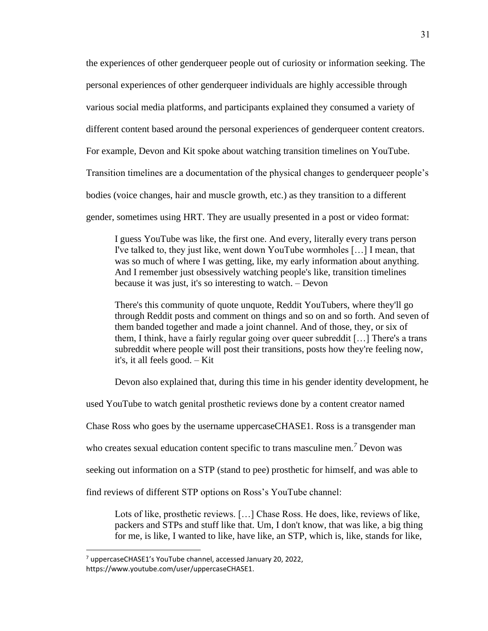the experiences of other genderqueer people out of curiosity or information seeking. The

personal experiences of other genderqueer individuals are highly accessible through

various social media platforms, and participants explained they consumed a variety of

different content based around the personal experiences of genderqueer content creators.

For example, Devon and Kit spoke about watching transition timelines on YouTube.

Transition timelines are a documentation of the physical changes to genderqueer people's

bodies (voice changes, hair and muscle growth, etc.) as they transition to a different

gender, sometimes using HRT. They are usually presented in a post or video format:

I guess YouTube was like, the first one. And every, literally every trans person I've talked to, they just like, went down YouTube wormholes […] I mean, that was so much of where I was getting, like, my early information about anything. And I remember just obsessively watching people's like, transition timelines because it was just, it's so interesting to watch. – Devon

There's this community of quote unquote, Reddit YouTubers, where they'll go through Reddit posts and comment on things and so on and so forth. And seven of them banded together and made a joint channel. And of those, they, or six of them, I think, have a fairly regular going over queer subreddit […] There's a trans subreddit where people will post their transitions, posts how they're feeling now, it's, it all feels good. – Kit

Devon also explained that, during this time in his gender identity development, he

used YouTube to watch genital prosthetic reviews done by a content creator named

Chase Ross who goes by the username uppercaseCHASE1. Ross is a transgender man

who creates sexual education content specific to trans masculine men.*<sup>7</sup>* Devon was

seeking out information on a STP (stand to pee) prosthetic for himself, and was able to

find reviews of different STP options on Ross's YouTube channel:

Lots of like, prosthetic reviews. […] Chase Ross. He does, like, reviews of like, packers and STPs and stuff like that. Um, I don't know, that was like, a big thing for me, is like, I wanted to like, have like, an STP, which is, like, stands for like,

 $7$  uppercaseCHASE1's YouTube channel, accessed January 20, 2022,

https://www.youtube.com/user/uppercaseCHASE1.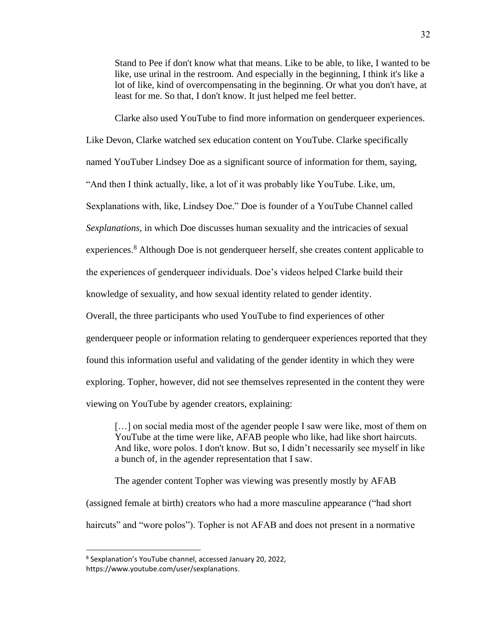Stand to Pee if don't know what that means. Like to be able, to like, I wanted to be like, use urinal in the restroom. And especially in the beginning, I think it's like a lot of like, kind of overcompensating in the beginning. Or what you don't have, at least for me. So that, I don't know. It just helped me feel better.

Clarke also used YouTube to find more information on genderqueer experiences.

Like Devon, Clarke watched sex education content on YouTube. Clarke specifically

named YouTuber Lindsey Doe as a significant source of information for them, saying,

"And then I think actually, like, a lot of it was probably like YouTube. Like, um,

Sexplanations with, like, Lindsey Doe." Doe is founder of a YouTube Channel called

*Sexplanations,* in which Doe discusses human sexuality and the intricacies of sexual

experiences.<sup>8</sup> Although Doe is not genderqueer herself, she creates content applicable to

the experiences of genderqueer individuals. Doe's videos helped Clarke build their

knowledge of sexuality, and how sexual identity related to gender identity.

Overall, the three participants who used YouTube to find experiences of other

genderqueer people or information relating to genderqueer experiences reported that they

found this information useful and validating of the gender identity in which they were

exploring. Topher, however, did not see themselves represented in the content they were

viewing on YouTube by agender creators, explaining:

[...] on social media most of the agender people I saw were like, most of them on YouTube at the time were like, AFAB people who like, had like short haircuts. And like, wore polos. I don't know. But so, I didn't necessarily see myself in like a bunch of, in the agender representation that I saw.

The agender content Topher was viewing was presently mostly by AFAB (assigned female at birth) creators who had a more masculine appearance ("had short haircuts" and "wore polos"). Topher is not AFAB and does not present in a normative

<sup>8</sup> Sexplanation's YouTube channel, accessed January 20, 2022,

https://www.youtube.com/user/sexplanations.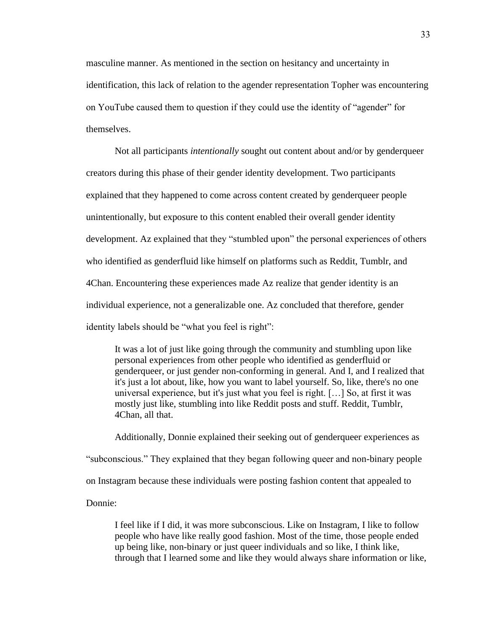masculine manner. As mentioned in the section on hesitancy and uncertainty in identification, this lack of relation to the agender representation Topher was encountering on YouTube caused them to question if they could use the identity of "agender" for themselves.

Not all participants *intentionally* sought out content about and/or by genderqueer creators during this phase of their gender identity development. Two participants explained that they happened to come across content created by genderqueer people unintentionally, but exposure to this content enabled their overall gender identity development. Az explained that they "stumbled upon" the personal experiences of others who identified as genderfluid like himself on platforms such as Reddit, Tumblr, and 4Chan. Encountering these experiences made Az realize that gender identity is an individual experience, not a generalizable one. Az concluded that therefore, gender identity labels should be "what you feel is right":

It was a lot of just like going through the community and stumbling upon like personal experiences from other people who identified as genderfluid or genderqueer, or just gender non-conforming in general. And I, and I realized that it's just a lot about, like, how you want to label yourself. So, like, there's no one universal experience, but it's just what you feel is right. […] So, at first it was mostly just like, stumbling into like Reddit posts and stuff. Reddit, Tumblr, 4Chan, all that.

Additionally, Donnie explained their seeking out of genderqueer experiences as "subconscious." They explained that they began following queer and non-binary people on Instagram because these individuals were posting fashion content that appealed to Donnie:

I feel like if I did, it was more subconscious. Like on Instagram, I like to follow people who have like really good fashion. Most of the time, those people ended up being like, non-binary or just queer individuals and so like, I think like, through that I learned some and like they would always share information or like,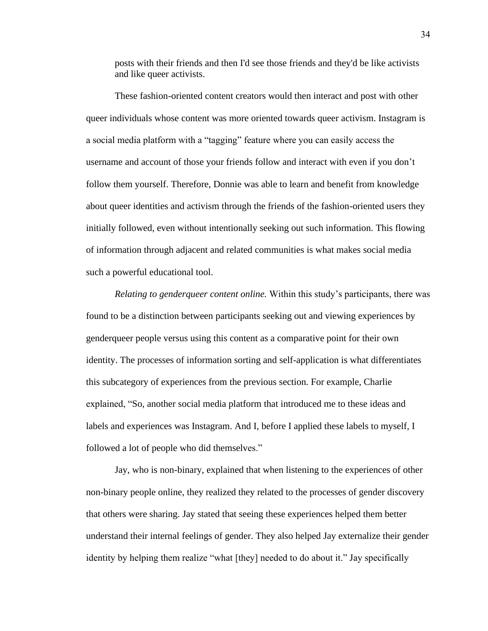posts with their friends and then I'd see those friends and they'd be like activists and like queer activists.

These fashion-oriented content creators would then interact and post with other queer individuals whose content was more oriented towards queer activism. Instagram is a social media platform with a "tagging" feature where you can easily access the username and account of those your friends follow and interact with even if you don't follow them yourself. Therefore, Donnie was able to learn and benefit from knowledge about queer identities and activism through the friends of the fashion-oriented users they initially followed, even without intentionally seeking out such information. This flowing of information through adjacent and related communities is what makes social media such a powerful educational tool.

*Relating to genderqueer content online.* Within this study's participants, there was found to be a distinction between participants seeking out and viewing experiences by genderqueer people versus using this content as a comparative point for their own identity. The processes of information sorting and self-application is what differentiates this subcategory of experiences from the previous section. For example, Charlie explained, "So, another social media platform that introduced me to these ideas and labels and experiences was Instagram. And I, before I applied these labels to myself, I followed a lot of people who did themselves."

Jay, who is non-binary, explained that when listening to the experiences of other non-binary people online, they realized they related to the processes of gender discovery that others were sharing. Jay stated that seeing these experiences helped them better understand their internal feelings of gender. They also helped Jay externalize their gender identity by helping them realize "what [they] needed to do about it." Jay specifically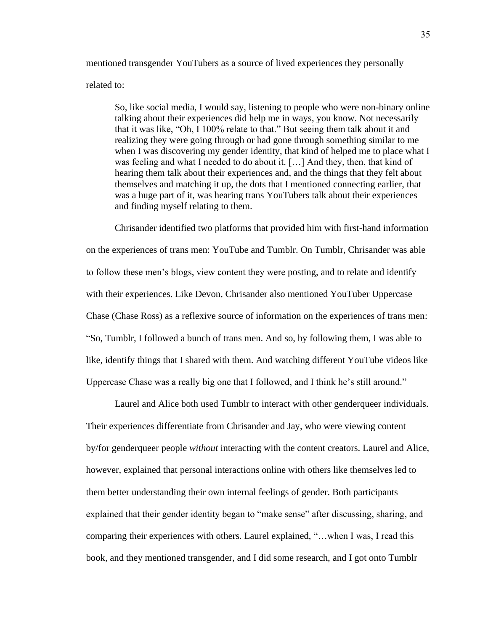mentioned transgender YouTubers as a source of lived experiences they personally

related to:

So, like social media, I would say, listening to people who were non-binary online talking about their experiences did help me in ways, you know. Not necessarily that it was like, "Oh, I 100% relate to that." But seeing them talk about it and realizing they were going through or had gone through something similar to me when I was discovering my gender identity, that kind of helped me to place what I was feeling and what I needed to do about it. […] And they, then, that kind of hearing them talk about their experiences and, and the things that they felt about themselves and matching it up, the dots that I mentioned connecting earlier, that was a huge part of it, was hearing trans YouTubers talk about their experiences and finding myself relating to them.

Chrisander identified two platforms that provided him with first-hand information on the experiences of trans men: YouTube and Tumblr. On Tumblr, Chrisander was able to follow these men's blogs, view content they were posting, and to relate and identify with their experiences. Like Devon, Chrisander also mentioned YouTuber Uppercase Chase (Chase Ross) as a reflexive source of information on the experiences of trans men: "So, Tumblr, I followed a bunch of trans men. And so, by following them, I was able to like, identify things that I shared with them. And watching different YouTube videos like Uppercase Chase was a really big one that I followed, and I think he's still around."

Laurel and Alice both used Tumblr to interact with other genderqueer individuals. Their experiences differentiate from Chrisander and Jay, who were viewing content by/for genderqueer people *without* interacting with the content creators. Laurel and Alice, however, explained that personal interactions online with others like themselves led to them better understanding their own internal feelings of gender. Both participants explained that their gender identity began to "make sense" after discussing, sharing, and comparing their experiences with others. Laurel explained, "…when I was, I read this book, and they mentioned transgender, and I did some research, and I got onto Tumblr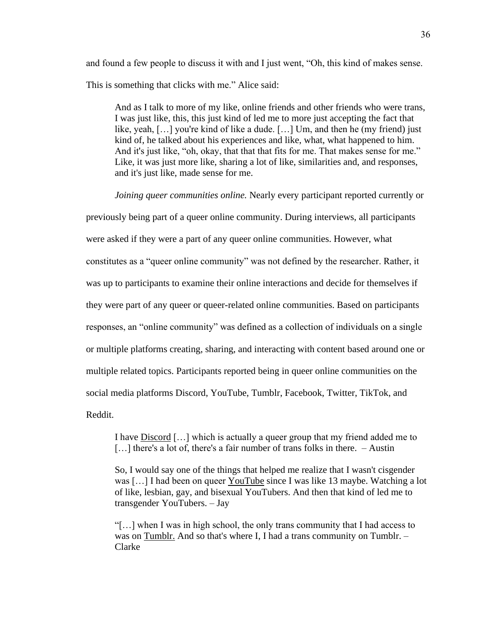and found a few people to discuss it with and I just went, "Oh, this kind of makes sense. This is something that clicks with me." Alice said:

And as I talk to more of my like, online friends and other friends who were trans, I was just like, this, this just kind of led me to more just accepting the fact that like, yeah, […] you're kind of like a dude. […] Um, and then he (my friend) just kind of, he talked about his experiences and like, what, what happened to him. And it's just like, "oh, okay, that that that fits for me. That makes sense for me." Like, it was just more like, sharing a lot of like, similarities and, and responses, and it's just like, made sense for me.

*Joining queer communities online.* Nearly every participant reported currently or

previously being part of a queer online community. During interviews, all participants were asked if they were a part of any queer online communities. However, what constitutes as a "queer online community" was not defined by the researcher. Rather, it was up to participants to examine their online interactions and decide for themselves if they were part of any queer or queer-related online communities. Based on participants responses, an "online community" was defined as a collection of individuals on a single or multiple platforms creating, sharing, and interacting with content based around one or multiple related topics. Participants reported being in queer online communities on the social media platforms Discord, YouTube, Tumblr, Facebook, Twitter, TikTok, and Reddit.

I have Discord […] which is actually a queer group that my friend added me to [...] there's a lot of, there's a fair number of trans folks in there. – Austin

So, I would say one of the things that helped me realize that I wasn't cisgender was […] I had been on queer YouTube since I was like 13 maybe. Watching a lot of like, lesbian, gay, and bisexual YouTubers. And then that kind of led me to transgender YouTubers. – Jay

"[…] when I was in high school, the only trans community that I had access to was on Tumblr. And so that's where I, I had a trans community on Tumblr. – Clarke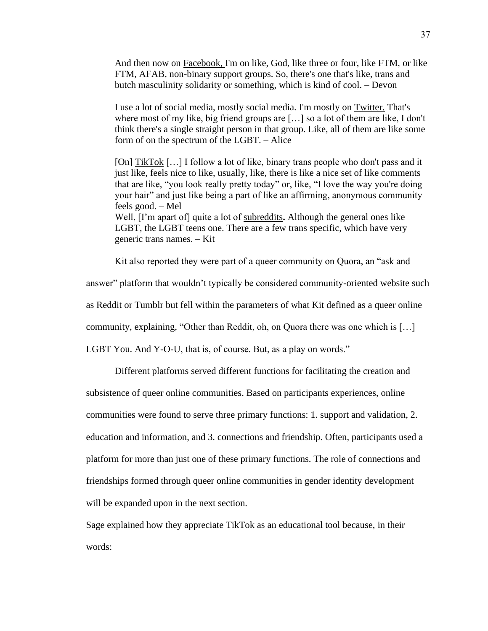And then now on Facebook, I'm on like, God, like three or four, like FTM, or like FTM, AFAB, non-binary support groups. So, there's one that's like, trans and butch masculinity solidarity or something, which is kind of cool. – Devon

I use a lot of social media, mostly social media. I'm mostly on Twitter. That's where most of my like, big friend groups are […] so a lot of them are like, I don't think there's a single straight person in that group. Like, all of them are like some form of on the spectrum of the LGBT. – Alice

[On] TikTok […] I follow a lot of like, binary trans people who don't pass and it just like, feels nice to like, usually, like, there is like a nice set of like comments that are like, "you look really pretty today" or, like, "I love the way you're doing your hair" and just like being a part of like an affirming, anonymous community feels good. – Mel Well, [I'm apart of] quite a lot of subreddits**.** Although the general ones like LGBT, the LGBT teens one. There are a few trans specific, which have very generic trans names. – Kit

Kit also reported they were part of a queer community on Quora, an "ask and

answer" platform that wouldn't typically be considered community-oriented website such as Reddit or Tumblr but fell within the parameters of what Kit defined as a queer online community, explaining, "Other than Reddit, oh, on Quora there was one which is […] LGBT You. And Y-O-U, that is, of course. But, as a play on words."

Different platforms served different functions for facilitating the creation and subsistence of queer online communities. Based on participants experiences, online communities were found to serve three primary functions: 1. support and validation, 2. education and information, and 3. connections and friendship. Often, participants used a platform for more than just one of these primary functions. The role of connections and friendships formed through queer online communities in gender identity development will be expanded upon in the next section.

Sage explained how they appreciate TikTok as an educational tool because, in their words: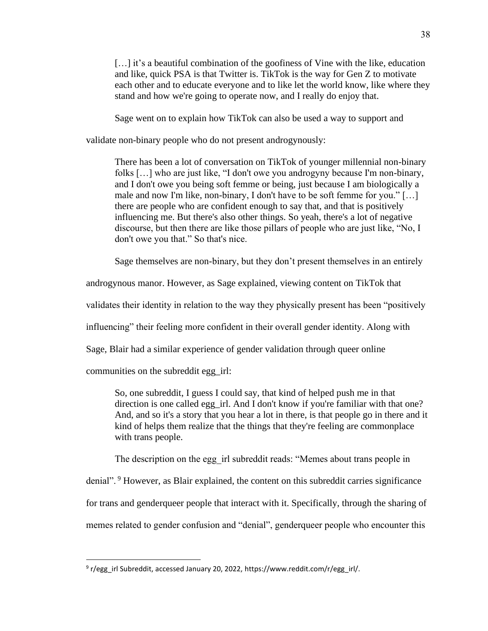[...] it's a beautiful combination of the goofiness of Vine with the like, education and like, quick PSA is that Twitter is. TikTok is the way for Gen Z to motivate each other and to educate everyone and to like let the world know, like where they stand and how we're going to operate now, and I really do enjoy that.

Sage went on to explain how TikTok can also be used a way to support and

validate non-binary people who do not present androgynously:

There has been a lot of conversation on TikTok of younger millennial non-binary folks […] who are just like, "I don't owe you androgyny because I'm non-binary, and I don't owe you being soft femme or being, just because I am biologically a male and now I'm like, non-binary, I don't have to be soft femme for you." […] there are people who are confident enough to say that, and that is positively influencing me. But there's also other things. So yeah, there's a lot of negative discourse, but then there are like those pillars of people who are just like, "No, I don't owe you that." So that's nice.

Sage themselves are non-binary, but they don't present themselves in an entirely

androgynous manor. However, as Sage explained, viewing content on TikTok that

validates their identity in relation to the way they physically present has been "positively

influencing" their feeling more confident in their overall gender identity. Along with

Sage, Blair had a similar experience of gender validation through queer online

communities on the subreddit egg\_irl:

So, one subreddit, I guess I could say, that kind of helped push me in that direction is one called egg irl. And I don't know if you're familiar with that one? And, and so it's a story that you hear a lot in there, is that people go in there and it kind of helps them realize that the things that they're feeling are commonplace with trans people.

The description on the egg irl subreddit reads: "Memes about trans people in

denial". <sup>9</sup> However, as Blair explained, the content on this subreddit carries significance

for trans and genderqueer people that interact with it. Specifically, through the sharing of

memes related to gender confusion and "denial", genderqueer people who encounter this

<sup>&</sup>lt;sup>9</sup> r/egg\_irl Subreddit, accessed January 20, 2022, https://www.reddit.com/r/egg\_irl/.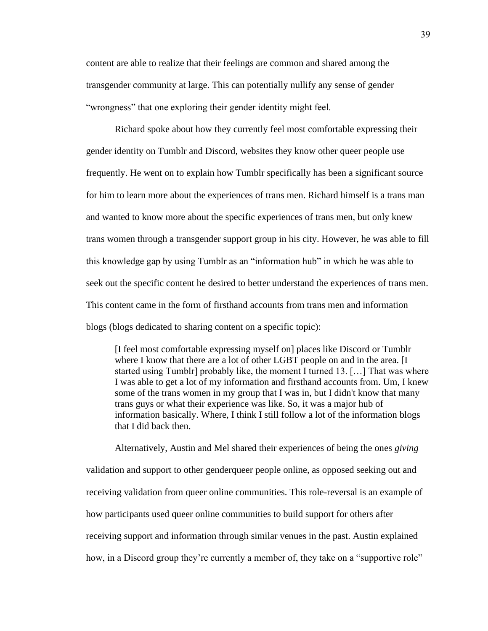content are able to realize that their feelings are common and shared among the transgender community at large. This can potentially nullify any sense of gender "wrongness" that one exploring their gender identity might feel.

Richard spoke about how they currently feel most comfortable expressing their gender identity on Tumblr and Discord, websites they know other queer people use frequently. He went on to explain how Tumblr specifically has been a significant source for him to learn more about the experiences of trans men. Richard himself is a trans man and wanted to know more about the specific experiences of trans men, but only knew trans women through a transgender support group in his city. However, he was able to fill this knowledge gap by using Tumblr as an "information hub" in which he was able to seek out the specific content he desired to better understand the experiences of trans men. This content came in the form of firsthand accounts from trans men and information blogs (blogs dedicated to sharing content on a specific topic):

[I feel most comfortable expressing myself on] places like Discord or Tumblr where I know that there are a lot of other LGBT people on and in the area. [I started using Tumblr] probably like, the moment I turned 13. […] That was where I was able to get a lot of my information and firsthand accounts from. Um, I knew some of the trans women in my group that I was in, but I didn't know that many trans guys or what their experience was like. So, it was a major hub of information basically. Where, I think I still follow a lot of the information blogs that I did back then.

Alternatively, Austin and Mel shared their experiences of being the ones *giving*  validation and support to other genderqueer people online, as opposed seeking out and receiving validation from queer online communities. This role-reversal is an example of how participants used queer online communities to build support for others after receiving support and information through similar venues in the past. Austin explained how, in a Discord group they're currently a member of, they take on a "supportive role"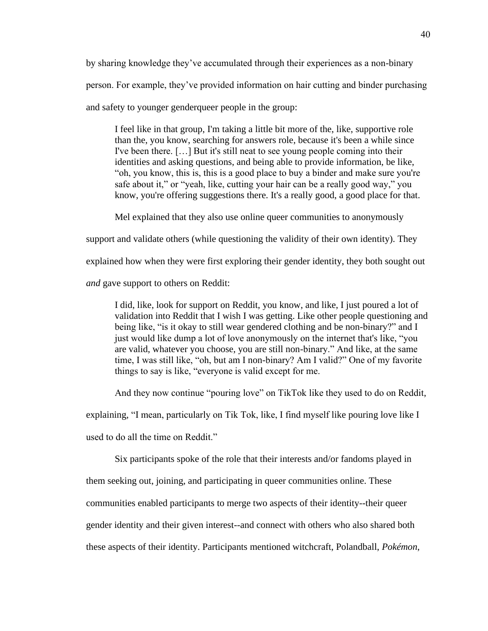by sharing knowledge they've accumulated through their experiences as a non-binary person. For example, they've provided information on hair cutting and binder purchasing and safety to younger genderqueer people in the group:

I feel like in that group, I'm taking a little bit more of the, like, supportive role than the, you know, searching for answers role, because it's been a while since I've been there. […] But it's still neat to see young people coming into their identities and asking questions, and being able to provide information, be like, "oh, you know, this is, this is a good place to buy a binder and make sure you're safe about it," or "yeah, like, cutting your hair can be a really good way," you know, you're offering suggestions there. It's a really good, a good place for that.

Mel explained that they also use online queer communities to anonymously

support and validate others (while questioning the validity of their own identity). They

explained how when they were first exploring their gender identity, they both sought out

*and* gave support to others on Reddit:

I did, like, look for support on Reddit, you know, and like, I just poured a lot of validation into Reddit that I wish I was getting. Like other people questioning and being like, "is it okay to still wear gendered clothing and be non-binary?" and I just would like dump a lot of love anonymously on the internet that's like, "you are valid, whatever you choose, you are still non-binary." And like, at the same time, I was still like, "oh, but am I non-binary? Am I valid?" One of my favorite things to say is like, "everyone is valid except for me.

And they now continue "pouring love" on TikTok like they used to do on Reddit,

explaining, "I mean, particularly on Tik Tok, like, I find myself like pouring love like I

used to do all the time on Reddit."

Six participants spoke of the role that their interests and/or fandoms played in

them seeking out, joining, and participating in queer communities online. These

communities enabled participants to merge two aspects of their identity--their queer

gender identity and their given interest--and connect with others who also shared both

these aspects of their identity. Participants mentioned witchcraft, Polandball, *Pokémon*,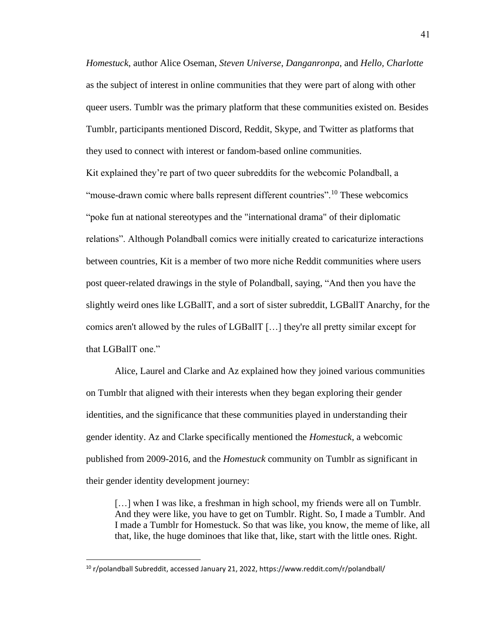*Homestuck*, author Alice Oseman, *Steven Universe*, *Danganronpa*, and *Hello, Charlotte* as the subject of interest in online communities that they were part of along with other queer users. Tumblr was the primary platform that these communities existed on. Besides Tumblr, participants mentioned Discord, Reddit, Skype, and Twitter as platforms that they used to connect with interest or fandom-based online communities.

Kit explained they're part of two queer subreddits for the webcomic Polandball, a "mouse-drawn comic where balls represent different countries".<sup>10</sup> These webcomics "poke fun at national stereotypes and the "international drama" of their diplomatic relations". Although Polandball comics were initially created to caricaturize interactions between countries, Kit is a member of two more niche Reddit communities where users post queer-related drawings in the style of Polandball, saying, "And then you have the slightly weird ones like LGBallT, and a sort of sister subreddit, LGBallT Anarchy, for the comics aren't allowed by the rules of LGBallT […] they're all pretty similar except for that LGBallT one."

Alice, Laurel and Clarke and Az explained how they joined various communities on Tumblr that aligned with their interests when they began exploring their gender identities, and the significance that these communities played in understanding their gender identity. Az and Clarke specifically mentioned the *Homestuck*, a webcomic published from 2009-2016, and the *Homestuck* community on Tumblr as significant in their gender identity development journey:

[...] when I was like, a freshman in high school, my friends were all on Tumblr. And they were like, you have to get on Tumblr. Right. So, I made a Tumblr. And I made a Tumblr for Homestuck. So that was like, you know, the meme of like, all that, like, the huge dominoes that like that, like, start with the little ones. Right.

<sup>10</sup> r/polandball Subreddit, accessed January 21, 2022, https://www.reddit.com/r/polandball/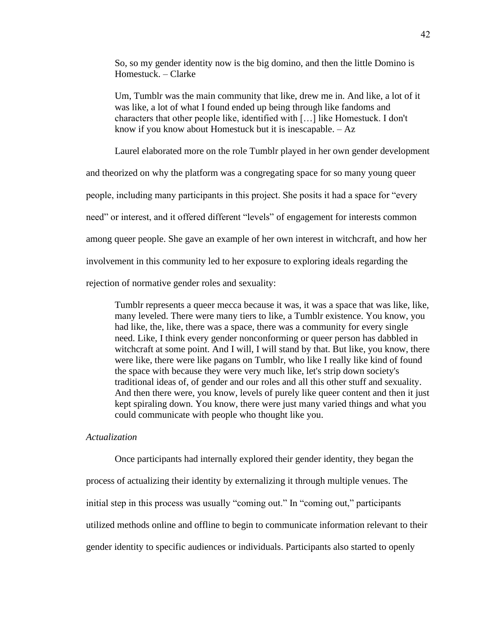So, so my gender identity now is the big domino, and then the little Domino is Homestuck. – Clarke

Um, Tumblr was the main community that like, drew me in. And like, a lot of it was like, a lot of what I found ended up being through like fandoms and characters that other people like, identified with […] like Homestuck. I don't know if you know about Homestuck but it is inescapable. – Az

Laurel elaborated more on the role Tumblr played in her own gender development

and theorized on why the platform was a congregating space for so many young queer

people, including many participants in this project. She posits it had a space for "every

need" or interest, and it offered different "levels" of engagement for interests common

among queer people. She gave an example of her own interest in witchcraft, and how her

involvement in this community led to her exposure to exploring ideals regarding the

rejection of normative gender roles and sexuality:

Tumblr represents a queer mecca because it was, it was a space that was like, like, many leveled. There were many tiers to like, a Tumblr existence. You know, you had like, the, like, there was a space, there was a community for every single need. Like, I think every gender nonconforming or queer person has dabbled in witchcraft at some point. And I will, I will stand by that. But like, you know, there were like, there were like pagans on Tumblr, who like I really like kind of found the space with because they were very much like, let's strip down society's traditional ideas of, of gender and our roles and all this other stuff and sexuality. And then there were, you know, levels of purely like queer content and then it just kept spiraling down. You know, there were just many varied things and what you could communicate with people who thought like you.

## *Actualization*

Once participants had internally explored their gender identity, they began the process of actualizing their identity by externalizing it through multiple venues. The initial step in this process was usually "coming out." In "coming out," participants utilized methods online and offline to begin to communicate information relevant to their gender identity to specific audiences or individuals. Participants also started to openly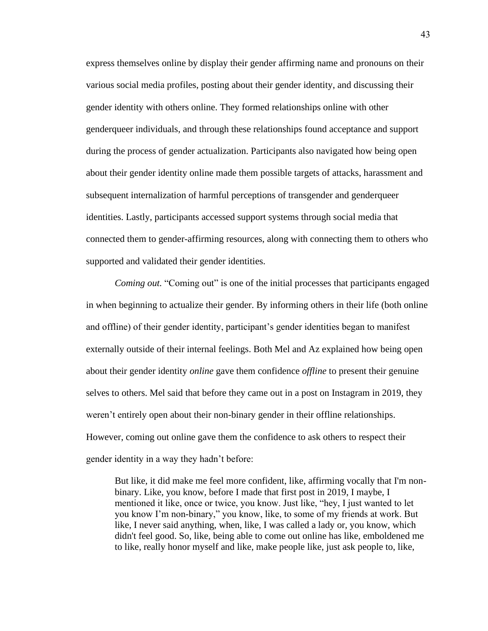express themselves online by display their gender affirming name and pronouns on their various social media profiles, posting about their gender identity, and discussing their gender identity with others online. They formed relationships online with other genderqueer individuals, and through these relationships found acceptance and support during the process of gender actualization. Participants also navigated how being open about their gender identity online made them possible targets of attacks, harassment and subsequent internalization of harmful perceptions of transgender and genderqueer identities. Lastly, participants accessed support systems through social media that connected them to gender-affirming resources, along with connecting them to others who supported and validated their gender identities.

*Coming out.* "Coming out" is one of the initial processes that participants engaged in when beginning to actualize their gender. By informing others in their life (both online and offline) of their gender identity, participant's gender identities began to manifest externally outside of their internal feelings. Both Mel and Az explained how being open about their gender identity *online* gave them confidence *offline* to present their genuine selves to others. Mel said that before they came out in a post on Instagram in 2019, they weren't entirely open about their non-binary gender in their offline relationships. However, coming out online gave them the confidence to ask others to respect their gender identity in a way they hadn't before:

But like, it did make me feel more confident, like, affirming vocally that I'm nonbinary. Like, you know, before I made that first post in 2019, I maybe, I mentioned it like, once or twice, you know. Just like, "hey, I just wanted to let you know I'm non-binary," you know, like, to some of my friends at work. But like, I never said anything, when, like, I was called a lady or, you know, which didn't feel good. So, like, being able to come out online has like, emboldened me to like, really honor myself and like, make people like, just ask people to, like,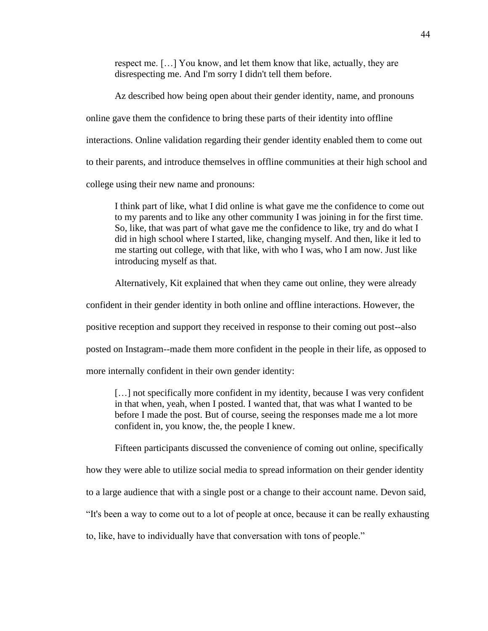respect me. […] You know, and let them know that like, actually, they are disrespecting me. And I'm sorry I didn't tell them before.

Az described how being open about their gender identity, name, and pronouns online gave them the confidence to bring these parts of their identity into offline interactions. Online validation regarding their gender identity enabled them to come out to their parents, and introduce themselves in offline communities at their high school and college using their new name and pronouns:

I think part of like, what I did online is what gave me the confidence to come out to my parents and to like any other community I was joining in for the first time. So, like, that was part of what gave me the confidence to like, try and do what I did in high school where I started, like, changing myself. And then, like it led to me starting out college, with that like, with who I was, who I am now. Just like introducing myself as that.

Alternatively, Kit explained that when they came out online, they were already

confident in their gender identity in both online and offline interactions. However, the

positive reception and support they received in response to their coming out post--also

posted on Instagram--made them more confident in the people in their life, as opposed to

more internally confident in their own gender identity:

[...] not specifically more confident in my identity, because I was very confident in that when, yeah, when I posted. I wanted that, that was what I wanted to be before I made the post. But of course, seeing the responses made me a lot more confident in, you know, the, the people I knew.

Fifteen participants discussed the convenience of coming out online, specifically

how they were able to utilize social media to spread information on their gender identity

to a large audience that with a single post or a change to their account name. Devon said,

"It's been a way to come out to a lot of people at once, because it can be really exhausting

to, like, have to individually have that conversation with tons of people."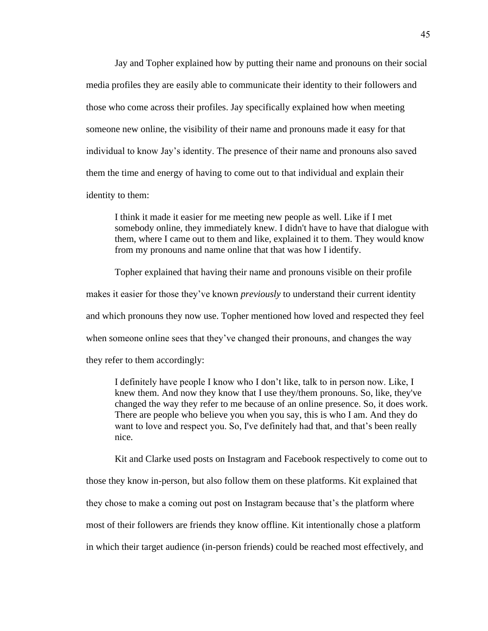Jay and Topher explained how by putting their name and pronouns on their social media profiles they are easily able to communicate their identity to their followers and those who come across their profiles. Jay specifically explained how when meeting someone new online, the visibility of their name and pronouns made it easy for that individual to know Jay's identity. The presence of their name and pronouns also saved them the time and energy of having to come out to that individual and explain their identity to them:

I think it made it easier for me meeting new people as well. Like if I met somebody online, they immediately knew. I didn't have to have that dialogue with them, where I came out to them and like, explained it to them. They would know from my pronouns and name online that that was how I identify.

Topher explained that having their name and pronouns visible on their profile makes it easier for those they've known *previously* to understand their current identity and which pronouns they now use. Topher mentioned how loved and respected they feel when someone online sees that they've changed their pronouns, and changes the way they refer to them accordingly:

I definitely have people I know who I don't like, talk to in person now. Like, I knew them. And now they know that I use they/them pronouns. So, like, they've changed the way they refer to me because of an online presence. So, it does work. There are people who believe you when you say, this is who I am. And they do want to love and respect you. So, I've definitely had that, and that's been really nice.

Kit and Clarke used posts on Instagram and Facebook respectively to come out to

those they know in-person, but also follow them on these platforms. Kit explained that they chose to make a coming out post on Instagram because that's the platform where most of their followers are friends they know offline. Kit intentionally chose a platform in which their target audience (in-person friends) could be reached most effectively, and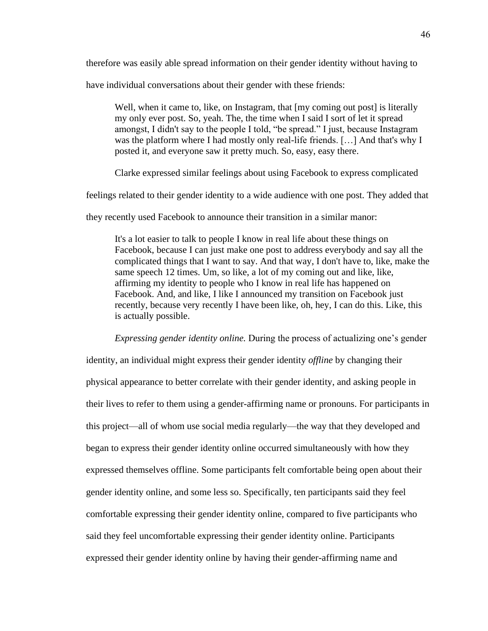therefore was easily able spread information on their gender identity without having to

have individual conversations about their gender with these friends:

Well, when it came to, like, on Instagram, that  $[my]$  coming out post is literally my only ever post. So, yeah. The, the time when I said I sort of let it spread amongst, I didn't say to the people I told, "be spread." I just, because Instagram was the platform where I had mostly only real-life friends. […] And that's why I posted it, and everyone saw it pretty much. So, easy, easy there.

Clarke expressed similar feelings about using Facebook to express complicated

feelings related to their gender identity to a wide audience with one post. They added that

they recently used Facebook to announce their transition in a similar manor:

It's a lot easier to talk to people I know in real life about these things on Facebook, because I can just make one post to address everybody and say all the complicated things that I want to say. And that way, I don't have to, like, make the same speech 12 times. Um, so like, a lot of my coming out and like, like, affirming my identity to people who I know in real life has happened on Facebook. And, and like, I like I announced my transition on Facebook just recently, because very recently I have been like, oh, hey, I can do this. Like, this is actually possible.

*Expressing gender identity online.* During the process of actualizing one's gender identity, an individual might express their gender identity *offline* by changing their physical appearance to better correlate with their gender identity, and asking people in their lives to refer to them using a gender-affirming name or pronouns. For participants in this project—all of whom use social media regularly—the way that they developed and began to express their gender identity online occurred simultaneously with how they expressed themselves offline. Some participants felt comfortable being open about their gender identity online, and some less so. Specifically, ten participants said they feel comfortable expressing their gender identity online, compared to five participants who said they feel uncomfortable expressing their gender identity online. Participants expressed their gender identity online by having their gender-affirming name and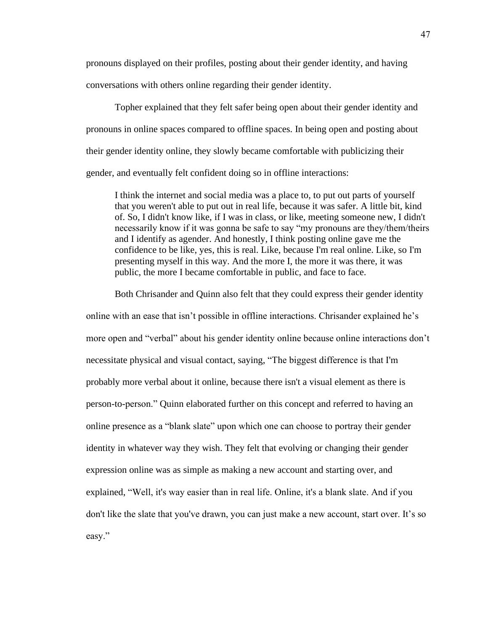pronouns displayed on their profiles, posting about their gender identity, and having conversations with others online regarding their gender identity.

Topher explained that they felt safer being open about their gender identity and pronouns in online spaces compared to offline spaces. In being open and posting about their gender identity online, they slowly became comfortable with publicizing their gender, and eventually felt confident doing so in offline interactions:

I think the internet and social media was a place to, to put out parts of yourself that you weren't able to put out in real life, because it was safer. A little bit, kind of. So, I didn't know like, if I was in class, or like, meeting someone new, I didn't necessarily know if it was gonna be safe to say "my pronouns are they/them/theirs and I identify as agender. And honestly, I think posting online gave me the confidence to be like, yes, this is real. Like, because I'm real online. Like, so I'm presenting myself in this way. And the more I, the more it was there, it was public, the more I became comfortable in public, and face to face.

Both Chrisander and Quinn also felt that they could express their gender identity

online with an ease that isn't possible in offline interactions. Chrisander explained he's more open and "verbal" about his gender identity online because online interactions don't necessitate physical and visual contact, saying, "The biggest difference is that I'm probably more verbal about it online, because there isn't a visual element as there is person-to-person." Quinn elaborated further on this concept and referred to having an online presence as a "blank slate" upon which one can choose to portray their gender identity in whatever way they wish. They felt that evolving or changing their gender expression online was as simple as making a new account and starting over, and explained, "Well, it's way easier than in real life. Online, it's a blank slate. And if you don't like the slate that you've drawn, you can just make a new account, start over. It's so easy."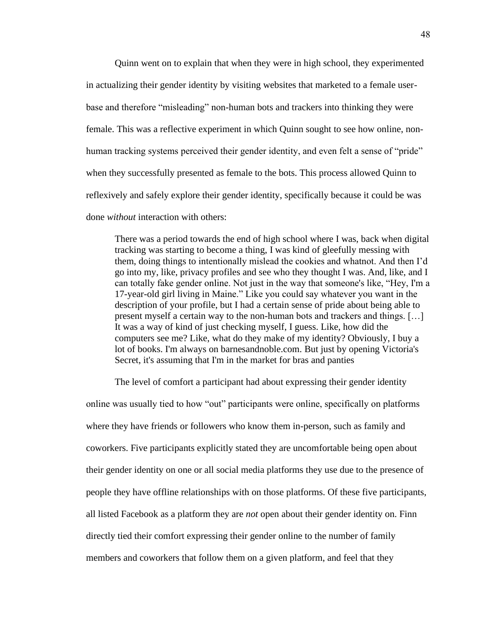Quinn went on to explain that when they were in high school, they experimented in actualizing their gender identity by visiting websites that marketed to a female userbase and therefore "misleading" non-human bots and trackers into thinking they were female. This was a reflective experiment in which Quinn sought to see how online, nonhuman tracking systems perceived their gender identity, and even felt a sense of "pride" when they successfully presented as female to the bots. This process allowed Quinn to reflexively and safely explore their gender identity, specifically because it could be was done *without* interaction with others:

There was a period towards the end of high school where I was, back when digital tracking was starting to become a thing, I was kind of gleefully messing with them, doing things to intentionally mislead the cookies and whatnot. And then I'd go into my, like, privacy profiles and see who they thought I was. And, like, and I can totally fake gender online. Not just in the way that someone's like, "Hey, I'm a 17-year-old girl living in Maine." Like you could say whatever you want in the description of your profile, but I had a certain sense of pride about being able to present myself a certain way to the non-human bots and trackers and things. […] It was a way of kind of just checking myself, I guess. Like, how did the computers see me? Like, what do they make of my identity? Obviously, I buy a lot of books. I'm always on barnesandnoble.com. But just by opening Victoria's Secret, it's assuming that I'm in the market for bras and panties

The level of comfort a participant had about expressing their gender identity

online was usually tied to how "out" participants were online, specifically on platforms where they have friends or followers who know them in-person, such as family and coworkers. Five participants explicitly stated they are uncomfortable being open about their gender identity on one or all social media platforms they use due to the presence of people they have offline relationships with on those platforms. Of these five participants, all listed Facebook as a platform they are *not* open about their gender identity on. Finn directly tied their comfort expressing their gender online to the number of family members and coworkers that follow them on a given platform, and feel that they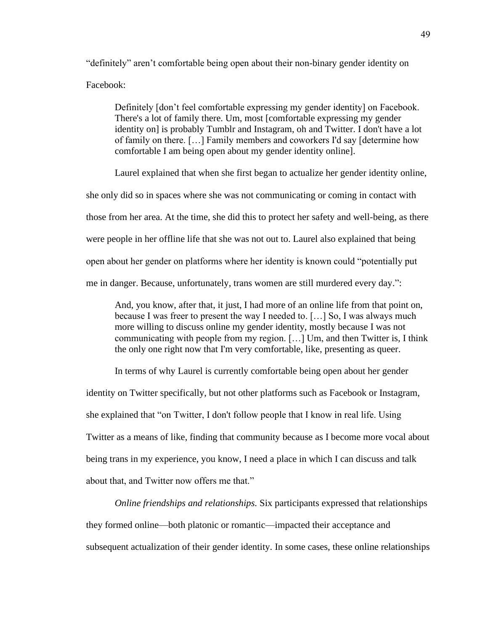"definitely" aren't comfortable being open about their non-binary gender identity on Facebook:

Definitely [don't feel comfortable expressing my gender identity] on Facebook. There's a lot of family there. Um, most [comfortable expressing my gender identity on] is probably Tumblr and Instagram, oh and Twitter. I don't have a lot of family on there. […] Family members and coworkers I'd say [determine how comfortable I am being open about my gender identity online].

Laurel explained that when she first began to actualize her gender identity online,

she only did so in spaces where she was not communicating or coming in contact with those from her area. At the time, she did this to protect her safety and well-being, as there were people in her offline life that she was not out to. Laurel also explained that being open about her gender on platforms where her identity is known could "potentially put me in danger. Because, unfortunately, trans women are still murdered every day.":

And, you know, after that, it just, I had more of an online life from that point on, because I was freer to present the way I needed to. […] So, I was always much more willing to discuss online my gender identity, mostly because I was not communicating with people from my region. […] Um, and then Twitter is, I think the only one right now that I'm very comfortable, like, presenting as queer.

In terms of why Laurel is currently comfortable being open about her gender identity on Twitter specifically, but not other platforms such as Facebook or Instagram, she explained that "on Twitter, I don't follow people that I know in real life. Using Twitter as a means of like, finding that community because as I become more vocal about being trans in my experience, you know, I need a place in which I can discuss and talk about that, and Twitter now offers me that."

*Online friendships and relationships.* Six participants expressed that relationships they formed online—both platonic or romantic—impacted their acceptance and subsequent actualization of their gender identity. In some cases, these online relationships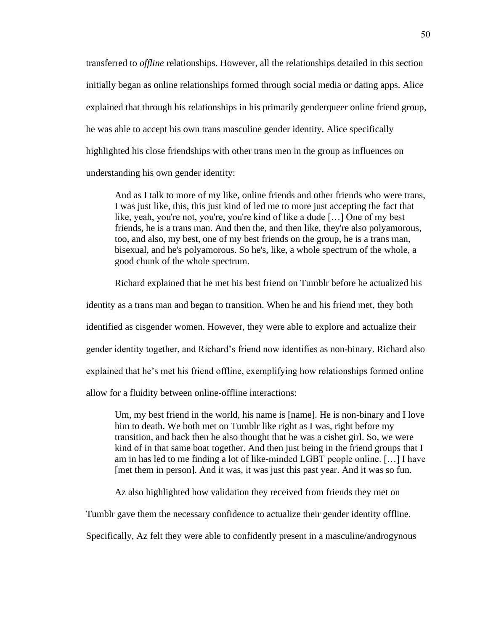transferred to *offline* relationships. However, all the relationships detailed in this section initially began as online relationships formed through social media or dating apps. Alice explained that through his relationships in his primarily genderqueer online friend group, he was able to accept his own trans masculine gender identity. Alice specifically highlighted his close friendships with other trans men in the group as influences on understanding his own gender identity:

And as I talk to more of my like, online friends and other friends who were trans, I was just like, this, this just kind of led me to more just accepting the fact that like, yeah, you're not, you're, you're kind of like a dude […] One of my best friends, he is a trans man. And then the, and then like, they're also polyamorous, too, and also, my best, one of my best friends on the group, he is a trans man, bisexual, and he's polyamorous. So he's, like, a whole spectrum of the whole, a good chunk of the whole spectrum.

Richard explained that he met his best friend on Tumblr before he actualized his

identity as a trans man and began to transition. When he and his friend met, they both

identified as cisgender women. However, they were able to explore and actualize their

gender identity together, and Richard's friend now identifies as non-binary. Richard also

explained that he's met his friend offline, exemplifying how relationships formed online

allow for a fluidity between online-offline interactions:

Um, my best friend in the world, his name is [name]. He is non-binary and I love him to death. We both met on Tumblr like right as I was, right before my transition, and back then he also thought that he was a cishet girl. So, we were kind of in that same boat together. And then just being in the friend groups that I am in has led to me finding a lot of like-minded LGBT people online. […] I have [met them in person]. And it was, it was just this past year. And it was so fun.

Az also highlighted how validation they received from friends they met on

Tumblr gave them the necessary confidence to actualize their gender identity offline.

Specifically, Az felt they were able to confidently present in a masculine/androgynous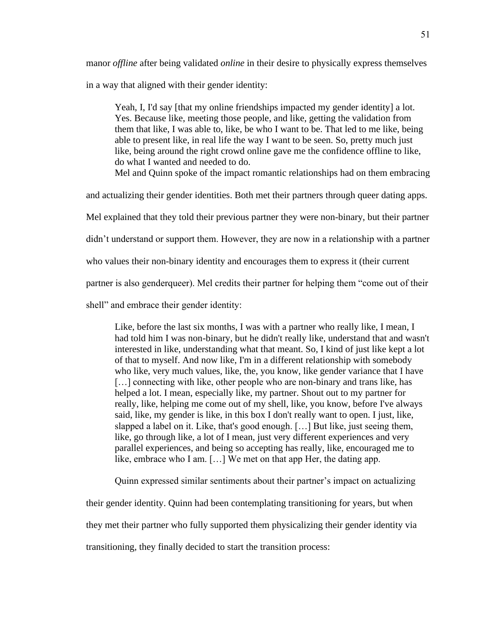manor *offline* after being validated *online* in their desire to physically express themselves

in a way that aligned with their gender identity:

Yeah, I, I'd say [that my online friendships impacted my gender identity] a lot. Yes. Because like, meeting those people, and like, getting the validation from them that like, I was able to, like, be who I want to be. That led to me like, being able to present like, in real life the way I want to be seen. So, pretty much just like, being around the right crowd online gave me the confidence offline to like, do what I wanted and needed to do.

Mel and Quinn spoke of the impact romantic relationships had on them embracing

and actualizing their gender identities. Both met their partners through queer dating apps.

Mel explained that they told their previous partner they were non-binary, but their partner

didn't understand or support them. However, they are now in a relationship with a partner

who values their non-binary identity and encourages them to express it (their current

partner is also genderqueer). Mel credits their partner for helping them "come out of their

shell" and embrace their gender identity:

Like, before the last six months, I was with a partner who really like, I mean, I had told him I was non-binary, but he didn't really like, understand that and wasn't interested in like, understanding what that meant. So, I kind of just like kept a lot of that to myself. And now like, I'm in a different relationship with somebody who like, very much values, like, the, you know, like gender variance that I have [...] connecting with like, other people who are non-binary and trans like, has helped a lot. I mean, especially like, my partner. Shout out to my partner for really, like, helping me come out of my shell, like, you know, before I've always said, like, my gender is like, in this box I don't really want to open. I just, like, slapped a label on it. Like, that's good enough. […] But like, just seeing them, like, go through like, a lot of I mean, just very different experiences and very parallel experiences, and being so accepting has really, like, encouraged me to like, embrace who I am. […] We met on that app Her, the dating app.

Quinn expressed similar sentiments about their partner's impact on actualizing

their gender identity. Quinn had been contemplating transitioning for years, but when they met their partner who fully supported them physicalizing their gender identity via transitioning, they finally decided to start the transition process: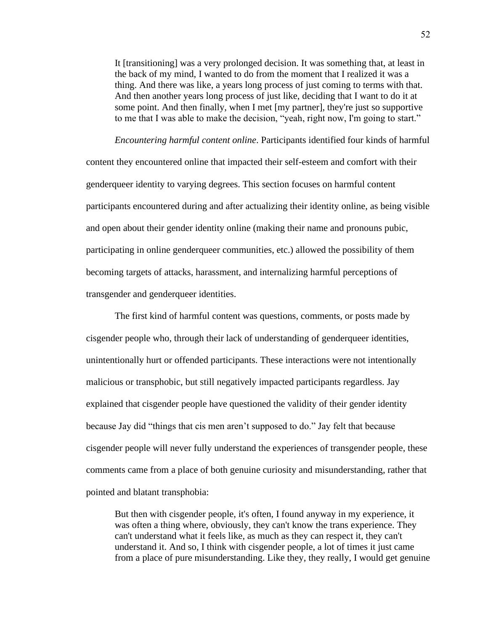It [transitioning] was a very prolonged decision. It was something that, at least in the back of my mind, I wanted to do from the moment that I realized it was a thing. And there was like, a years long process of just coming to terms with that. And then another years long process of just like, deciding that I want to do it at some point. And then finally, when I met [my partner], they're just so supportive to me that I was able to make the decision, "yeah, right now, I'm going to start."

*Encountering harmful content online*. Participants identified four kinds of harmful content they encountered online that impacted their self-esteem and comfort with their genderqueer identity to varying degrees. This section focuses on harmful content participants encountered during and after actualizing their identity online, as being visible and open about their gender identity online (making their name and pronouns pubic, participating in online genderqueer communities, etc.) allowed the possibility of them becoming targets of attacks, harassment, and internalizing harmful perceptions of transgender and genderqueer identities.

The first kind of harmful content was questions, comments, or posts made by cisgender people who, through their lack of understanding of genderqueer identities, unintentionally hurt or offended participants. These interactions were not intentionally malicious or transphobic, but still negatively impacted participants regardless. Jay explained that cisgender people have questioned the validity of their gender identity because Jay did "things that cis men aren't supposed to do." Jay felt that because cisgender people will never fully understand the experiences of transgender people, these comments came from a place of both genuine curiosity and misunderstanding, rather that pointed and blatant transphobia:

But then with cisgender people, it's often, I found anyway in my experience, it was often a thing where, obviously, they can't know the trans experience. They can't understand what it feels like, as much as they can respect it, they can't understand it. And so, I think with cisgender people, a lot of times it just came from a place of pure misunderstanding. Like they, they really, I would get genuine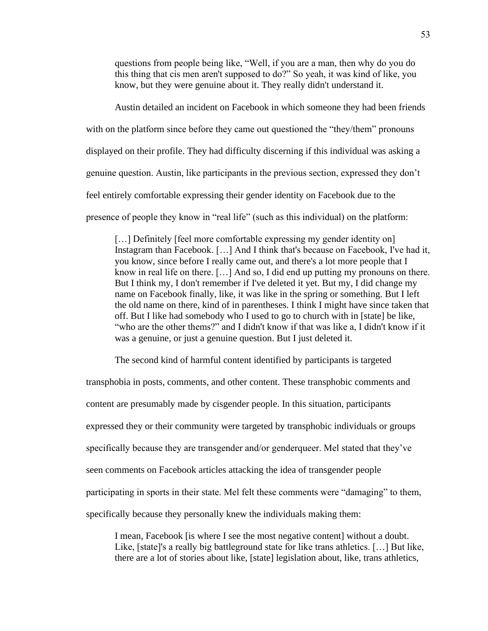questions from people being like, "Well, if you are a man, then why do you do this thing that cis men aren't supposed to do?" So yeah, it was kind of like, you know, but they were genuine about it. They really didn't understand it.

Austin detailed an incident on Facebook in which someone they had been friends with on the platform since before they came out questioned the "they/them" pronouns displayed on their profile. They had difficulty discerning if this individual was asking a genuine question. Austin, like participants in the previous section, expressed they don't feel entirely comfortable expressing their gender identity on Facebook due to the presence of people they know in "real life" (such as this individual) on the platform:

[...] Definitely [feel more comfortable expressing my gender identity on] Instagram than Facebook. […] And I think that's because on Facebook, I've had it, you know, since before I really came out, and there's a lot more people that I know in real life on there. […] And so, I did end up putting my pronouns on there. But I think my, I don't remember if I've deleted it yet. But my, I did change my name on Facebook finally, like, it was like in the spring or something. But I left the old name on there, kind of in parentheses. I think I might have since taken that off. But I like had somebody who I used to go to church with in [state] be like, "who are the other thems?" and I didn't know if that was like a, I didn't know if it was a genuine, or just a genuine question. But I just deleted it.

The second kind of harmful content identified by participants is targeted

transphobia in posts, comments, and other content. These transphobic comments and content are presumably made by cisgender people. In this situation, participants expressed they or their community were targeted by transphobic individuals or groups specifically because they are transgender and/or genderqueer. Mel stated that they've seen comments on Facebook articles attacking the idea of transgender people participating in sports in their state. Mel felt these comments were "damaging" to them, specifically because they personally knew the individuals making them:

I mean, Facebook [is where I see the most negative content] without a doubt. Like, [state]'s a really big battleground state for like trans athletics. […] But like, there are a lot of stories about like, [state] legislation about, like, trans athletics,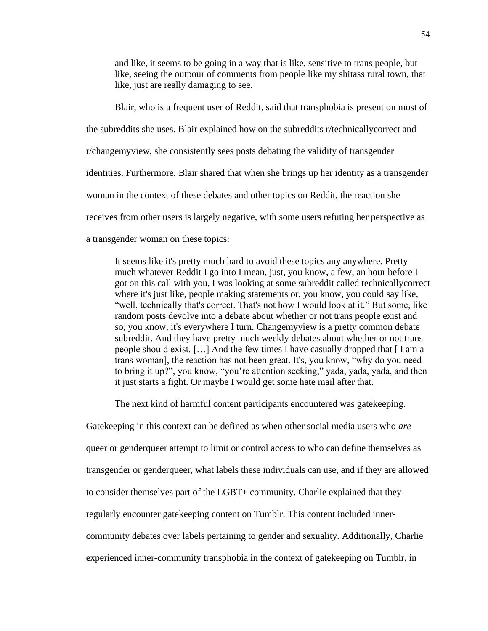and like, it seems to be going in a way that is like, sensitive to trans people, but like, seeing the outpour of comments from people like my shitass rural town, that like, just are really damaging to see.

Blair, who is a frequent user of Reddit, said that transphobia is present on most of the subreddits she uses. Blair explained how on the subreddits r/technicallycorrect and r/changemyview, she consistently sees posts debating the validity of transgender identities. Furthermore, Blair shared that when she brings up her identity as a transgender woman in the context of these debates and other topics on Reddit, the reaction she receives from other users is largely negative, with some users refuting her perspective as a transgender woman on these topics:

It seems like it's pretty much hard to avoid these topics any anywhere. Pretty much whatever Reddit I go into I mean, just, you know, a few, an hour before I got on this call with you, I was looking at some subreddit called technicallycorrect where it's just like, people making statements or, you know, you could say like, "well, technically that's correct. That's not how I would look at it." But some, like random posts devolve into a debate about whether or not trans people exist and so, you know, it's everywhere I turn. Changemyview is a pretty common debate subreddit. And they have pretty much weekly debates about whether or not trans people should exist. […] And the few times I have casually dropped that [ I am a trans woman], the reaction has not been great. It's, you know, "why do you need to bring it up?", you know, "you're attention seeking," yada, yada, yada, and then it just starts a fight. Or maybe I would get some hate mail after that.

The next kind of harmful content participants encountered was gatekeeping.

Gatekeeping in this context can be defined as when other social media users who *are*  queer or genderqueer attempt to limit or control access to who can define themselves as transgender or genderqueer, what labels these individuals can use, and if they are allowed to consider themselves part of the LGBT+ community. Charlie explained that they regularly encounter gatekeeping content on Tumblr. This content included innercommunity debates over labels pertaining to gender and sexuality. Additionally, Charlie experienced inner-community transphobia in the context of gatekeeping on Tumblr, in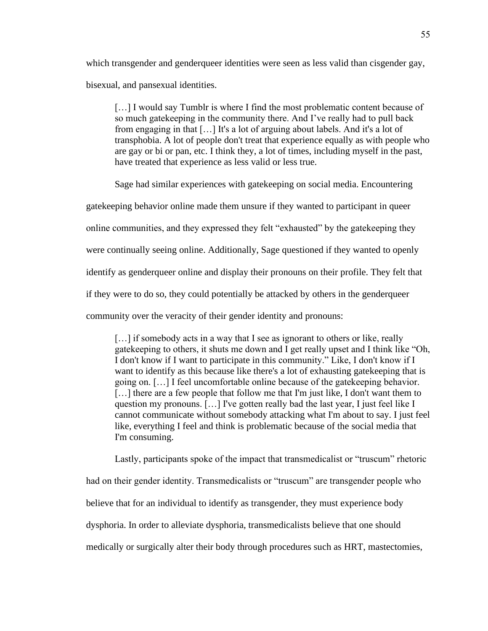which transgender and genderqueer identities were seen as less valid than cisgender gay, bisexual, and pansexual identities.

[...] I would say Tumblr is where I find the most problematic content because of so much gatekeeping in the community there. And I've really had to pull back from engaging in that […] It's a lot of arguing about labels. And it's a lot of transphobia. A lot of people don't treat that experience equally as with people who are gay or bi or pan, etc. I think they, a lot of times, including myself in the past, have treated that experience as less valid or less true.

Sage had similar experiences with gatekeeping on social media. Encountering

gatekeeping behavior online made them unsure if they wanted to participant in queer

online communities, and they expressed they felt "exhausted" by the gatekeeping they

were continually seeing online. Additionally, Sage questioned if they wanted to openly

identify as genderqueer online and display their pronouns on their profile. They felt that

if they were to do so, they could potentially be attacked by others in the genderqueer

community over the veracity of their gender identity and pronouns:

[...] if somebody acts in a way that I see as ignorant to others or like, really gatekeeping to others, it shuts me down and I get really upset and I think like "Oh, I don't know if I want to participate in this community." Like, I don't know if I want to identify as this because like there's a lot of exhausting gatekeeping that is going on. […] I feel uncomfortable online because of the gatekeeping behavior. [...] there are a few people that follow me that I'm just like, I don't want them to question my pronouns.  $[\dots]$  I've gotten really bad the last year, I just feel like I cannot communicate without somebody attacking what I'm about to say. I just feel like, everything I feel and think is problematic because of the social media that I'm consuming.

Lastly, participants spoke of the impact that transmedicalist or "truscum" rhetoric had on their gender identity. Transmedicalists or "truscum" are transgender people who believe that for an individual to identify as transgender, they must experience body dysphoria. In order to alleviate dysphoria, transmedicalists believe that one should medically or surgically alter their body through procedures such as HRT, mastectomies,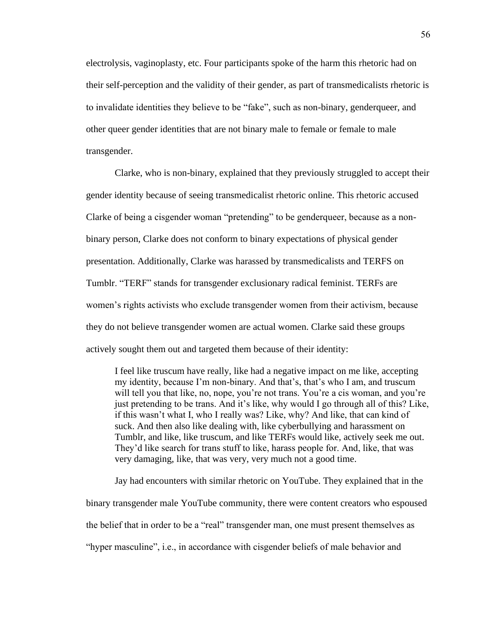electrolysis, vaginoplasty, etc. Four participants spoke of the harm this rhetoric had on their self-perception and the validity of their gender, as part of transmedicalists rhetoric is to invalidate identities they believe to be "fake", such as non-binary, genderqueer, and other queer gender identities that are not binary male to female or female to male transgender.

Clarke, who is non-binary, explained that they previously struggled to accept their gender identity because of seeing transmedicalist rhetoric online. This rhetoric accused Clarke of being a cisgender woman "pretending" to be genderqueer, because as a nonbinary person, Clarke does not conform to binary expectations of physical gender presentation. Additionally, Clarke was harassed by transmedicalists and TERFS on Tumblr. "TERF" stands for transgender exclusionary radical feminist. TERFs are women's rights activists who exclude transgender women from their activism, because they do not believe transgender women are actual women. Clarke said these groups actively sought them out and targeted them because of their identity:

I feel like truscum have really, like had a negative impact on me like, accepting my identity, because I'm non-binary. And that's, that's who I am, and truscum will tell you that like, no, nope, you're not trans. You're a cis woman, and you're just pretending to be trans. And it's like, why would I go through all of this? Like, if this wasn't what I, who I really was? Like, why? And like, that can kind of suck. And then also like dealing with, like cyberbullying and harassment on Tumblr, and like, like truscum, and like TERFs would like, actively seek me out. They'd like search for trans stuff to like, harass people for. And, like, that was very damaging, like, that was very, very much not a good time.

Jay had encounters with similar rhetoric on YouTube. They explained that in the binary transgender male YouTube community, there were content creators who espoused the belief that in order to be a "real" transgender man, one must present themselves as "hyper masculine", i.e., in accordance with cisgender beliefs of male behavior and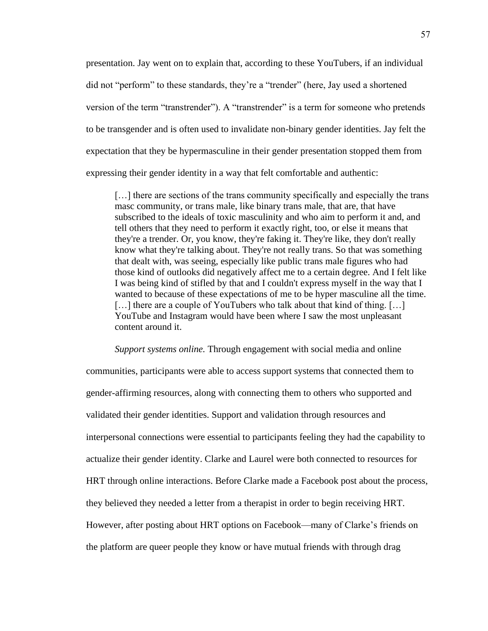presentation. Jay went on to explain that, according to these YouTubers, if an individual did not "perform" to these standards, they're a "trender" (here, Jay used a shortened version of the term "transtrender"). A "transtrender" is a term for someone who pretends to be transgender and is often used to invalidate non-binary gender identities. Jay felt the expectation that they be hypermasculine in their gender presentation stopped them from expressing their gender identity in a way that felt comfortable and authentic:

[…] there are sections of the trans community specifically and especially the trans masc community, or trans male, like binary trans male, that are, that have subscribed to the ideals of toxic masculinity and who aim to perform it and, and tell others that they need to perform it exactly right, too, or else it means that they're a trender. Or, you know, they're faking it. They're like, they don't really know what they're talking about. They're not really trans. So that was something that dealt with, was seeing, especially like public trans male figures who had those kind of outlooks did negatively affect me to a certain degree. And I felt like I was being kind of stifled by that and I couldn't express myself in the way that I wanted to because of these expectations of me to be hyper masculine all the time. [...] there are a couple of YouTubers who talk about that kind of thing. [...] YouTube and Instagram would have been where I saw the most unpleasant content around it.

*Support systems online.* Through engagement with social media and online communities, participants were able to access support systems that connected them to gender-affirming resources, along with connecting them to others who supported and validated their gender identities. Support and validation through resources and interpersonal connections were essential to participants feeling they had the capability to actualize their gender identity. Clarke and Laurel were both connected to resources for HRT through online interactions. Before Clarke made a Facebook post about the process, they believed they needed a letter from a therapist in order to begin receiving HRT. However, after posting about HRT options on Facebook—many of Clarke's friends on the platform are queer people they know or have mutual friends with through drag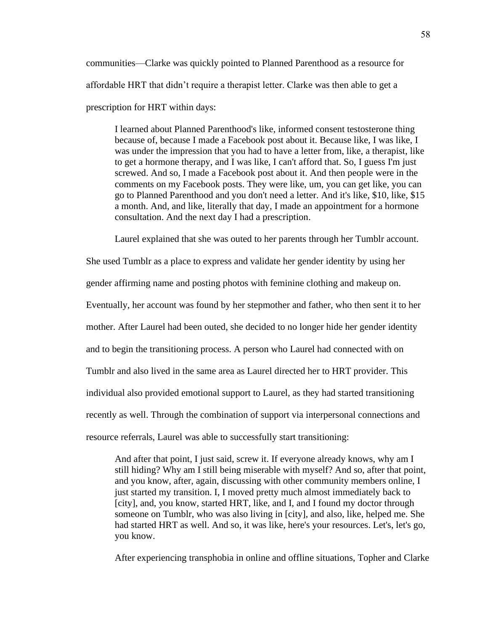communities—Clarke was quickly pointed to Planned Parenthood as a resource for affordable HRT that didn't require a therapist letter. Clarke was then able to get a prescription for HRT within days:

I learned about Planned Parenthood's like, informed consent testosterone thing because of, because I made a Facebook post about it. Because like, I was like, I was under the impression that you had to have a letter from, like, a therapist, like to get a hormone therapy, and I was like, I can't afford that. So, I guess I'm just screwed. And so, I made a Facebook post about it. And then people were in the comments on my Facebook posts. They were like, um, you can get like, you can go to Planned Parenthood and you don't need a letter. And it's like, \$10, like, \$15 a month. And, and like, literally that day, I made an appointment for a hormone consultation. And the next day I had a prescription.

Laurel explained that she was outed to her parents through her Tumblr account.

She used Tumblr as a place to express and validate her gender identity by using her gender affirming name and posting photos with feminine clothing and makeup on. Eventually, her account was found by her stepmother and father, who then sent it to her mother. After Laurel had been outed, she decided to no longer hide her gender identity and to begin the transitioning process. A person who Laurel had connected with on Tumblr and also lived in the same area as Laurel directed her to HRT provider. This individual also provided emotional support to Laurel, as they had started transitioning recently as well. Through the combination of support via interpersonal connections and resource referrals, Laurel was able to successfully start transitioning:

And after that point, I just said, screw it. If everyone already knows, why am I still hiding? Why am I still being miserable with myself? And so, after that point, and you know, after, again, discussing with other community members online, I just started my transition. I, I moved pretty much almost immediately back to [city], and, you know, started HRT, like, and I, and I found my doctor through someone on Tumblr, who was also living in [city], and also, like, helped me. She had started HRT as well. And so, it was like, here's your resources. Let's, let's go, you know.

After experiencing transphobia in online and offline situations, Topher and Clarke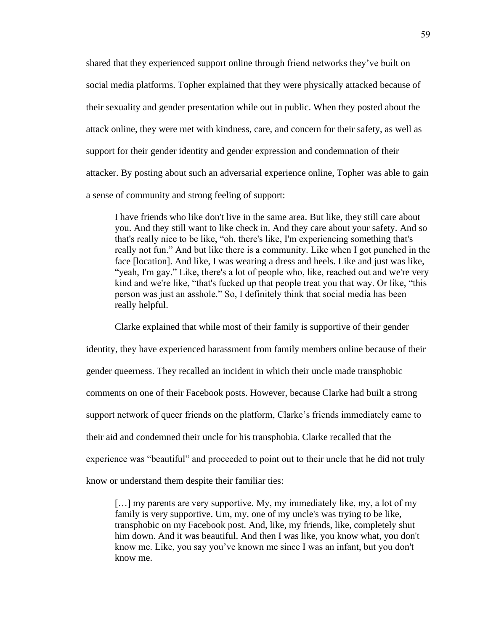shared that they experienced support online through friend networks they've built on social media platforms. Topher explained that they were physically attacked because of their sexuality and gender presentation while out in public. When they posted about the attack online, they were met with kindness, care, and concern for their safety, as well as support for their gender identity and gender expression and condemnation of their attacker. By posting about such an adversarial experience online, Topher was able to gain a sense of community and strong feeling of support:

I have friends who like don't live in the same area. But like, they still care about you. And they still want to like check in. And they care about your safety. And so that's really nice to be like, "oh, there's like, I'm experiencing something that's really not fun." And but like there is a community. Like when I got punched in the face [location]. And like, I was wearing a dress and heels. Like and just was like, "yeah, I'm gay." Like, there's a lot of people who, like, reached out and we're very kind and we're like, "that's fucked up that people treat you that way. Or like, "this person was just an asshole." So, I definitely think that social media has been really helpful.

Clarke explained that while most of their family is supportive of their gender

identity, they have experienced harassment from family members online because of their gender queerness. They recalled an incident in which their uncle made transphobic comments on one of their Facebook posts. However, because Clarke had built a strong support network of queer friends on the platform, Clarke's friends immediately came to their aid and condemned their uncle for his transphobia. Clarke recalled that the experience was "beautiful" and proceeded to point out to their uncle that he did not truly know or understand them despite their familiar ties:

[…] my parents are very supportive. My, my immediately like, my, a lot of my family is very supportive. Um, my, one of my uncle's was trying to be like, transphobic on my Facebook post. And, like, my friends, like, completely shut him down. And it was beautiful. And then I was like, you know what, you don't know me. Like, you say you've known me since I was an infant, but you don't know me.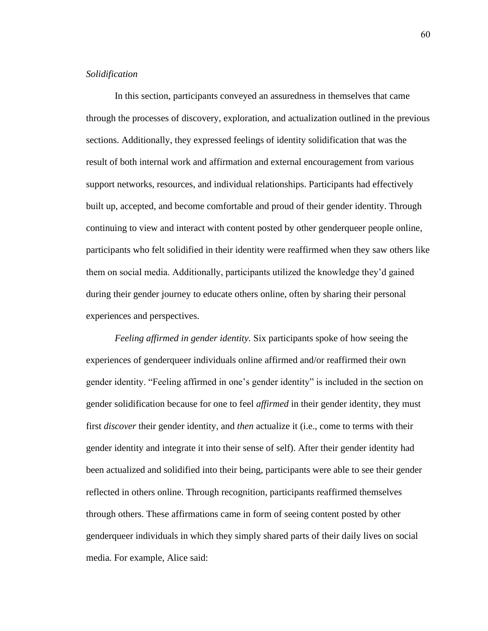## *Solidification*

In this section, participants conveyed an assuredness in themselves that came through the processes of discovery, exploration, and actualization outlined in the previous sections. Additionally, they expressed feelings of identity solidification that was the result of both internal work and affirmation and external encouragement from various support networks, resources, and individual relationships. Participants had effectively built up, accepted, and become comfortable and proud of their gender identity. Through continuing to view and interact with content posted by other genderqueer people online, participants who felt solidified in their identity were reaffirmed when they saw others like them on social media. Additionally, participants utilized the knowledge they'd gained during their gender journey to educate others online, often by sharing their personal experiences and perspectives.

*Feeling affirmed in gender identity.* Six participants spoke of how seeing the experiences of genderqueer individuals online affirmed and/or reaffirmed their own gender identity. "Feeling affirmed in one's gender identity" is included in the section on gender solidification because for one to feel *affirmed* in their gender identity, they must first *discover* their gender identity, and *then* actualize it (i.e., come to terms with their gender identity and integrate it into their sense of self). After their gender identity had been actualized and solidified into their being, participants were able to see their gender reflected in others online. Through recognition, participants reaffirmed themselves through others. These affirmations came in form of seeing content posted by other genderqueer individuals in which they simply shared parts of their daily lives on social media*.* For example, Alice said: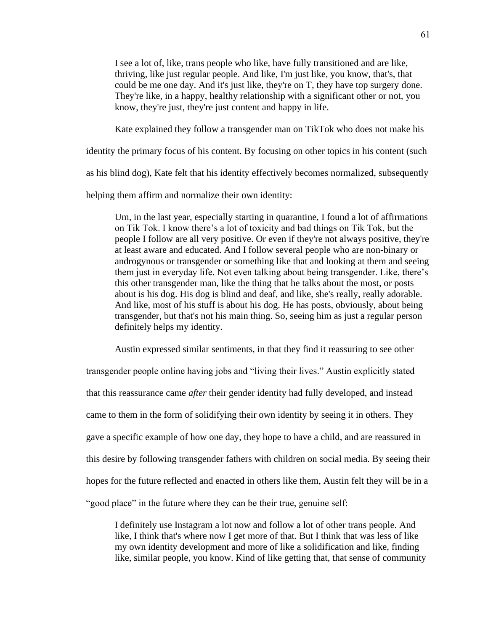I see a lot of, like, trans people who like, have fully transitioned and are like, thriving, like just regular people. And like, I'm just like, you know, that's, that could be me one day. And it's just like, they're on T, they have top surgery done. They're like, in a happy, healthy relationship with a significant other or not, you know, they're just, they're just content and happy in life.

Kate explained they follow a transgender man on TikTok who does not make his

identity the primary focus of his content. By focusing on other topics in his content (such

as his blind dog), Kate felt that his identity effectively becomes normalized, subsequently

helping them affirm and normalize their own identity:

Um, in the last year, especially starting in quarantine, I found a lot of affirmations on Tik Tok. I know there's a lot of toxicity and bad things on Tik Tok, but the people I follow are all very positive. Or even if they're not always positive, they're at least aware and educated. And I follow several people who are non-binary or androgynous or transgender or something like that and looking at them and seeing them just in everyday life. Not even talking about being transgender. Like, there's this other transgender man, like the thing that he talks about the most, or posts about is his dog. His dog is blind and deaf, and like, she's really, really adorable. And like, most of his stuff is about his dog. He has posts, obviously, about being transgender, but that's not his main thing. So, seeing him as just a regular person definitely helps my identity.

Austin expressed similar sentiments, in that they find it reassuring to see other transgender people online having jobs and "living their lives." Austin explicitly stated that this reassurance came *after* their gender identity had fully developed, and instead came to them in the form of solidifying their own identity by seeing it in others. They gave a specific example of how one day, they hope to have a child, and are reassured in this desire by following transgender fathers with children on social media. By seeing their hopes for the future reflected and enacted in others like them, Austin felt they will be in a "good place" in the future where they can be their true, genuine self:

I definitely use Instagram a lot now and follow a lot of other trans people. And like, I think that's where now I get more of that. But I think that was less of like my own identity development and more of like a solidification and like, finding like, similar people, you know. Kind of like getting that, that sense of community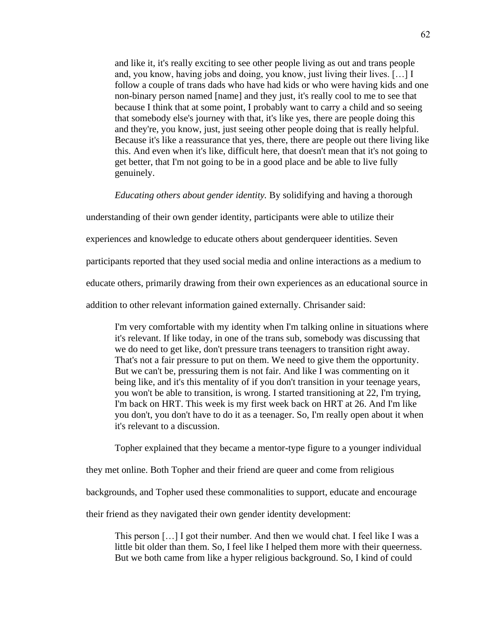and like it, it's really exciting to see other people living as out and trans people and, you know, having jobs and doing, you know, just living their lives. […] I follow a couple of trans dads who have had kids or who were having kids and one non-binary person named [name] and they just, it's really cool to me to see that because I think that at some point, I probably want to carry a child and so seeing that somebody else's journey with that, it's like yes, there are people doing this and they're, you know, just, just seeing other people doing that is really helpful. Because it's like a reassurance that yes, there, there are people out there living like this. And even when it's like, difficult here, that doesn't mean that it's not going to get better, that I'm not going to be in a good place and be able to live fully genuinely.

*Educating others about gender identity.* By solidifying and having a thorough

understanding of their own gender identity, participants were able to utilize their

experiences and knowledge to educate others about genderqueer identities. Seven

participants reported that they used social media and online interactions as a medium to

educate others, primarily drawing from their own experiences as an educational source in

addition to other relevant information gained externally. Chrisander said:

I'm very comfortable with my identity when I'm talking online in situations where it's relevant. If like today, in one of the trans sub, somebody was discussing that we do need to get like, don't pressure trans teenagers to transition right away. That's not a fair pressure to put on them. We need to give them the opportunity. But we can't be, pressuring them is not fair. And like I was commenting on it being like, and it's this mentality of if you don't transition in your teenage years, you won't be able to transition, is wrong. I started transitioning at 22, I'm trying, I'm back on HRT. This week is my first week back on HRT at 26. And I'm like you don't, you don't have to do it as a teenager. So, I'm really open about it when it's relevant to a discussion.

Topher explained that they became a mentor-type figure to a younger individual

they met online. Both Topher and their friend are queer and come from religious

backgrounds, and Topher used these commonalities to support, educate and encourage

their friend as they navigated their own gender identity development:

This person […] I got their number. And then we would chat. I feel like I was a little bit older than them. So, I feel like I helped them more with their queerness. But we both came from like a hyper religious background. So, I kind of could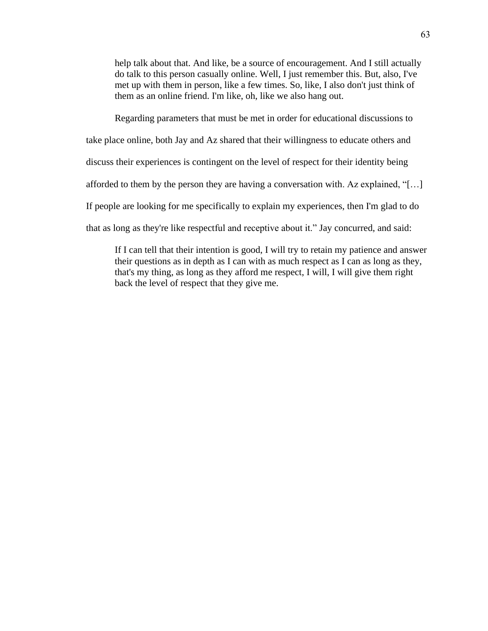help talk about that. And like, be a source of encouragement. And I still actually do talk to this person casually online. Well, I just remember this. But, also, I've met up with them in person, like a few times. So, like, I also don't just think of them as an online friend. I'm like, oh, like we also hang out.

Regarding parameters that must be met in order for educational discussions to

take place online, both Jay and Az shared that their willingness to educate others and

discuss their experiences is contingent on the level of respect for their identity being

afforded to them by the person they are having a conversation with. Az explained, "[…]

If people are looking for me specifically to explain my experiences, then I'm glad to do

that as long as they're like respectful and receptive about it." Jay concurred, and said:

If I can tell that their intention is good, I will try to retain my patience and answer their questions as in depth as I can with as much respect as I can as long as they, that's my thing, as long as they afford me respect, I will, I will give them right back the level of respect that they give me.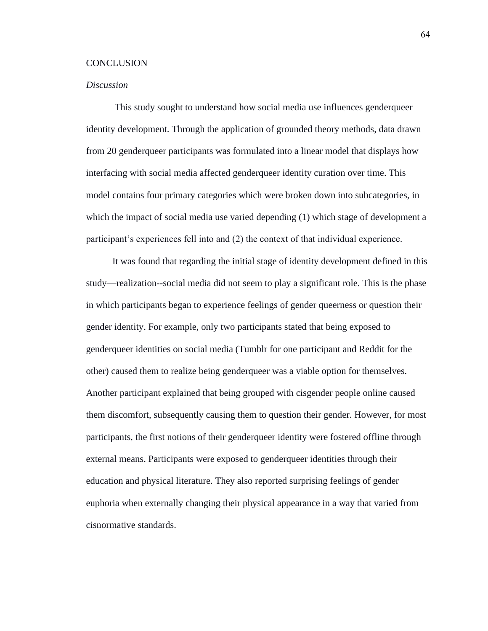## **CONCLUSION**

## *Discussion*

This study sought to understand how social media use influences genderqueer identity development. Through the application of grounded theory methods, data drawn from 20 genderqueer participants was formulated into a linear model that displays how interfacing with social media affected genderqueer identity curation over time. This model contains four primary categories which were broken down into subcategories, in which the impact of social media use varied depending (1) which stage of development a participant's experiences fell into and (2) the context of that individual experience.

It was found that regarding the initial stage of identity development defined in this study—realization--social media did not seem to play a significant role. This is the phase in which participants began to experience feelings of gender queerness or question their gender identity. For example, only two participants stated that being exposed to genderqueer identities on social media (Tumblr for one participant and Reddit for the other) caused them to realize being genderqueer was a viable option for themselves. Another participant explained that being grouped with cisgender people online caused them discomfort, subsequently causing them to question their gender. However, for most participants, the first notions of their genderqueer identity were fostered offline through external means. Participants were exposed to genderqueer identities through their education and physical literature. They also reported surprising feelings of gender euphoria when externally changing their physical appearance in a way that varied from cisnormative standards.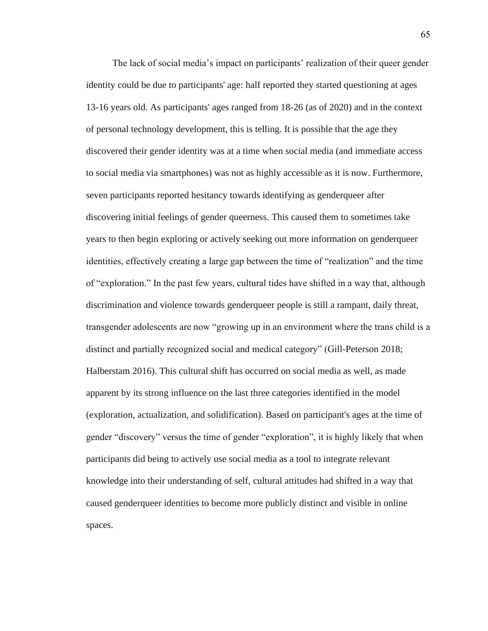The lack of social media's impact on participants' realization of their queer gender identity could be due to participants' age: half reported they started questioning at ages 13-16 years old. As participants' ages ranged from 18-26 (as of 2020) and in the context of personal technology development, this is telling. It is possible that the age they discovered their gender identity was at a time when social media (and immediate access to social media via smartphones) was not as highly accessible as it is now. Furthermore, seven participants reported hesitancy towards identifying as genderqueer after discovering initial feelings of gender queerness. This caused them to sometimes take years to then begin exploring or actively seeking out more information on genderqueer identities, effectively creating a large gap between the time of "realization" and the time of "exploration." In the past few years, cultural tides have shifted in a way that, although discrimination and violence towards genderqueer people is still a rampant, daily threat, transgender adolescents are now "growing up in an environment where the trans child is a distinct and partially recognized social and medical category" (Gill-Peterson 2018; Halberstam 2016). This cultural shift has occurred on social media as well, as made apparent by its strong influence on the last three categories identified in the model (exploration, actualization, and solidification). Based on participant's ages at the time of gender "discovery" versus the time of gender "exploration", it is highly likely that when participants did being to actively use social media as a tool to integrate relevant knowledge into their understanding of self, cultural attitudes had shifted in a way that caused genderqueer identities to become more publicly distinct and visible in online spaces.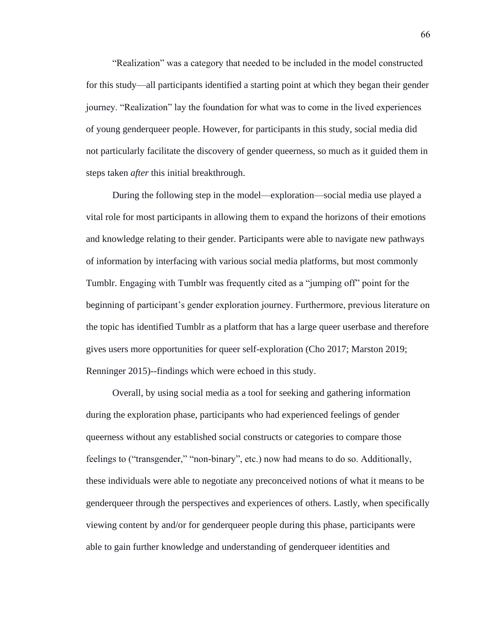"Realization" was a category that needed to be included in the model constructed for this study—all participants identified a starting point at which they began their gender journey. "Realization" lay the foundation for what was to come in the lived experiences of young genderqueer people. However, for participants in this study, social media did not particularly facilitate the discovery of gender queerness, so much as it guided them in steps taken *after* this initial breakthrough.

During the following step in the model—exploration—social media use played a vital role for most participants in allowing them to expand the horizons of their emotions and knowledge relating to their gender. Participants were able to navigate new pathways of information by interfacing with various social media platforms, but most commonly Tumblr. Engaging with Tumblr was frequently cited as a "jumping off" point for the beginning of participant's gender exploration journey. Furthermore, previous literature on the topic has identified Tumblr as a platform that has a large queer userbase and therefore gives users more opportunities for queer self-exploration (Cho 2017; Marston 2019; Renninger 2015)--findings which were echoed in this study.

Overall, by using social media as a tool for seeking and gathering information during the exploration phase, participants who had experienced feelings of gender queerness without any established social constructs or categories to compare those feelings to ("transgender," "non-binary", etc.) now had means to do so. Additionally, these individuals were able to negotiate any preconceived notions of what it means to be genderqueer through the perspectives and experiences of others. Lastly, when specifically viewing content by and/or for genderqueer people during this phase, participants were able to gain further knowledge and understanding of genderqueer identities and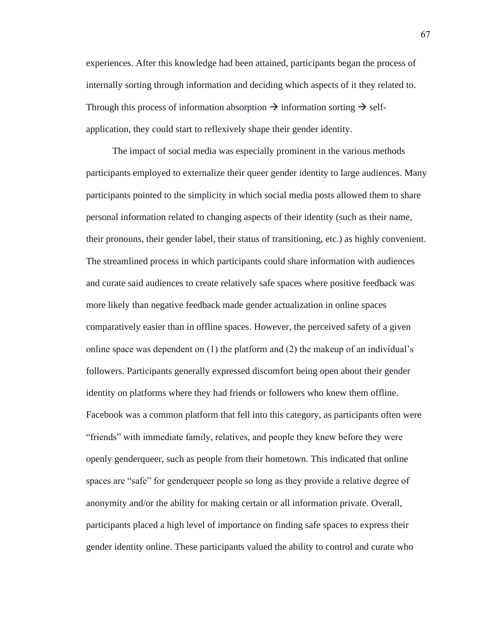experiences. After this knowledge had been attained, participants began the process of internally sorting through information and deciding which aspects of it they related to. Through this process of information absorption  $\rightarrow$  information sorting  $\rightarrow$  selfapplication, they could start to reflexively shape their gender identity.

The impact of social media was especially prominent in the various methods participants employed to externalize their queer gender identity to large audiences. Many participants pointed to the simplicity in which social media posts allowed them to share personal information related to changing aspects of their identity (such as their name, their pronouns, their gender label, their status of transitioning, etc.) as highly convenient. The streamlined process in which participants could share information with audiences and curate said audiences to create relatively safe spaces where positive feedback was more likely than negative feedback made gender actualization in online spaces comparatively easier than in offline spaces. However, the perceived safety of a given online space was dependent on (1) the platform and (2) the makeup of an individual's followers. Participants generally expressed discomfort being open about their gender identity on platforms where they had friends or followers who knew them offline. Facebook was a common platform that fell into this category, as participants often were "friends" with immediate family, relatives, and people they knew before they were openly genderqueer, such as people from their hometown. This indicated that online spaces are "safe" for genderqueer people so long as they provide a relative degree of anonymity and/or the ability for making certain or all information private. Overall, participants placed a high level of importance on finding safe spaces to express their gender identity online. These participants valued the ability to control and curate who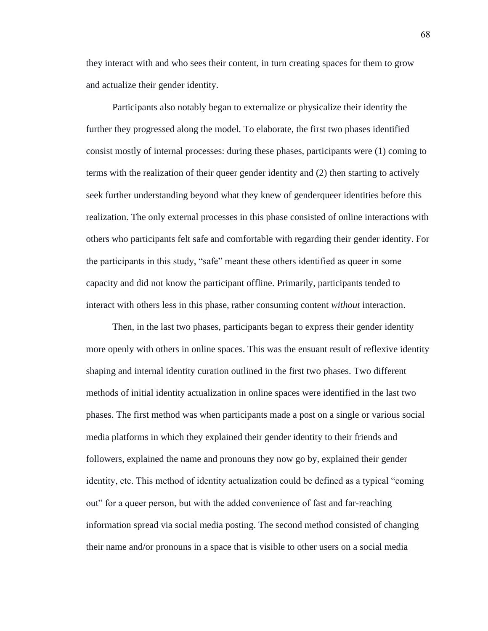they interact with and who sees their content, in turn creating spaces for them to grow and actualize their gender identity.

Participants also notably began to externalize or physicalize their identity the further they progressed along the model. To elaborate, the first two phases identified consist mostly of internal processes: during these phases, participants were (1) coming to terms with the realization of their queer gender identity and (2) then starting to actively seek further understanding beyond what they knew of genderqueer identities before this realization. The only external processes in this phase consisted of online interactions with others who participants felt safe and comfortable with regarding their gender identity. For the participants in this study, "safe" meant these others identified as queer in some capacity and did not know the participant offline. Primarily, participants tended to interact with others less in this phase, rather consuming content *without* interaction.

Then, in the last two phases, participants began to express their gender identity more openly with others in online spaces. This was the ensuant result of reflexive identity shaping and internal identity curation outlined in the first two phases. Two different methods of initial identity actualization in online spaces were identified in the last two phases. The first method was when participants made a post on a single or various social media platforms in which they explained their gender identity to their friends and followers, explained the name and pronouns they now go by, explained their gender identity, etc. This method of identity actualization could be defined as a typical "coming out" for a queer person, but with the added convenience of fast and far-reaching information spread via social media posting. The second method consisted of changing their name and/or pronouns in a space that is visible to other users on a social media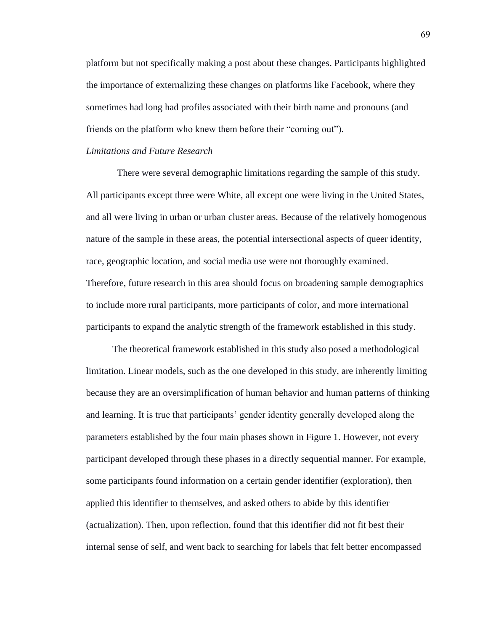platform but not specifically making a post about these changes. Participants highlighted the importance of externalizing these changes on platforms like Facebook, where they sometimes had long had profiles associated with their birth name and pronouns (and friends on the platform who knew them before their "coming out").

#### *Limitations and Future Research*

There were several demographic limitations regarding the sample of this study. All participants except three were White, all except one were living in the United States, and all were living in urban or urban cluster areas. Because of the relatively homogenous nature of the sample in these areas, the potential intersectional aspects of queer identity, race, geographic location, and social media use were not thoroughly examined. Therefore, future research in this area should focus on broadening sample demographics to include more rural participants, more participants of color, and more international participants to expand the analytic strength of the framework established in this study.

The theoretical framework established in this study also posed a methodological limitation. Linear models, such as the one developed in this study, are inherently limiting because they are an oversimplification of human behavior and human patterns of thinking and learning. It is true that participants' gender identity generally developed along the parameters established by the four main phases shown in Figure 1. However, not every participant developed through these phases in a directly sequential manner. For example, some participants found information on a certain gender identifier (exploration), then applied this identifier to themselves, and asked others to abide by this identifier (actualization). Then, upon reflection, found that this identifier did not fit best their internal sense of self, and went back to searching for labels that felt better encompassed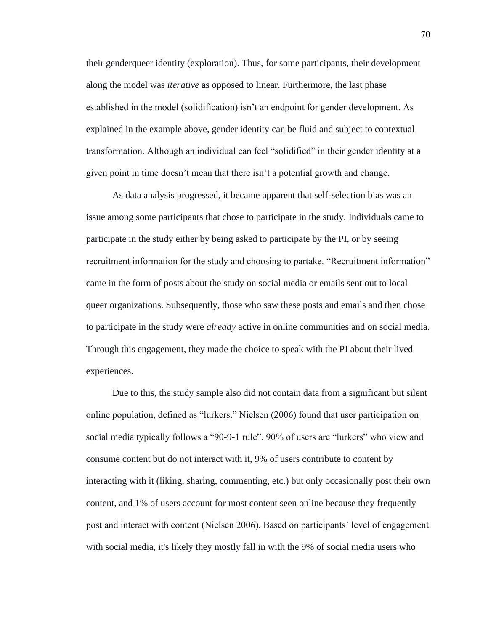their genderqueer identity (exploration). Thus, for some participants, their development along the model was *iterative* as opposed to linear. Furthermore, the last phase established in the model (solidification) isn't an endpoint for gender development. As explained in the example above, gender identity can be fluid and subject to contextual transformation. Although an individual can feel "solidified" in their gender identity at a given point in time doesn't mean that there isn't a potential growth and change.

As data analysis progressed, it became apparent that self-selection bias was an issue among some participants that chose to participate in the study. Individuals came to participate in the study either by being asked to participate by the PI, or by seeing recruitment information for the study and choosing to partake. "Recruitment information" came in the form of posts about the study on social media or emails sent out to local queer organizations. Subsequently, those who saw these posts and emails and then chose to participate in the study were *already* active in online communities and on social media. Through this engagement, they made the choice to speak with the PI about their lived experiences.

Due to this, the study sample also did not contain data from a significant but silent online population, defined as "lurkers." Nielsen (2006) found that user participation on social media typically follows a "90-9-1 rule". 90% of users are "lurkers" who view and consume content but do not interact with it, 9% of users contribute to content by interacting with it (liking, sharing, commenting, etc.) but only occasionally post their own content, and 1% of users account for most content seen online because they frequently post and interact with content (Nielsen 2006). Based on participants' level of engagement with social media, it's likely they mostly fall in with the 9% of social media users who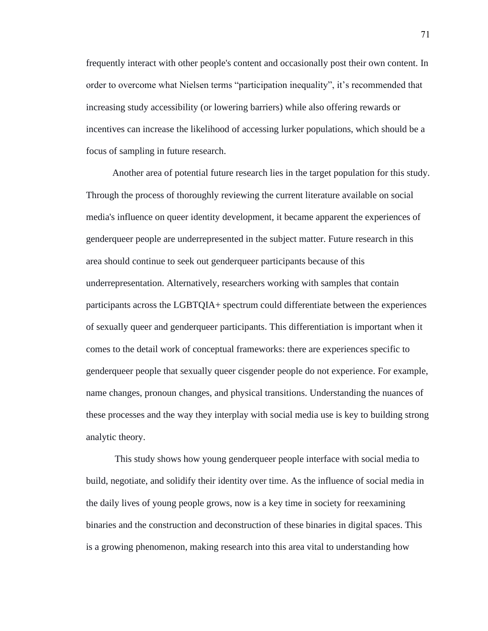frequently interact with other people's content and occasionally post their own content. In order to overcome what Nielsen terms "participation inequality", it's recommended that increasing study accessibility (or lowering barriers) while also offering rewards or incentives can increase the likelihood of accessing lurker populations, which should be a focus of sampling in future research.

Another area of potential future research lies in the target population for this study. Through the process of thoroughly reviewing the current literature available on social media's influence on queer identity development, it became apparent the experiences of genderqueer people are underrepresented in the subject matter. Future research in this area should continue to seek out genderqueer participants because of this underrepresentation. Alternatively, researchers working with samples that contain participants across the LGBTQIA+ spectrum could differentiate between the experiences of sexually queer and genderqueer participants. This differentiation is important when it comes to the detail work of conceptual frameworks: there are experiences specific to genderqueer people that sexually queer cisgender people do not experience. For example, name changes, pronoun changes, and physical transitions. Understanding the nuances of these processes and the way they interplay with social media use is key to building strong analytic theory.

This study shows how young genderqueer people interface with social media to build, negotiate, and solidify their identity over time. As the influence of social media in the daily lives of young people grows, now is a key time in society for reexamining binaries and the construction and deconstruction of these binaries in digital spaces. This is a growing phenomenon, making research into this area vital to understanding how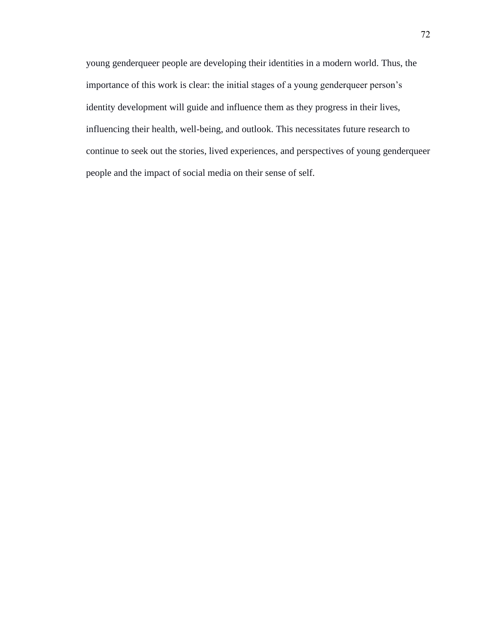young genderqueer people are developing their identities in a modern world. Thus, the importance of this work is clear: the initial stages of a young genderqueer person's identity development will guide and influence them as they progress in their lives, influencing their health, well-being, and outlook. This necessitates future research to continue to seek out the stories, lived experiences, and perspectives of young genderqueer people and the impact of social media on their sense of self.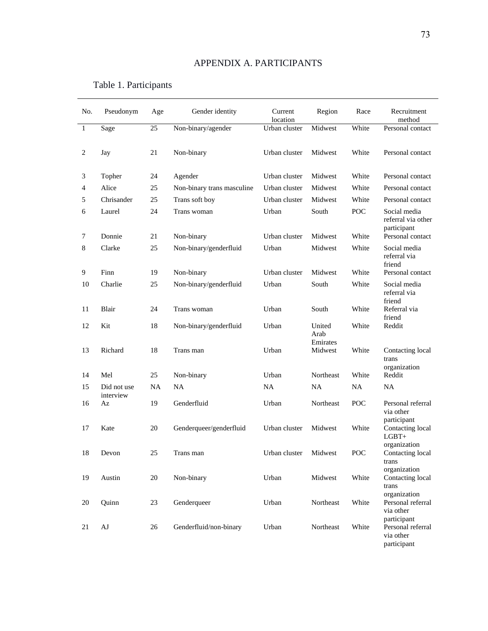# APPENDIX A. PARTICIPANTS

| No.              | Pseudonym                | Age       | Gender identity            | Current<br>location | Region                     | Race  | Recruitment<br>method                                      |
|------------------|--------------------------|-----------|----------------------------|---------------------|----------------------------|-------|------------------------------------------------------------|
| $\mathbf{1}$     | Sage                     | 25        | Non-binary/agender         | Urban cluster       | Midwest                    | White | Personal contact                                           |
| $\boldsymbol{2}$ | Jay                      | 21        | Non-binary                 | Urban cluster       | Midwest                    | White | Personal contact                                           |
| 3                | Topher                   | 24        | Agender                    | Urban cluster       | Midwest                    | White | Personal contact                                           |
| 4                | Alice                    | 25        | Non-binary trans masculine | Urban cluster       | Midwest                    | White | Personal contact                                           |
| 5                | Chrisander               | 25        | Trans soft boy             | Urban cluster       | Midwest                    | White | Personal contact                                           |
| 6                | Laurel                   | 24        | Trans woman                | Urban               | South                      | POC.  | Social media<br>referral via other<br>participant          |
| 7                | Donnie                   | 21        | Non-binary                 | Urban cluster       | Midwest                    | White | Personal contact                                           |
| 8                | Clarke                   | 25        | Non-binary/genderfluid     | Urban               | Midwest                    | White | Social media<br>referral via<br>friend                     |
| 9                | Finn                     | 19        | Non-binary                 | Urban cluster       | Midwest                    | White | Personal contact                                           |
| 10               | Charlie                  | 25        | Non-binary/genderfluid     | Urban               | South                      | White | Social media<br>referral via<br>friend                     |
| 11               | Blair                    | 24        | Trans woman                | Urban               | South                      | White | Referral via<br>friend                                     |
| 12               | Kit                      | 18        | Non-binary/genderfluid     | Urban               | United<br>Arab<br>Emirates | White | Reddit                                                     |
| 13               | Richard                  | 18        | Trans man                  | Urban               | Midwest                    | White | Contacting local<br>trans<br>organization                  |
| 14               | Mel                      | 25        | Non-binary                 | Urban               | Northeast                  | White | Reddit                                                     |
| 15               | Did not use<br>interview | <b>NA</b> | <b>NA</b>                  | <b>NA</b>           | <b>NA</b>                  | NA    | <b>NA</b>                                                  |
| 16               | Az                       | 19        | Genderfluid                | Urban               | Northeast                  | POC   | Personal referral<br>via other                             |
| 17               | Kate                     | 20        | Genderqueer/genderfluid    | Urban cluster       | Midwest                    | White | participant<br>Contacting local<br>$LGBT+$<br>organization |
| 18               | Devon                    | 25        | Trans man                  | Urban cluster       | Midwest                    | POC   | Contacting local<br>trans<br>organization                  |
| 19               | Austin                   | $20\,$    | Non-binary                 | Urban               | Midwest                    | White | Contacting local<br>trans<br>organization                  |
| 20               | Quinn                    | 23        | Genderqueer                | Urban               | Northeast                  | White | Personal referral<br>via other<br>participant              |
| 21               | AJ                       | 26        | Genderfluid/non-binary     | Urban               | Northeast                  | White | Personal referral<br>via other<br>participant              |

# Table 1. Participants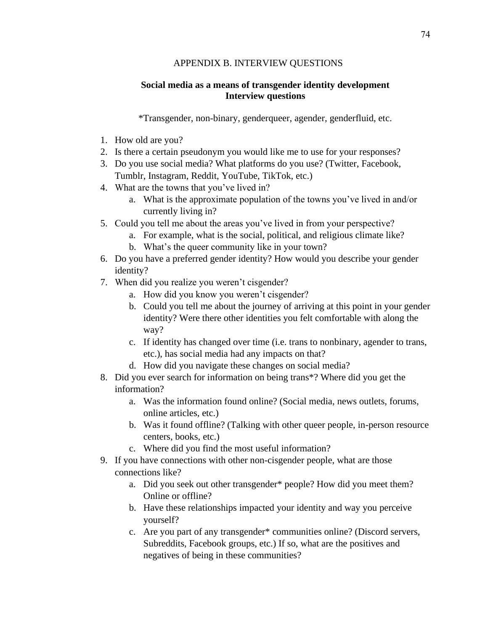#### APPENDIX B. INTERVIEW QUESTIONS

## **Social media as a means of transgender identity development Interview questions**

\*Transgender, non-binary, genderqueer, agender, genderfluid, etc.

- 1. How old are you?
- 2. Is there a certain pseudonym you would like me to use for your responses?
- 3. Do you use social media? What platforms do you use? (Twitter, Facebook, Tumblr, Instagram, Reddit, YouTube, TikTok, etc.)
- 4. What are the towns that you've lived in?
	- a. What is the approximate population of the towns you've lived in and/or currently living in?
- 5. Could you tell me about the areas you've lived in from your perspective?
	- a. For example, what is the social, political, and religious climate like?
	- b. What's the queer community like in your town?
- 6. Do you have a preferred gender identity? How would you describe your gender identity?
- 7. When did you realize you weren't cisgender?
	- a. How did you know you weren't cisgender?
	- b. Could you tell me about the journey of arriving at this point in your gender identity? Were there other identities you felt comfortable with along the way?
	- c. If identity has changed over time (i.e. trans to nonbinary, agender to trans, etc.), has social media had any impacts on that?
	- d. How did you navigate these changes on social media?
- 8. Did you ever search for information on being trans\*? Where did you get the information?
	- a. Was the information found online? (Social media, news outlets, forums, online articles, etc.)
	- b. Was it found offline? (Talking with other queer people, in-person resource centers, books, etc.)
	- c. Where did you find the most useful information?
- 9. If you have connections with other non-cisgender people, what are those connections like?
	- a. Did you seek out other transgender\* people? How did you meet them? Online or offline?
	- b. Have these relationships impacted your identity and way you perceive yourself?
	- c. Are you part of any transgender\* communities online? (Discord servers, Subreddits, Facebook groups, etc.) If so, what are the positives and negatives of being in these communities?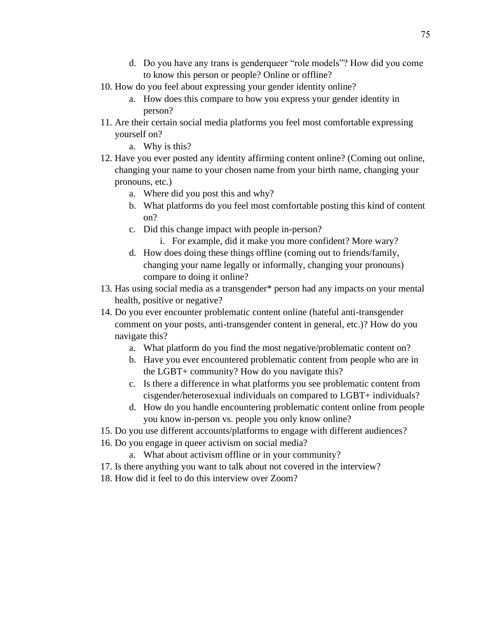- d. Do you have any trans is genderqueer "role models"? How did you come to know this person or people? Online or offline?
- 10. How do you feel about expressing your gender identity online?
	- a. How does this compare to how you express your gender identity in person?
- 11. Are their certain social media platforms you feel most comfortable expressing yourself on?
	- a. Why is this?
- 12. Have you ever posted any identity affirming content online? (Coming out online, changing your name to your chosen name from your birth name, changing your pronouns, etc.)
	- a. Where did you post this and why?
	- b. What platforms do you feel most comfortable posting this kind of content on?
	- c. Did this change impact with people in-person?
		- i. For example, did it make you more confident? More wary?
	- d. How does doing these things offline (coming out to friends/family, changing your name legally or informally, changing your pronouns) compare to doing it online?
- 13. Has using social media as a transgender\* person had any impacts on your mental health, positive or negative?
- 14. Do you ever encounter problematic content online (hateful anti-transgender comment on your posts, anti-transgender content in general, etc.)? How do you navigate this?
	- a. What platform do you find the most negative/problematic content on?
	- b. Have you ever encountered problematic content from people who are in the LGBT+ community? How do you navigate this?
	- c. Is there a difference in what platforms you see problematic content from cisgender/heterosexual individuals on compared to LGBT+ individuals?
	- d. How do you handle encountering problematic content online from people you know in-person vs. people you only know online?
- 15. Do you use different accounts/platforms to engage with different audiences?
- 16. Do you engage in queer activism on social media?
	- a. What about activism offline or in your community?
- 17. Is there anything you want to talk about not covered in the interview?
- 18. How did it feel to do this interview over Zoom?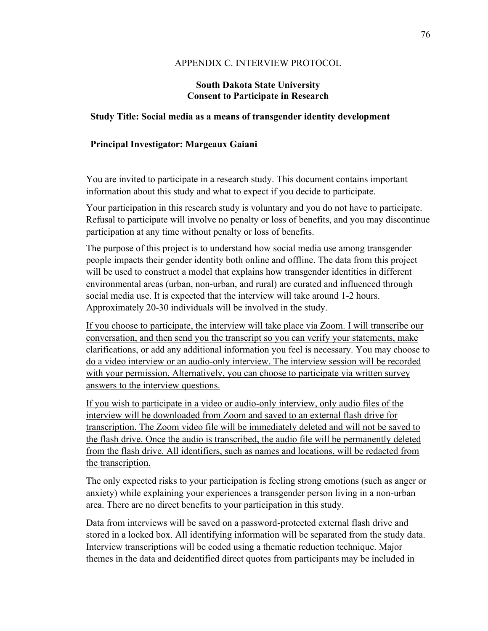#### APPENDIX C. INTERVIEW PROTOCOL

#### **South Dakota State University Consent to Participate in Research**

#### **Study Title: Social media as a means of transgender identity development**

### **Principal Investigator: Margeaux Gaiani**

You are invited to participate in a research study. This document contains important information about this study and what to expect if you decide to participate.

Your participation in this research study is voluntary and you do not have to participate. Refusal to participate will involve no penalty or loss of benefits, and you may discontinue participation at any time without penalty or loss of benefits.

The purpose of this project is to understand how social media use among transgender people impacts their gender identity both online and offline. The data from this project will be used to construct a model that explains how transgender identities in different environmental areas (urban, non-urban, and rural) are curated and influenced through social media use. It is expected that the interview will take around 1-2 hours. Approximately 20-30 individuals will be involved in the study.

If you choose to participate, the interview will take place via Zoom. I will transcribe our conversation, and then send you the transcript so you can verify your statements, make clarifications, or add any additional information you feel is necessary. You may choose to do a video interview or an audio-only interview. The interview session will be recorded with your permission. Alternatively, you can choose to participate via written survey answers to the interview questions.

If you wish to participate in a video or audio-only interview, only audio files of the interview will be downloaded from Zoom and saved to an external flash drive for transcription. The Zoom video file will be immediately deleted and will not be saved to the flash drive. Once the audio is transcribed, the audio file will be permanently deleted from the flash drive. All identifiers, such as names and locations, will be redacted from the transcription.

The only expected risks to your participation is feeling strong emotions (such as anger or anxiety) while explaining your experiences a transgender person living in a non-urban area. There are no direct benefits to your participation in this study.

Data from interviews will be saved on a password-protected external flash drive and stored in a locked box. All identifying information will be separated from the study data. Interview transcriptions will be coded using a thematic reduction technique. Major themes in the data and deidentified direct quotes from participants may be included in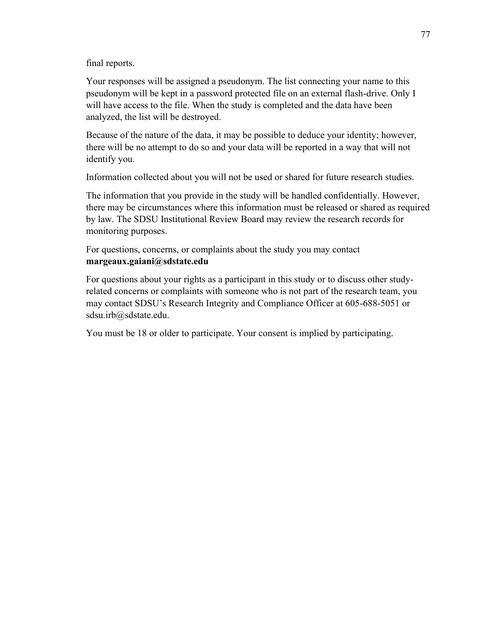final reports.

Your responses will be assigned a pseudonym. The list connecting your name to this pseudonym will be kept in a password protected file on an external flash-drive. Only I will have access to the file. When the study is completed and the data have been analyzed, the list will be destroyed.

Because of the nature of the data, it may be possible to deduce your identity; however, there will be no attempt to do so and your data will be reported in a way that will not identify you.

Information collected about you will not be used or shared for future research studies.

The information that you provide in the study will be handled confidentially. However, there may be circumstances where this information must be released or shared as required by law. The SDSU Institutional Review Board may review the research records for monitoring purposes.

For questions, concerns, or complaints about the study you may contact **margeaux.gaiani@sdstate.edu**

For questions about your rights as a participant in this study or to discuss other studyrelated concerns or complaints with someone who is not part of the research team, you may contact SDSU's Research Integrity and Compliance Officer at 605-688-5051 or sdsu.irb@sdstate.edu.

You must be 18 or older to participate. Your consent is implied by participating.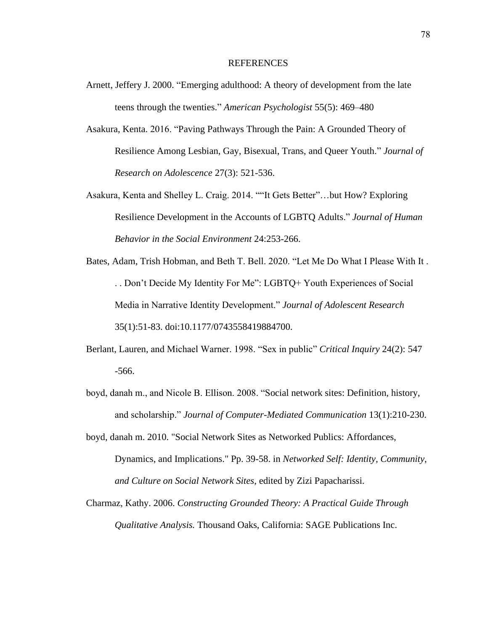#### REFERENCES

- Arnett, Jeffery J. 2000. "Emerging adulthood: A theory of development from the late teens through the twenties." *American Psychologist* 55(5): 469–480
- Asakura, Kenta. 2016. "Paving Pathways Through the Pain: A Grounded Theory of Resilience Among Lesbian, Gay, Bisexual, Trans, and Queer Youth." *Journal of Research on Adolescence* 27(3): 521-536.
- Asakura, Kenta and Shelley L. Craig. 2014. ""It Gets Better"…but How? Exploring Resilience Development in the Accounts of LGBTQ Adults." *Journal of Human Behavior in the Social Environment* 24:253-266.
- Bates, Adam, Trish Hobman, and Beth T. Bell. 2020. "Let Me Do What I Please With It . . . Don't Decide My Identity For Me": LGBTQ+ Youth Experiences of Social Media in Narrative Identity Development." *Journal of Adolescent Research* 35(1):51-83. doi:10.1177/0743558419884700.
- Berlant, Lauren, and Michael Warner. 1998. "Sex in public" *Critical Inquiry* 24(2): 547 -566.
- boyd, danah m., and Nicole B. Ellison. 2008. "Social network sites: Definition, history, and scholarship." *Journal of Computer-Mediated Communication* 13(1):210-230.
- boyd, danah m. 2010. "Social Network Sites as Networked Publics: Affordances, Dynamics, and Implications." Pp. 39-58. in *Networked Self: Identity, Community, and Culture on Social Network Sites*, edited by Zizi Papacharissi.
- Charmaz, Kathy. 2006. *Constructing Grounded Theory: A Practical Guide Through Qualitative Analysis.* Thousand Oaks, California: SAGE Publications Inc.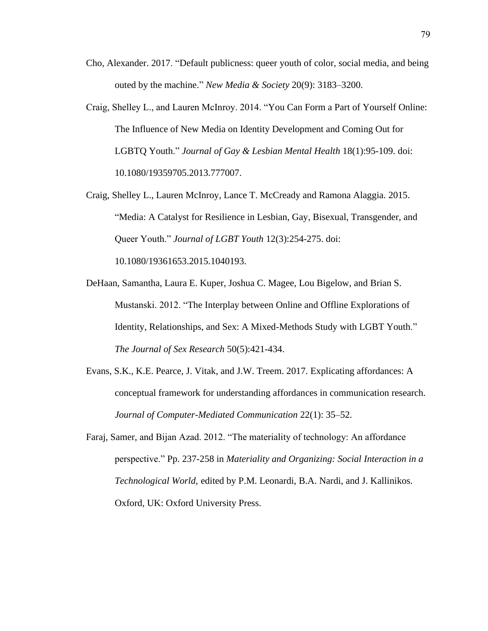- Cho, Alexander. 2017. "Default publicness: queer youth of color, social media, and being outed by the machine." *New Media & Society* 20(9): 3183–3200.
- Craig, Shelley L., and Lauren McInroy. 2014. "You Can Form a Part of Yourself Online: The Influence of New Media on Identity Development and Coming Out for LGBTQ Youth." *Journal of Gay & Lesbian Mental Health* 18(1):95-109. doi: 10.1080/19359705.2013.777007.
- Craig, Shelley L., Lauren McInroy, Lance T. McCready and Ramona Alaggia. 2015. "Media: A Catalyst for Resilience in Lesbian, Gay, Bisexual, Transgender, and Queer Youth." *Journal of LGBT Youth* 12(3):254-275. doi: 10.1080/19361653.2015.1040193.
- DeHaan, Samantha, Laura E. Kuper, Joshua C. Magee, Lou Bigelow, and Brian S. Mustanski. 2012. "The Interplay between Online and Offline Explorations of Identity, Relationships, and Sex: A Mixed-Methods Study with LGBT Youth." *The Journal of Sex Research* 50(5):421-434.
- Evans, S.K., K.E. Pearce, J. Vitak, and J.W. Treem. 2017. Explicating affordances: A conceptual framework for understanding affordances in communication research. *Journal of Computer-Mediated Communication* 22(1): 35–52.
- Faraj, Samer, and Bijan Azad. 2012. "The materiality of technology: An affordance perspective." Pp. 237-258 in *Materiality and Organizing: Social Interaction in a Technological World,* edited by P.M. Leonardi, B.A. Nardi, and J. Kallinikos. Oxford, UK: Oxford University Press.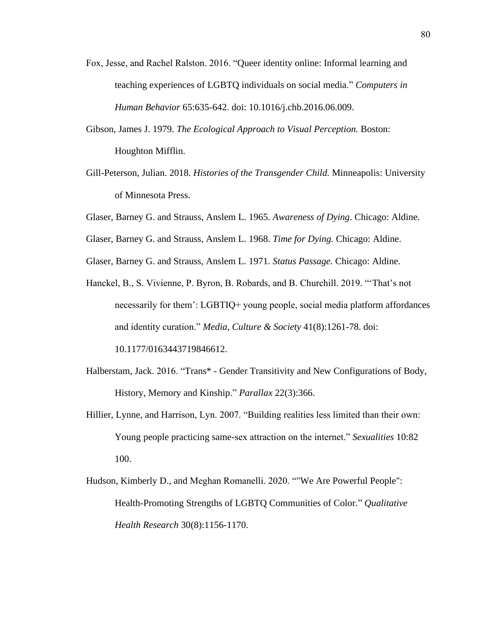- Fox, Jesse, and Rachel Ralston. 2016. "Queer identity online: Informal learning and teaching experiences of LGBTQ individuals on social media." *Computers in Human Behavior* 65:635-642. doi: 10.1016/j.chb.2016.06.009.
- Gibson, James J. 1979. *The Ecological Approach to Visual Perception.* Boston: Houghton Mifflin.
- Gill-Peterson, Julian. 2018. *Histories of the Transgender Child.* Minneapolis: University of Minnesota Press.
- Glaser, Barney G. and Strauss, Anslem L. 1965. *Awareness of Dying*. Chicago: Aldine.
- Glaser, Barney G. and Strauss, Anslem L. 1968. *Time for Dying.* Chicago: Aldine.
- Glaser, Barney G. and Strauss, Anslem L. 1971. *Status Passage.* Chicago: Aldine.
- Hanckel, B., S. Vivienne, P. Byron, B. Robards, and B. Churchill. 2019. "'That's not necessarily for them': LGBTIQ+ young people, social media platform affordances and identity curation." *Media, Culture & Society* 41(8):1261-78. doi: 10.1177/0163443719846612.
- Halberstam, Jack. 2016. "Trans\* Gender Transitivity and New Configurations of Body, History, Memory and Kinship." *Parallax* 22(3):366.
- Hillier, Lynne, and Harrison, Lyn. 2007. "Building realities less limited than their own: Young people practicing same-sex attraction on the internet." *Sexualities* 10:82 100.
- Hudson, Kimberly D., and Meghan Romanelli. 2020. ""We Are Powerful People": Health-Promoting Strengths of LGBTQ Communities of Color." *Qualitative Health Research* 30(8):1156-1170.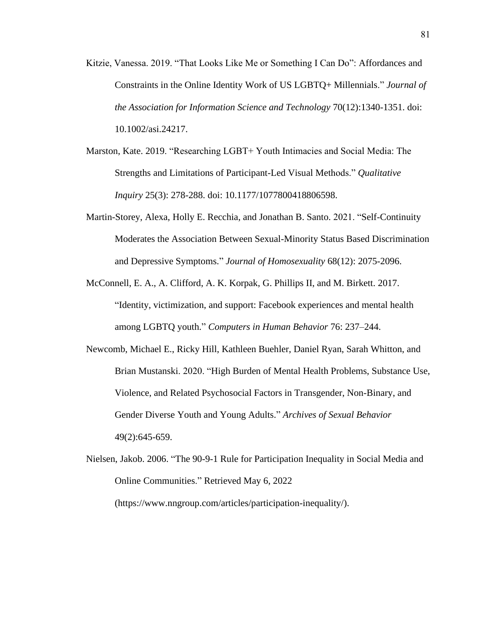- Kitzie, Vanessa. 2019. "That Looks Like Me or Something I Can Do": Affordances and Constraints in the Online Identity Work of US LGBTQ+ Millennials." *Journal of the Association for Information Science and Technology* 70(12):1340-1351. doi: 10.1002/asi.24217.
- Marston, Kate. 2019. "Researching LGBT+ Youth Intimacies and Social Media: The Strengths and Limitations of Participant-Led Visual Methods." *Qualitative Inquiry* 25(3): 278-288. doi: 10.1177/1077800418806598.
- Martin-Storey, Alexa, Holly E. Recchia, and Jonathan B. Santo. 2021. "Self-Continuity Moderates the Association Between Sexual-Minority Status Based Discrimination and Depressive Symptoms." *Journal of Homosexuality* 68(12): 2075-2096.
- McConnell, E. A., A. Clifford, A. K. Korpak, G. Phillips II, and M. Birkett. 2017. "Identity, victimization, and support: Facebook experiences and mental health among LGBTQ youth." *Computers in Human Behavior* 76: 237–244.
- Newcomb, Michael E., Ricky Hill, Kathleen Buehler, Daniel Ryan, Sarah Whitton, and Brian Mustanski. 2020. "High Burden of Mental Health Problems, Substance Use, Violence, and Related Psychosocial Factors in Transgender, Non-Binary, and Gender Diverse Youth and Young Adults." *Archives of Sexual Behavior* 49(2):645-659.
- Nielsen, Jakob. 2006. "The 90-9-1 Rule for Participation Inequality in Social Media and Online Communities." Retrieved May 6, 2022 (https://www.nngroup.com/articles/participation-inequality/).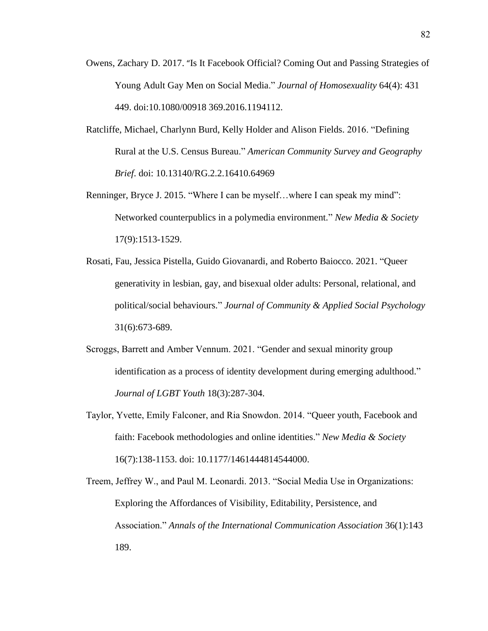- Owens, Zachary D. 2017. "Is It Facebook Official? Coming Out and Passing Strategies of Young Adult Gay Men on Social Media." *Journal of Homosexuality* 64(4): 431 449. doi:10.1080/00918 369.2016.1194112.
- Ratcliffe, Michael, Charlynn Burd, Kelly Holder and Alison Fields. 2016. "Defining Rural at the U.S. Census Bureau." *American Community Survey and Geography Brief*. doi: 10.13140/RG.2.2.16410.64969
- Renninger, Bryce J. 2015. "Where I can be myself…where I can speak my mind": Networked counterpublics in a polymedia environment." *New Media & Society* 17(9):1513-1529.
- Rosati, Fau, Jessica Pistella, Guido Giovanardi, and Roberto Baiocco. 2021. "Queer generativity in lesbian, gay, and bisexual older adults: Personal, relational, and political/social behaviours." *Journal of Community & Applied Social Psychology* 31(6):673-689.
- Scroggs, Barrett and Amber Vennum. 2021. "Gender and sexual minority group identification as a process of identity development during emerging adulthood." *Journal of LGBT Youth* 18(3):287-304.
- Taylor, Yvette, Emily Falconer, and Ria Snowdon. 2014. "Queer youth, Facebook and faith: Facebook methodologies and online identities." *New Media & Society* 16(7):138-1153. doi: 10.1177/1461444814544000.
- Treem, Jeffrey W., and Paul M. Leonardi. 2013. "Social Media Use in Organizations: Exploring the Affordances of Visibility, Editability, Persistence, and Association." *Annals of the International Communication Association* 36(1):143 189.